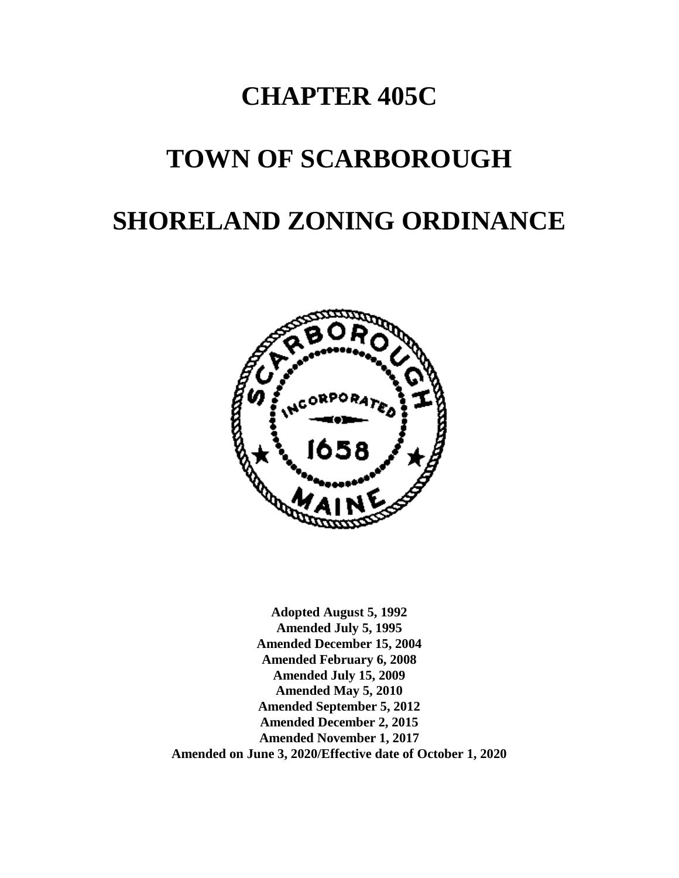# **CHAPTER 405C**

# **TOWN OF SCARBOROUGH**

# **SHORELAND ZONING ORDINANCE**



**Adopted August 5, 1992 Amended July 5, 1995 Amended December 15, 2004 Amended February 6, 2008 Amended July 15, 2009 Amended May 5, 2010 Amended September 5, 2012 Amended December 2, 2015 Amended November 1, 2017 Amended on June 3, 2020/Effective date of October 1, 2020**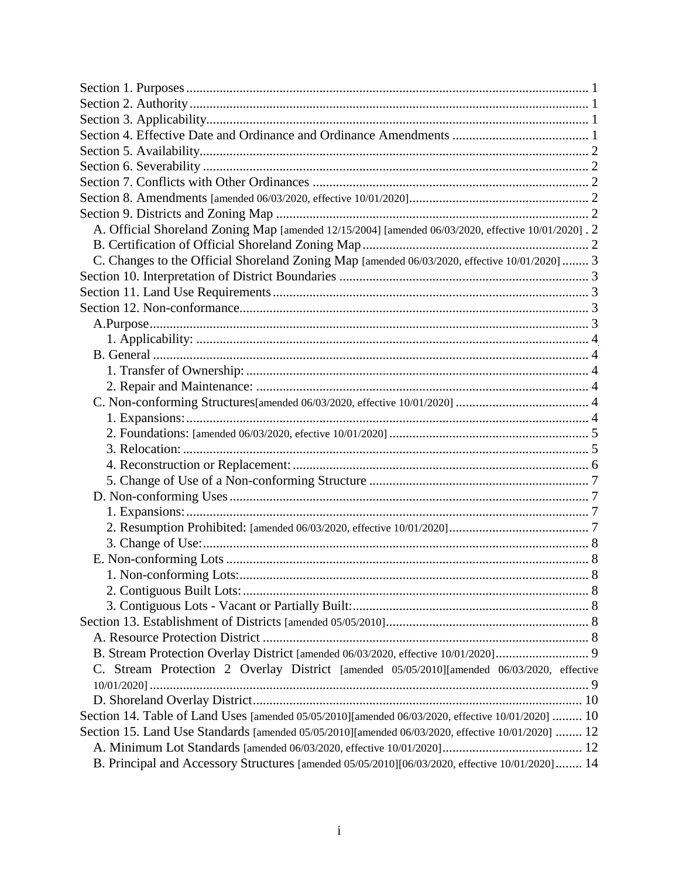| A. Official Shoreland Zoning Map [amended 12/15/2004] [amended 06/03/2020, effective 10/01/2020]. 2 |  |
|-----------------------------------------------------------------------------------------------------|--|
|                                                                                                     |  |
| C. Changes to the Official Shoreland Zoning Map [amended 06/03/2020, effective 10/01/2020]  3       |  |
|                                                                                                     |  |
|                                                                                                     |  |
|                                                                                                     |  |
|                                                                                                     |  |
|                                                                                                     |  |
|                                                                                                     |  |
|                                                                                                     |  |
|                                                                                                     |  |
|                                                                                                     |  |
|                                                                                                     |  |
|                                                                                                     |  |
|                                                                                                     |  |
|                                                                                                     |  |
|                                                                                                     |  |
|                                                                                                     |  |
|                                                                                                     |  |
|                                                                                                     |  |
|                                                                                                     |  |
|                                                                                                     |  |
|                                                                                                     |  |
|                                                                                                     |  |
|                                                                                                     |  |
|                                                                                                     |  |
|                                                                                                     |  |
|                                                                                                     |  |
| Stream Protection 2 Overlay District [amended 05/05/2010][amended 06/03/2020, effective             |  |
|                                                                                                     |  |
|                                                                                                     |  |
| Section 14. Table of Land Uses [amended 05/05/2010][amended 06/03/2020, effective 10/01/2020]  10   |  |
| Section 15. Land Use Standards [amended 05/05/2010][amended 06/03/2020, effective 10/01/2020]  12   |  |
|                                                                                                     |  |
| B. Principal and Accessory Structures [amended 05/05/2010][06/03/2020, effective 10/01/2020] 14     |  |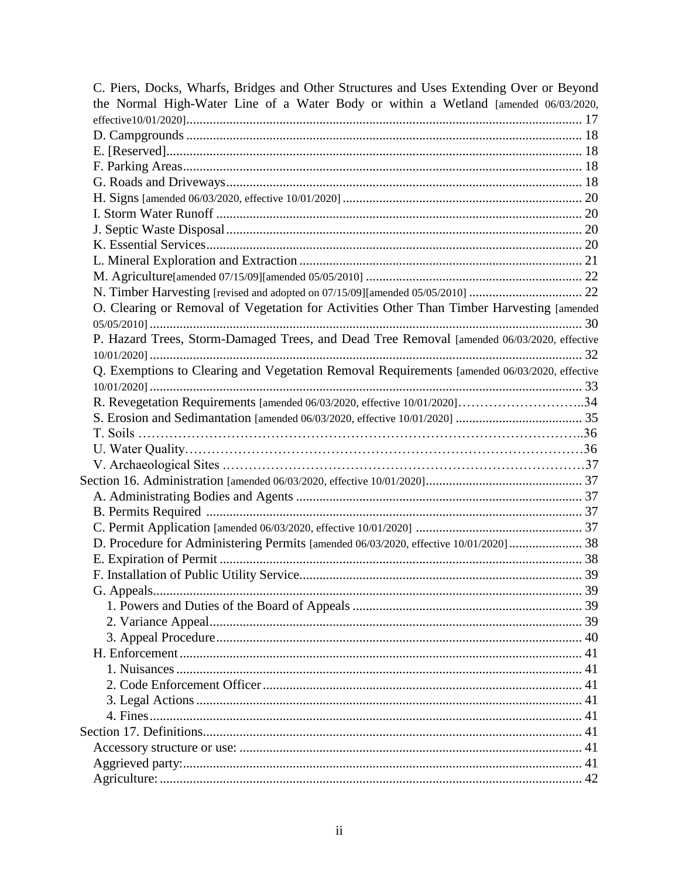| C. Piers, Docks, Wharfs, Bridges and Other Structures and Uses Extending Over or Beyond      |    |
|----------------------------------------------------------------------------------------------|----|
| the Normal High-Water Line of a Water Body or within a Wetland [amended 06/03/2020,          |    |
|                                                                                              |    |
|                                                                                              |    |
|                                                                                              |    |
|                                                                                              |    |
|                                                                                              |    |
|                                                                                              |    |
|                                                                                              |    |
|                                                                                              |    |
|                                                                                              |    |
|                                                                                              |    |
|                                                                                              |    |
|                                                                                              |    |
| O. Clearing or Removal of Vegetation for Activities Other Than Timber Harvesting [amended    |    |
|                                                                                              |    |
| P. Hazard Trees, Storm-Damaged Trees, and Dead Tree Removal [amended 06/03/2020, effective   |    |
|                                                                                              |    |
| Q. Exemptions to Clearing and Vegetation Removal Requirements [amended 06/03/2020, effective |    |
|                                                                                              |    |
| R. Revegetation Requirements [amended 06/03/2020, effective 10/01/2020]34                    |    |
|                                                                                              |    |
|                                                                                              |    |
|                                                                                              |    |
|                                                                                              |    |
|                                                                                              |    |
|                                                                                              |    |
|                                                                                              |    |
|                                                                                              |    |
| D. Procedure for Administering Permits [amended 06/03/2020, effective 10/01/2020] 38         |    |
|                                                                                              |    |
|                                                                                              |    |
|                                                                                              |    |
|                                                                                              |    |
|                                                                                              |    |
|                                                                                              |    |
|                                                                                              |    |
|                                                                                              |    |
|                                                                                              |    |
|                                                                                              |    |
|                                                                                              |    |
|                                                                                              |    |
|                                                                                              | 41 |
|                                                                                              |    |
|                                                                                              |    |
|                                                                                              |    |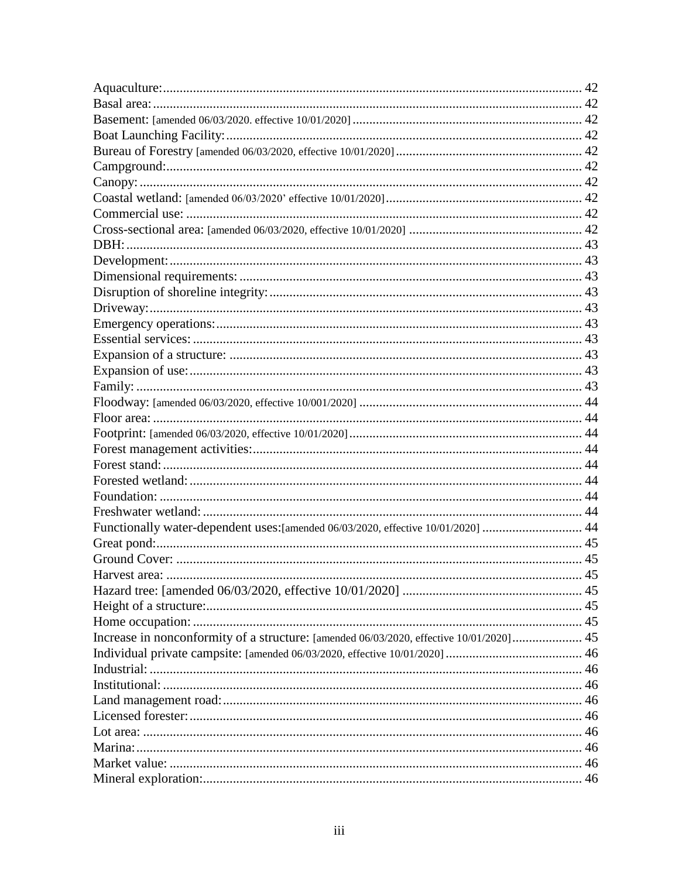| Functionally water-dependent uses: [amended 06/03/2020, effective 10/01/2020]  44       |    |
|-----------------------------------------------------------------------------------------|----|
|                                                                                         |    |
|                                                                                         |    |
| Harvest area:                                                                           | 45 |
|                                                                                         |    |
|                                                                                         |    |
|                                                                                         |    |
| Increase in nonconformity of a structure: [amended 06/03/2020, effective 10/01/2020] 45 |    |
|                                                                                         |    |
|                                                                                         |    |
|                                                                                         |    |
|                                                                                         |    |
|                                                                                         |    |
|                                                                                         |    |
|                                                                                         |    |
|                                                                                         |    |
|                                                                                         |    |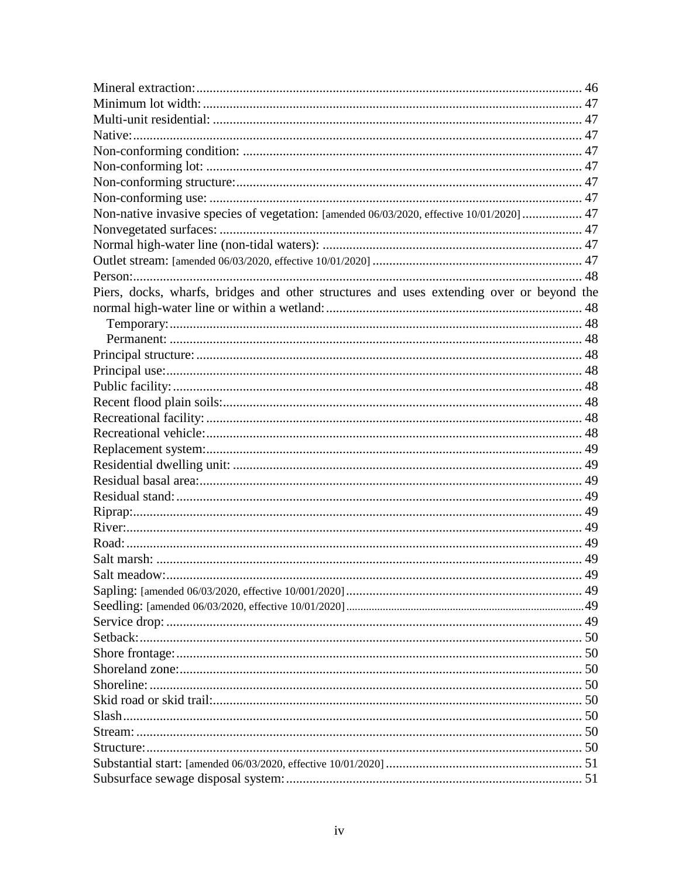| Non-native invasive species of vegetation: [amended 06/03/2020, effective 10/01/2020]  47 |    |
|-------------------------------------------------------------------------------------------|----|
|                                                                                           |    |
|                                                                                           |    |
|                                                                                           |    |
|                                                                                           |    |
| Piers, docks, wharfs, bridges and other structures and uses extending over or beyond the  |    |
|                                                                                           |    |
|                                                                                           |    |
|                                                                                           |    |
|                                                                                           |    |
|                                                                                           |    |
|                                                                                           |    |
|                                                                                           |    |
|                                                                                           |    |
|                                                                                           |    |
|                                                                                           |    |
|                                                                                           |    |
|                                                                                           |    |
|                                                                                           |    |
|                                                                                           |    |
|                                                                                           |    |
|                                                                                           |    |
|                                                                                           |    |
| Salt meadow:                                                                              | 49 |
|                                                                                           |    |
|                                                                                           |    |
|                                                                                           |    |
|                                                                                           |    |
|                                                                                           |    |
|                                                                                           |    |
|                                                                                           |    |
|                                                                                           |    |
|                                                                                           |    |
|                                                                                           |    |
|                                                                                           |    |
|                                                                                           |    |
|                                                                                           |    |
|                                                                                           |    |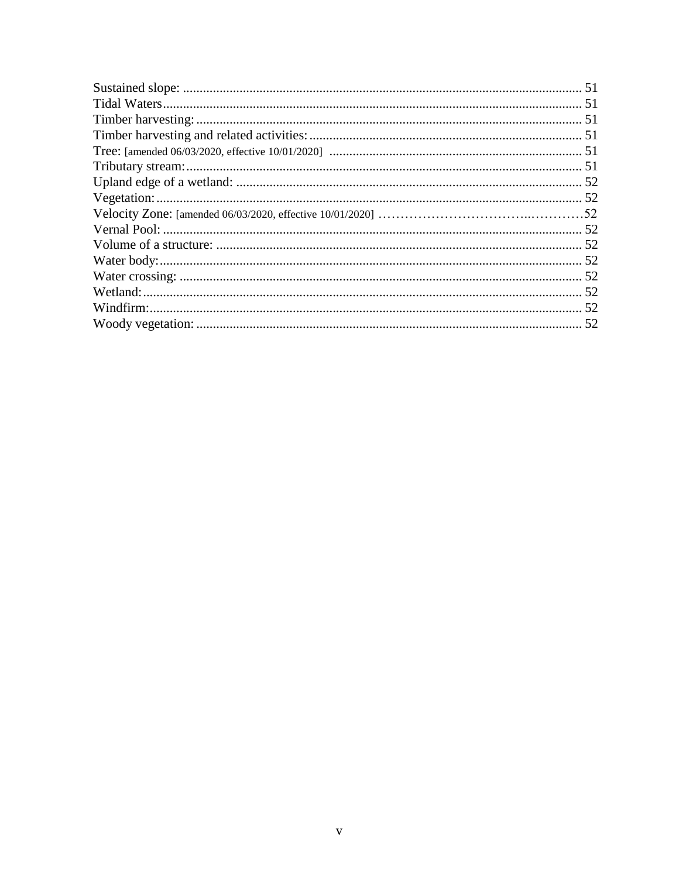| 52 |
|----|
|    |
|    |
|    |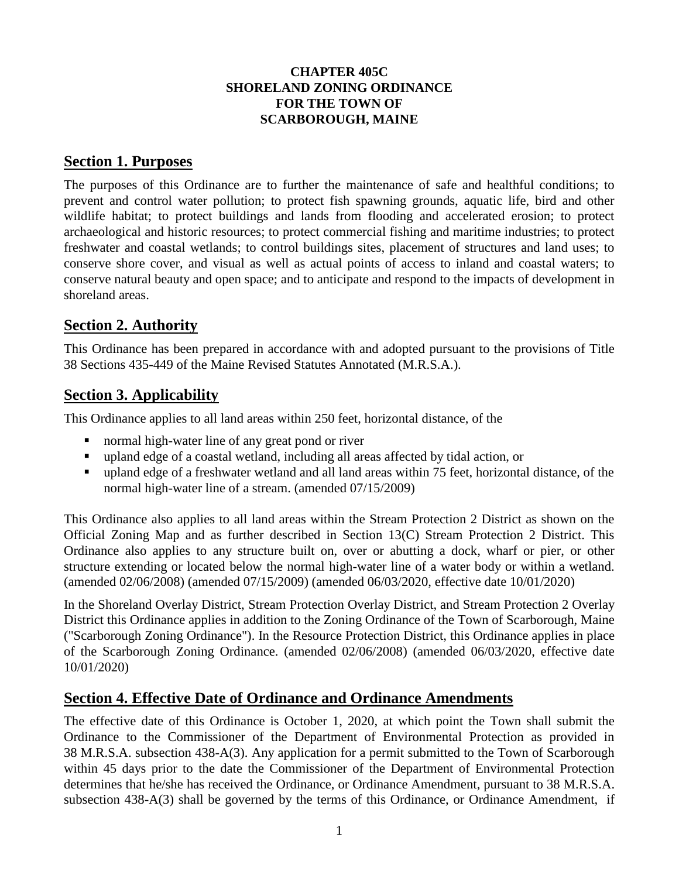#### **CHAPTER 405C SHORELAND ZONING ORDINANCE FOR THE TOWN OF SCARBOROUGH, MAINE**

# **Section 1. Purposes**

The purposes of this Ordinance are to further the maintenance of safe and healthful conditions; to prevent and control water pollution; to protect fish spawning grounds, aquatic life, bird and other wildlife habitat; to protect buildings and lands from flooding and accelerated erosion; to protect archaeological and historic resources; to protect commercial fishing and maritime industries; to protect freshwater and coastal wetlands; to control buildings sites, placement of structures and land uses; to conserve shore cover, and visual as well as actual points of access to inland and coastal waters; to conserve natural beauty and open space; and to anticipate and respond to the impacts of development in shoreland areas.

# **Section 2. Authority**

This Ordinance has been prepared in accordance with and adopted pursuant to the provisions of Title 38 Sections 435-449 of the Maine Revised Statutes Annotated (M.R.S.A.).

# **Section 3. Applicability**

This Ordinance applies to all land areas within 250 feet, horizontal distance, of the

- normal high-water line of any great pond or river
- upland edge of a coastal wetland, including all areas affected by tidal action, or
- upland edge of a freshwater wetland and all land areas within 75 feet, horizontal distance, of the normal high-water line of a stream. (amended 07/15/2009)

This Ordinance also applies to all land areas within the Stream Protection 2 District as shown on the Official Zoning Map and as further described in Section 13(C) Stream Protection 2 District. This Ordinance also applies to any structure built on, over or abutting a dock, wharf or pier, or other structure extending or located below the normal high-water line of a water body or within a wetland. (amended 02/06/2008) (amended 07/15/2009) (amended 06/03/2020, effective date 10/01/2020)

In the Shoreland Overlay District, Stream Protection Overlay District, and Stream Protection 2 Overlay District this Ordinance applies in addition to the Zoning Ordinance of the Town of Scarborough, Maine ("Scarborough Zoning Ordinance"). In the Resource Protection District, this Ordinance applies in place of the Scarborough Zoning Ordinance. (amended 02/06/2008) (amended 06/03/2020, effective date 10/01/2020)

# **Section 4. Effective Date of Ordinance and Ordinance Amendments**

The effective date of this Ordinance is October 1, 2020, at which point the Town shall submit the Ordinance to the Commissioner of the Department of Environmental Protection as provided in 38 M.R.S.A. subsection 438-A(3). Any application for a permit submitted to the Town of Scarborough within 45 days prior to the date the Commissioner of the Department of Environmental Protection determines that he/she has received the Ordinance, or Ordinance Amendment, pursuant to 38 M.R.S.A. subsection 438-A(3) shall be governed by the terms of this Ordinance, or Ordinance Amendment, if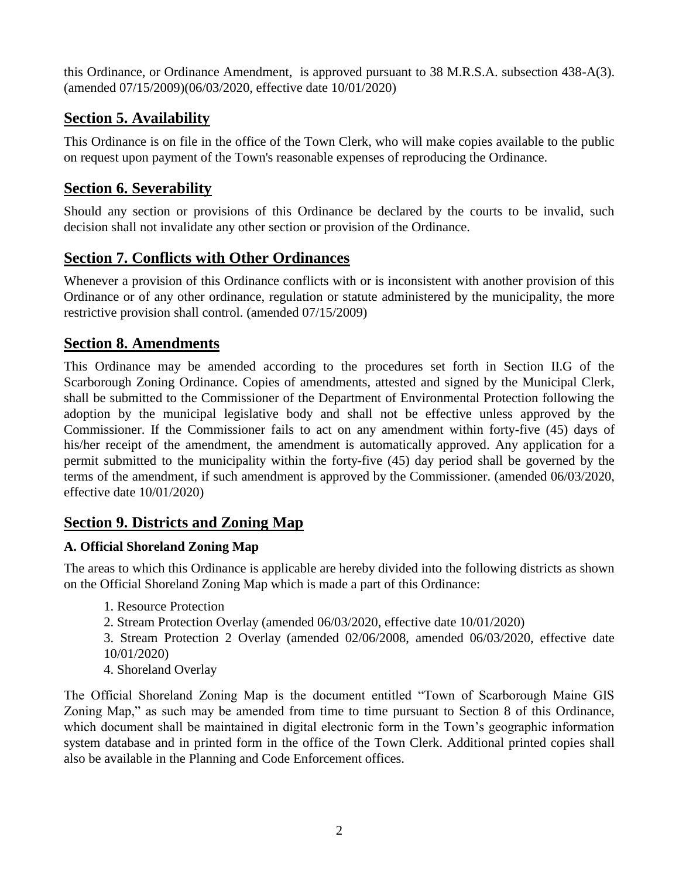this Ordinance, or Ordinance Amendment, is approved pursuant to 38 M.R.S.A. subsection 438-A(3). (amended 07/15/2009)(06/03/2020, effective date 10/01/2020)

# **Section 5. Availability**

This Ordinance is on file in the office of the Town Clerk, who will make copies available to the public on request upon payment of the Town's reasonable expenses of reproducing the Ordinance.

# **Section 6. Severability**

Should any section or provisions of this Ordinance be declared by the courts to be invalid, such decision shall not invalidate any other section or provision of the Ordinance.

# **Section 7. Conflicts with Other Ordinances**

Whenever a provision of this Ordinance conflicts with or is inconsistent with another provision of this Ordinance or of any other ordinance, regulation or statute administered by the municipality, the more restrictive provision shall control. (amended 07/15/2009)

# **Section 8. Amendments**

This Ordinance may be amended according to the procedures set forth in Section II.G of the Scarborough Zoning Ordinance. Copies of amendments, attested and signed by the Municipal Clerk, shall be submitted to the Commissioner of the Department of Environmental Protection following the adoption by the municipal legislative body and shall not be effective unless approved by the Commissioner. If the Commissioner fails to act on any amendment within forty-five (45) days of his/her receipt of the amendment, the amendment is automatically approved. Any application for a permit submitted to the municipality within the forty-five (45) day period shall be governed by the terms of the amendment, if such amendment is approved by the Commissioner. (amended 06/03/2020, effective date 10/01/2020)

# **Section 9. Districts and Zoning Map**

# **A. Official Shoreland Zoning Map**

The areas to which this Ordinance is applicable are hereby divided into the following districts as shown on the Official Shoreland Zoning Map which is made a part of this Ordinance:

- 1. Resource Protection
- 2. Stream Protection Overlay (amended 06/03/2020, effective date 10/01/2020)

3. Stream Protection 2 Overlay (amended 02/06/2008, amended 06/03/2020, effective date 10/01/2020)

4. Shoreland Overlay

The Official Shoreland Zoning Map is the document entitled "Town of Scarborough Maine GIS Zoning Map," as such may be amended from time to time pursuant to Section 8 of this Ordinance, which document shall be maintained in digital electronic form in the Town's geographic information system database and in printed form in the office of the Town Clerk. Additional printed copies shall also be available in the Planning and Code Enforcement offices.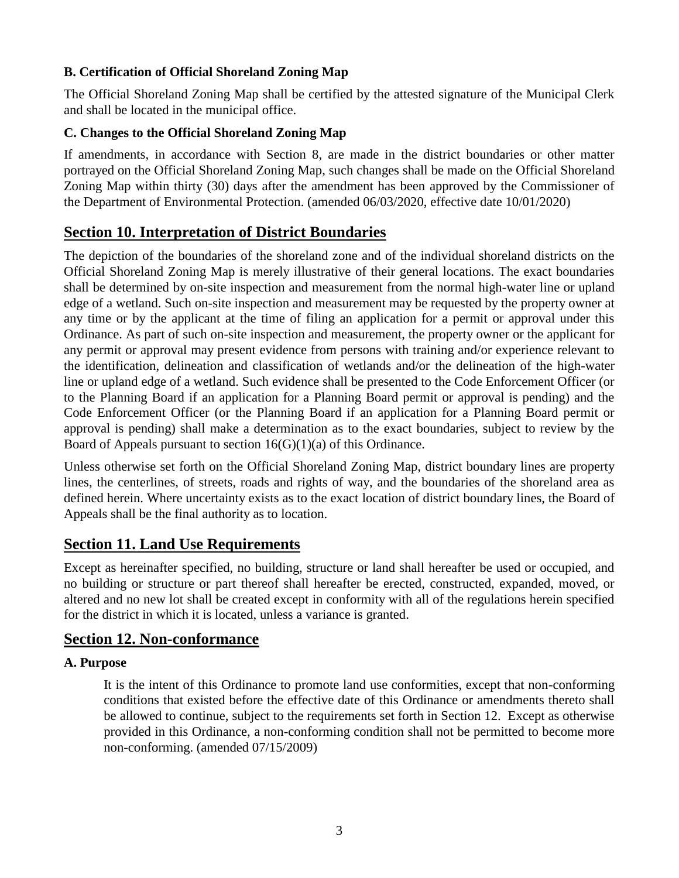## **B. Certification of Official Shoreland Zoning Map**

The Official Shoreland Zoning Map shall be certified by the attested signature of the Municipal Clerk and shall be located in the municipal office.

## **C. Changes to the Official Shoreland Zoning Map**

If amendments, in accordance with Section 8, are made in the district boundaries or other matter portrayed on the Official Shoreland Zoning Map, such changes shall be made on the Official Shoreland Zoning Map within thirty (30) days after the amendment has been approved by the Commissioner of the Department of Environmental Protection. (amended 06/03/2020, effective date 10/01/2020)

# **Section 10. Interpretation of District Boundaries**

The depiction of the boundaries of the shoreland zone and of the individual shoreland districts on the Official Shoreland Zoning Map is merely illustrative of their general locations. The exact boundaries shall be determined by on-site inspection and measurement from the normal high-water line or upland edge of a wetland. Such on-site inspection and measurement may be requested by the property owner at any time or by the applicant at the time of filing an application for a permit or approval under this Ordinance. As part of such on-site inspection and measurement, the property owner or the applicant for any permit or approval may present evidence from persons with training and/or experience relevant to the identification, delineation and classification of wetlands and/or the delineation of the high-water line or upland edge of a wetland. Such evidence shall be presented to the Code Enforcement Officer (or to the Planning Board if an application for a Planning Board permit or approval is pending) and the Code Enforcement Officer (or the Planning Board if an application for a Planning Board permit or approval is pending) shall make a determination as to the exact boundaries, subject to review by the Board of Appeals pursuant to section  $16(G)(1)(a)$  of this Ordinance.

Unless otherwise set forth on the Official Shoreland Zoning Map, district boundary lines are property lines, the centerlines, of streets, roads and rights of way, and the boundaries of the shoreland area as defined herein. Where uncertainty exists as to the exact location of district boundary lines, the Board of Appeals shall be the final authority as to location.

# **Section 11. Land Use Requirements**

Except as hereinafter specified, no building, structure or land shall hereafter be used or occupied, and no building or structure or part thereof shall hereafter be erected, constructed, expanded, moved, or altered and no new lot shall be created except in conformity with all of the regulations herein specified for the district in which it is located, unless a variance is granted.

# **Section 12. Non-conformance**

#### **A. Purpose**

It is the intent of this Ordinance to promote land use conformities, except that non-conforming conditions that existed before the effective date of this Ordinance or amendments thereto shall be allowed to continue, subject to the requirements set forth in Section 12. Except as otherwise provided in this Ordinance, a non-conforming condition shall not be permitted to become more non-conforming. (amended 07/15/2009)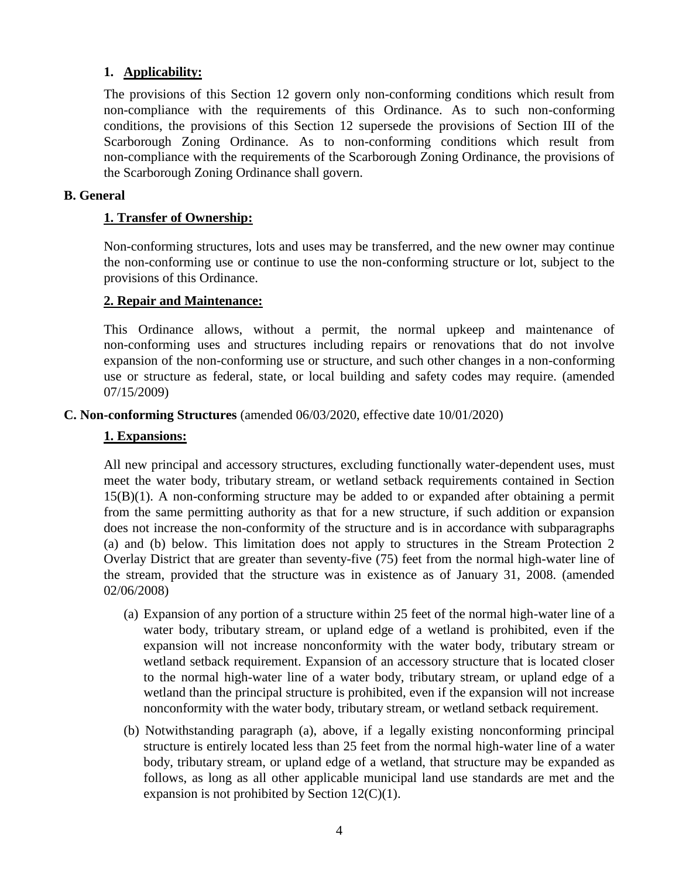### **1. Applicability:**

The provisions of this Section 12 govern only non-conforming conditions which result from non-compliance with the requirements of this Ordinance. As to such non-conforming conditions, the provisions of this Section 12 supersede the provisions of Section III of the Scarborough Zoning Ordinance. As to non-conforming conditions which result from non-compliance with the requirements of the Scarborough Zoning Ordinance, the provisions of the Scarborough Zoning Ordinance shall govern.

#### **B. General**

#### **1. Transfer of Ownership:**

Non-conforming structures, lots and uses may be transferred, and the new owner may continue the non-conforming use or continue to use the non-conforming structure or lot, subject to the provisions of this Ordinance.

#### **2. Repair and Maintenance:**

This Ordinance allows, without a permit, the normal upkeep and maintenance of non-conforming uses and structures including repairs or renovations that do not involve expansion of the non-conforming use or structure, and such other changes in a non-conforming use or structure as federal, state, or local building and safety codes may require. (amended 07/15/2009)

#### **C. Non-conforming Structures** (amended 06/03/2020, effective date 10/01/2020)

#### **1. Expansions:**

All new principal and accessory structures, excluding functionally water-dependent uses, must meet the water body, tributary stream, or wetland setback requirements contained in Section 15(B)(1). A non-conforming structure may be added to or expanded after obtaining a permit from the same permitting authority as that for a new structure, if such addition or expansion does not increase the non-conformity of the structure and is in accordance with subparagraphs (a) and (b) below. This limitation does not apply to structures in the Stream Protection 2 Overlay District that are greater than seventy-five (75) feet from the normal high-water line of the stream, provided that the structure was in existence as of January 31, 2008. (amended 02/06/2008)

- (a) Expansion of any portion of a structure within 25 feet of the normal high-water line of a water body, tributary stream, or upland edge of a wetland is prohibited, even if the expansion will not increase nonconformity with the water body, tributary stream or wetland setback requirement. Expansion of an accessory structure that is located closer to the normal high-water line of a water body, tributary stream, or upland edge of a wetland than the principal structure is prohibited, even if the expansion will not increase nonconformity with the water body, tributary stream, or wetland setback requirement.
- (b) Notwithstanding paragraph (a), above, if a legally existing nonconforming principal structure is entirely located less than 25 feet from the normal high-water line of a water body, tributary stream, or upland edge of a wetland, that structure may be expanded as follows, as long as all other applicable municipal land use standards are met and the expansion is not prohibited by Section  $12(C)(1)$ .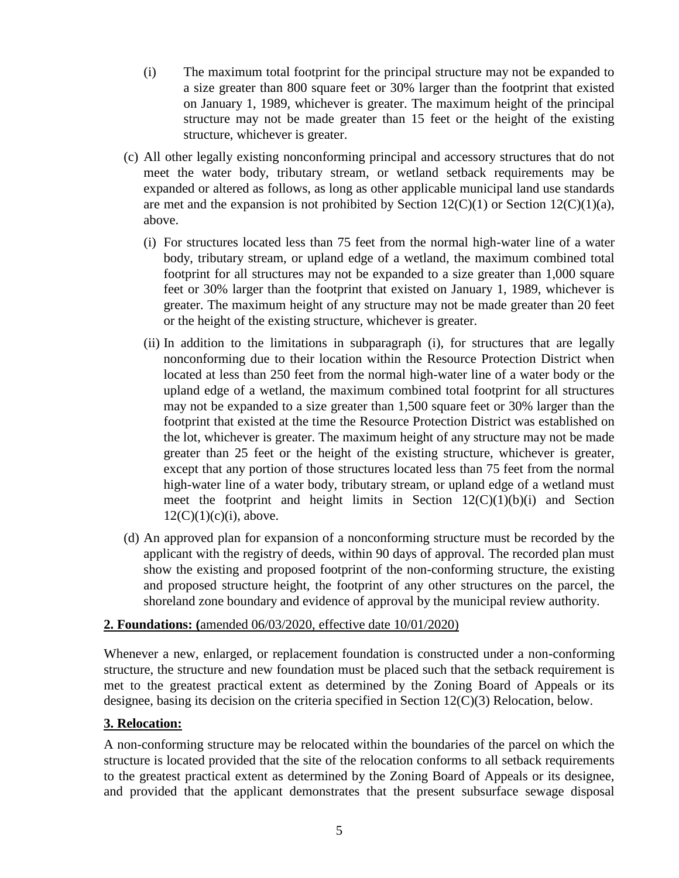- (i) The maximum total footprint for the principal structure may not be expanded to a size greater than 800 square feet or 30% larger than the footprint that existed on January 1, 1989, whichever is greater. The maximum height of the principal structure may not be made greater than 15 feet or the height of the existing structure, whichever is greater.
- (c) All other legally existing nonconforming principal and accessory structures that do not meet the water body, tributary stream, or wetland setback requirements may be expanded or altered as follows, as long as other applicable municipal land use standards are met and the expansion is not prohibited by Section  $12(C)(1)$  or Section  $12(C)(1)(a)$ , above.
	- (i) For structures located less than 75 feet from the normal high-water line of a water body, tributary stream, or upland edge of a wetland, the maximum combined total footprint for all structures may not be expanded to a size greater than 1,000 square feet or 30% larger than the footprint that existed on January 1, 1989, whichever is greater. The maximum height of any structure may not be made greater than 20 feet or the height of the existing structure, whichever is greater.
	- (ii) In addition to the limitations in subparagraph (i), for structures that are legally nonconforming due to their location within the Resource Protection District when located at less than 250 feet from the normal high-water line of a water body or the upland edge of a wetland, the maximum combined total footprint for all structures may not be expanded to a size greater than 1,500 square feet or 30% larger than the footprint that existed at the time the Resource Protection District was established on the lot, whichever is greater. The maximum height of any structure may not be made greater than 25 feet or the height of the existing structure, whichever is greater, except that any portion of those structures located less than 75 feet from the normal high-water line of a water body, tributary stream, or upland edge of a wetland must meet the footprint and height limits in Section  $12(C)(1)(b)(i)$  and Section  $12(C)(1)(c)(i)$ , above.
- (d) An approved plan for expansion of a nonconforming structure must be recorded by the applicant with the registry of deeds, within 90 days of approval. The recorded plan must show the existing and proposed footprint of the non-conforming structure, the existing and proposed structure height, the footprint of any other structures on the parcel, the shoreland zone boundary and evidence of approval by the municipal review authority.

#### **2. Foundations: (**amended 06/03/2020, effective date 10/01/2020)

Whenever a new, enlarged, or replacement foundation is constructed under a non-conforming structure, the structure and new foundation must be placed such that the setback requirement is met to the greatest practical extent as determined by the Zoning Board of Appeals or its designee, basing its decision on the criteria specified in Section 12(C)(3) Relocation, below.

#### **3. Relocation:**

A non-conforming structure may be relocated within the boundaries of the parcel on which the structure is located provided that the site of the relocation conforms to all setback requirements to the greatest practical extent as determined by the Zoning Board of Appeals or its designee, and provided that the applicant demonstrates that the present subsurface sewage disposal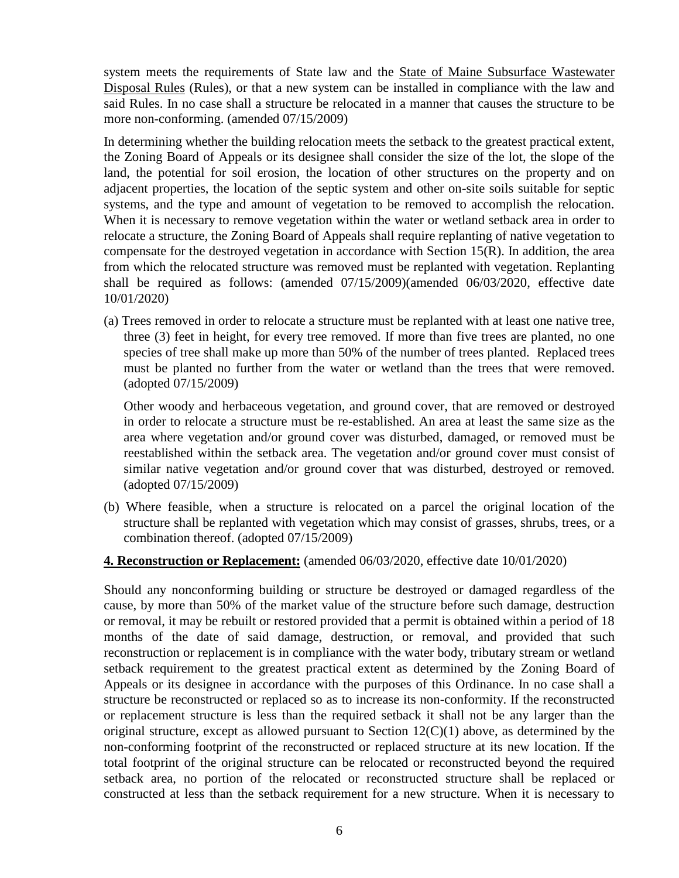system meets the requirements of State law and the State of Maine Subsurface Wastewater Disposal Rules (Rules), or that a new system can be installed in compliance with the law and said Rules. In no case shall a structure be relocated in a manner that causes the structure to be more non-conforming. (amended 07/15/2009)

In determining whether the building relocation meets the setback to the greatest practical extent, the Zoning Board of Appeals or its designee shall consider the size of the lot, the slope of the land, the potential for soil erosion, the location of other structures on the property and on adjacent properties, the location of the septic system and other on-site soils suitable for septic systems, and the type and amount of vegetation to be removed to accomplish the relocation. When it is necessary to remove vegetation within the water or wetland setback area in order to relocate a structure, the Zoning Board of Appeals shall require replanting of native vegetation to compensate for the destroyed vegetation in accordance with Section 15(R). In addition, the area from which the relocated structure was removed must be replanted with vegetation. Replanting shall be required as follows: (amended 07/15/2009)(amended 06/03/2020, effective date 10/01/2020)

(a) Trees removed in order to relocate a structure must be replanted with at least one native tree, three (3) feet in height, for every tree removed. If more than five trees are planted, no one species of tree shall make up more than 50% of the number of trees planted. Replaced trees must be planted no further from the water or wetland than the trees that were removed. (adopted 07/15/2009)

Other woody and herbaceous vegetation, and ground cover, that are removed or destroyed in order to relocate a structure must be re-established. An area at least the same size as the area where vegetation and/or ground cover was disturbed, damaged, or removed must be reestablished within the setback area. The vegetation and/or ground cover must consist of similar native vegetation and/or ground cover that was disturbed, destroyed or removed. (adopted 07/15/2009)

(b) Where feasible, when a structure is relocated on a parcel the original location of the structure shall be replanted with vegetation which may consist of grasses, shrubs, trees, or a combination thereof. (adopted 07/15/2009)

#### **4. Reconstruction or Replacement:** (amended 06/03/2020, effective date 10/01/2020)

Should any nonconforming building or structure be destroyed or damaged regardless of the cause, by more than 50% of the market value of the structure before such damage, destruction or removal, it may be rebuilt or restored provided that a permit is obtained within a period of 18 months of the date of said damage, destruction, or removal, and provided that such reconstruction or replacement is in compliance with the water body, tributary stream or wetland setback requirement to the greatest practical extent as determined by the Zoning Board of Appeals or its designee in accordance with the purposes of this Ordinance. In no case shall a structure be reconstructed or replaced so as to increase its non-conformity. If the reconstructed or replacement structure is less than the required setback it shall not be any larger than the original structure, except as allowed pursuant to Section  $12(C)(1)$  above, as determined by the non-conforming footprint of the reconstructed or replaced structure at its new location. If the total footprint of the original structure can be relocated or reconstructed beyond the required setback area, no portion of the relocated or reconstructed structure shall be replaced or constructed at less than the setback requirement for a new structure. When it is necessary to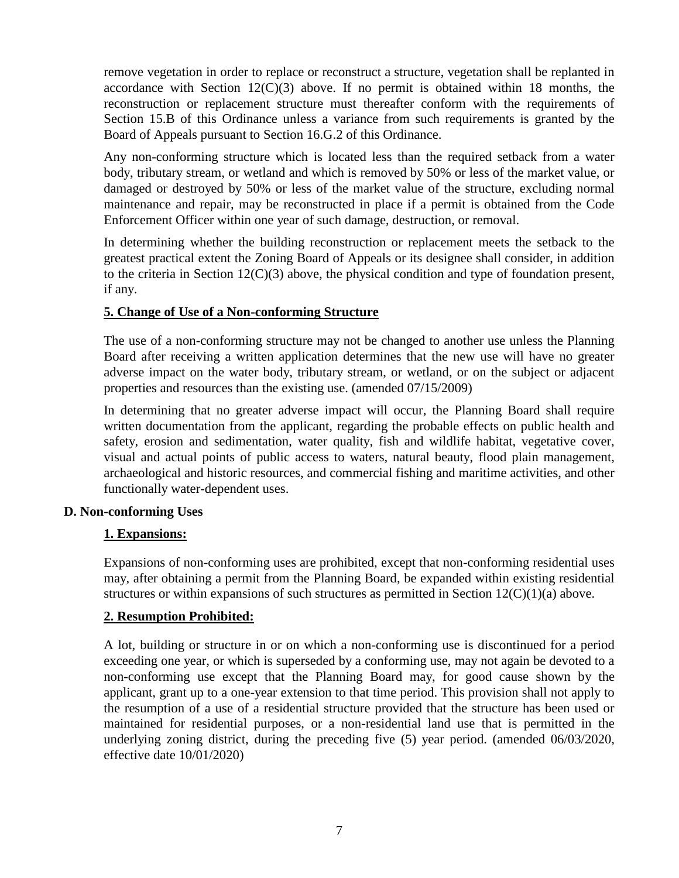remove vegetation in order to replace or reconstruct a structure, vegetation shall be replanted in accordance with Section  $12(C)(3)$  above. If no permit is obtained within 18 months, the reconstruction or replacement structure must thereafter conform with the requirements of Section 15.B of this Ordinance unless a variance from such requirements is granted by the Board of Appeals pursuant to Section 16.G.2 of this Ordinance.

Any non-conforming structure which is located less than the required setback from a water body, tributary stream, or wetland and which is removed by 50% or less of the market value, or damaged or destroyed by 50% or less of the market value of the structure, excluding normal maintenance and repair, may be reconstructed in place if a permit is obtained from the Code Enforcement Officer within one year of such damage, destruction, or removal.

In determining whether the building reconstruction or replacement meets the setback to the greatest practical extent the Zoning Board of Appeals or its designee shall consider, in addition to the criteria in Section 12(C)(3) above, the physical condition and type of foundation present, if any.

#### **5. Change of Use of a Non-conforming Structure**

The use of a non-conforming structure may not be changed to another use unless the Planning Board after receiving a written application determines that the new use will have no greater adverse impact on the water body, tributary stream, or wetland, or on the subject or adjacent properties and resources than the existing use. (amended 07/15/2009)

In determining that no greater adverse impact will occur, the Planning Board shall require written documentation from the applicant, regarding the probable effects on public health and safety, erosion and sedimentation, water quality, fish and wildlife habitat, vegetative cover, visual and actual points of public access to waters, natural beauty, flood plain management, archaeological and historic resources, and commercial fishing and maritime activities, and other functionally water-dependent uses.

#### **D. Non-conforming Uses**

#### **1. Expansions:**

Expansions of non-conforming uses are prohibited, except that non-conforming residential uses may, after obtaining a permit from the Planning Board, be expanded within existing residential structures or within expansions of such structures as permitted in Section  $12(C)(1)(a)$  above.

#### **2. Resumption Prohibited:**

A lot, building or structure in or on which a non-conforming use is discontinued for a period exceeding one year, or which is superseded by a conforming use, may not again be devoted to a non-conforming use except that the Planning Board may, for good cause shown by the applicant, grant up to a one-year extension to that time period. This provision shall not apply to the resumption of a use of a residential structure provided that the structure has been used or maintained for residential purposes, or a non-residential land use that is permitted in the underlying zoning district, during the preceding five (5) year period. (amended 06/03/2020, effective date 10/01/2020)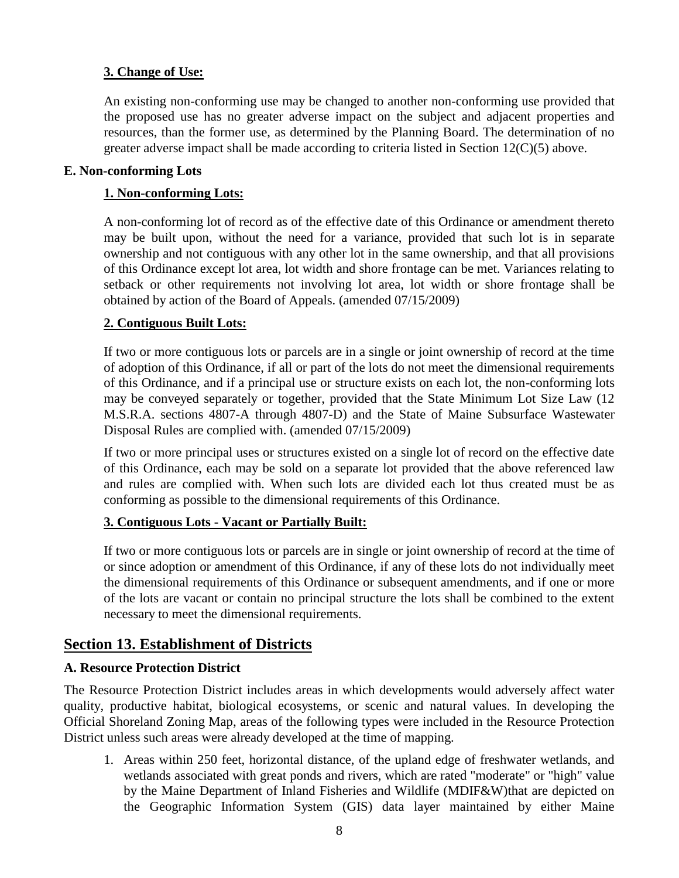#### **3. Change of Use:**

An existing non-conforming use may be changed to another non-conforming use provided that the proposed use has no greater adverse impact on the subject and adjacent properties and resources, than the former use, as determined by the Planning Board. The determination of no greater adverse impact shall be made according to criteria listed in Section  $12(C)(5)$  above.

#### **E. Non-conforming Lots**

#### **1. Non-conforming Lots:**

A non-conforming lot of record as of the effective date of this Ordinance or amendment thereto may be built upon, without the need for a variance, provided that such lot is in separate ownership and not contiguous with any other lot in the same ownership, and that all provisions of this Ordinance except lot area, lot width and shore frontage can be met. Variances relating to setback or other requirements not involving lot area, lot width or shore frontage shall be obtained by action of the Board of Appeals. (amended 07/15/2009)

#### **2. Contiguous Built Lots:**

If two or more contiguous lots or parcels are in a single or joint ownership of record at the time of adoption of this Ordinance, if all or part of the lots do not meet the dimensional requirements of this Ordinance, and if a principal use or structure exists on each lot, the non-conforming lots may be conveyed separately or together, provided that the State Minimum Lot Size Law (12 M.S.R.A. sections 4807-A through 4807-D) and the State of Maine Subsurface Wastewater Disposal Rules are complied with. (amended 07/15/2009)

If two or more principal uses or structures existed on a single lot of record on the effective date of this Ordinance, each may be sold on a separate lot provided that the above referenced law and rules are complied with. When such lots are divided each lot thus created must be as conforming as possible to the dimensional requirements of this Ordinance.

#### **3. Contiguous Lots - Vacant or Partially Built:**

If two or more contiguous lots or parcels are in single or joint ownership of record at the time of or since adoption or amendment of this Ordinance, if any of these lots do not individually meet the dimensional requirements of this Ordinance or subsequent amendments, and if one or more of the lots are vacant or contain no principal structure the lots shall be combined to the extent necessary to meet the dimensional requirements.

# **Section 13. Establishment of Districts**

#### **A. Resource Protection District**

The Resource Protection District includes areas in which developments would adversely affect water quality, productive habitat, biological ecosystems, or scenic and natural values. In developing the Official Shoreland Zoning Map, areas of the following types were included in the Resource Protection District unless such areas were already developed at the time of mapping.

1. Areas within 250 feet, horizontal distance, of the upland edge of freshwater wetlands, and wetlands associated with great ponds and rivers, which are rated "moderate" or "high" value by the Maine Department of Inland Fisheries and Wildlife (MDIF&W)that are depicted on the Geographic Information System (GIS) data layer maintained by either Maine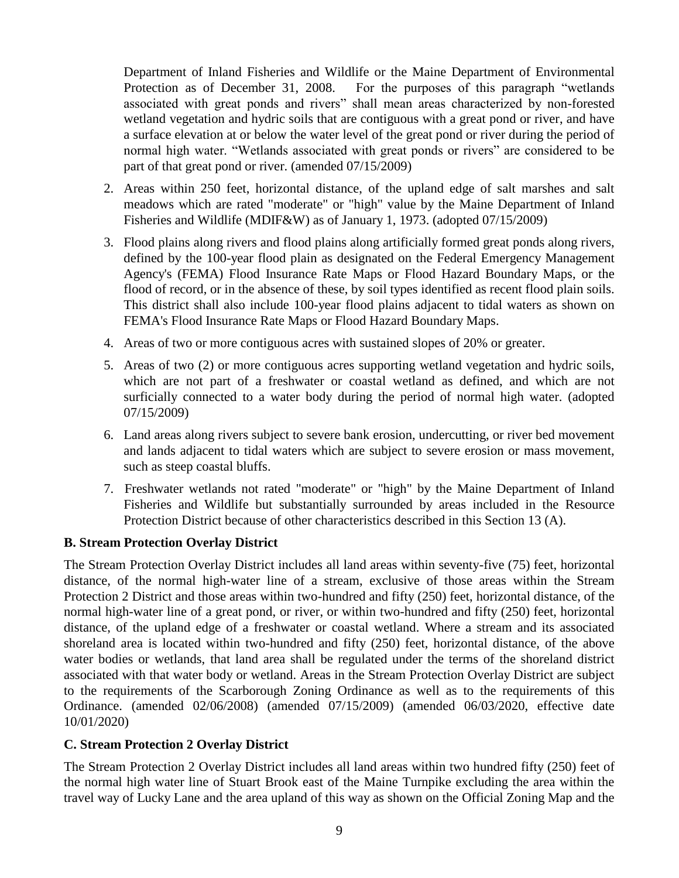Department of Inland Fisheries and Wildlife or the Maine Department of Environmental Protection as of December 31, 2008. For the purposes of this paragraph "wetlands associated with great ponds and rivers" shall mean areas characterized by non-forested wetland vegetation and hydric soils that are contiguous with a great pond or river, and have a surface elevation at or below the water level of the great pond or river during the period of normal high water. "Wetlands associated with great ponds or rivers" are considered to be part of that great pond or river. (amended 07/15/2009)

- 2. Areas within 250 feet, horizontal distance, of the upland edge of salt marshes and salt meadows which are rated "moderate" or "high" value by the Maine Department of Inland Fisheries and Wildlife (MDIF&W) as of January 1, 1973. (adopted 07/15/2009)
- 3. Flood plains along rivers and flood plains along artificially formed great ponds along rivers, defined by the 100-year flood plain as designated on the Federal Emergency Management Agency's (FEMA) Flood Insurance Rate Maps or Flood Hazard Boundary Maps, or the flood of record, or in the absence of these, by soil types identified as recent flood plain soils. This district shall also include 100-year flood plains adjacent to tidal waters as shown on FEMA's Flood Insurance Rate Maps or Flood Hazard Boundary Maps.
- 4. Areas of two or more contiguous acres with sustained slopes of 20% or greater.
- 5. Areas of two (2) or more contiguous acres supporting wetland vegetation and hydric soils, which are not part of a freshwater or coastal wetland as defined, and which are not surficially connected to a water body during the period of normal high water. (adopted 07/15/2009)
- 6. Land areas along rivers subject to severe bank erosion, undercutting, or river bed movement and lands adjacent to tidal waters which are subject to severe erosion or mass movement, such as steep coastal bluffs.
- 7. Freshwater wetlands not rated "moderate" or "high" by the Maine Department of Inland Fisheries and Wildlife but substantially surrounded by areas included in the Resource Protection District because of other characteristics described in this Section 13 (A).

# **B. Stream Protection Overlay District**

The Stream Protection Overlay District includes all land areas within seventy-five (75) feet, horizontal distance, of the normal high-water line of a stream, exclusive of those areas within the Stream Protection 2 District and those areas within two-hundred and fifty (250) feet, horizontal distance, of the normal high-water line of a great pond, or river, or within two-hundred and fifty (250) feet, horizontal distance, of the upland edge of a freshwater or coastal wetland. Where a stream and its associated shoreland area is located within two-hundred and fifty (250) feet, horizontal distance, of the above water bodies or wetlands, that land area shall be regulated under the terms of the shoreland district associated with that water body or wetland. Areas in the Stream Protection Overlay District are subject to the requirements of the Scarborough Zoning Ordinance as well as to the requirements of this Ordinance. (amended 02/06/2008) (amended 07/15/2009) (amended 06/03/2020, effective date 10/01/2020)

# **C. Stream Protection 2 Overlay District**

The Stream Protection 2 Overlay District includes all land areas within two hundred fifty (250) feet of the normal high water line of Stuart Brook east of the Maine Turnpike excluding the area within the travel way of Lucky Lane and the area upland of this way as shown on the Official Zoning Map and the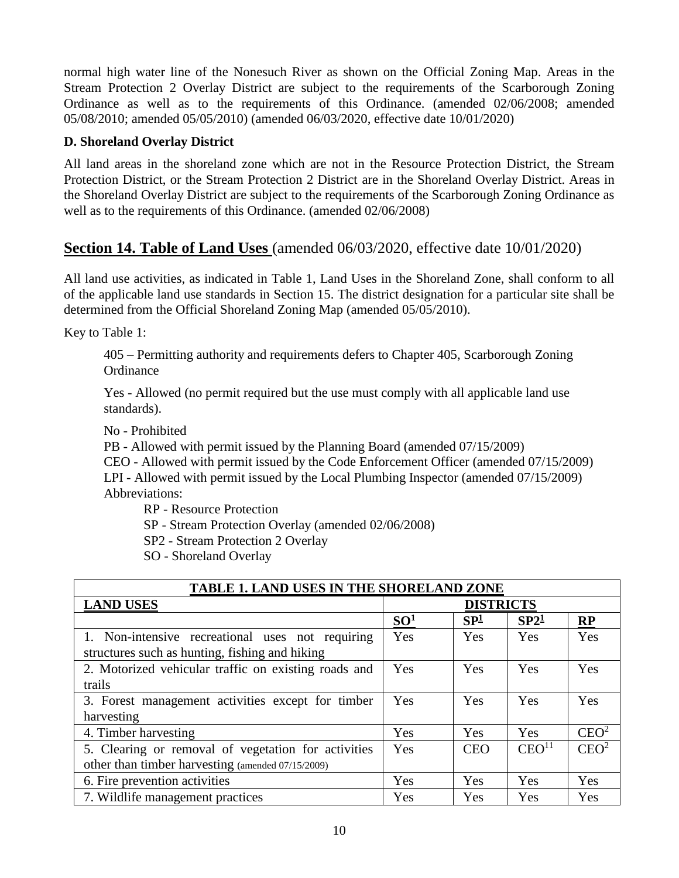normal high water line of the Nonesuch River as shown on the Official Zoning Map. Areas in the Stream Protection 2 Overlay District are subject to the requirements of the Scarborough Zoning Ordinance as well as to the requirements of this Ordinance. (amended 02/06/2008; amended 05/08/2010; amended 05/05/2010) (amended 06/03/2020, effective date 10/01/2020)

## **D. Shoreland Overlay District**

All land areas in the shoreland zone which are not in the Resource Protection District, the Stream Protection District, or the Stream Protection 2 District are in the Shoreland Overlay District. Areas in the Shoreland Overlay District are subject to the requirements of the Scarborough Zoning Ordinance as well as to the requirements of this Ordinance. (amended 02/06/2008)

# **Section 14. Table of Land Uses** (amended 06/03/2020, effective date 10/01/2020)

All land use activities, as indicated in Table 1, Land Uses in the Shoreland Zone, shall conform to all of the applicable land use standards in Section 15. The district designation for a particular site shall be determined from the Official Shoreland Zoning Map (amended 05/05/2010).

Key to Table 1:

405 – Permitting authority and requirements defers to Chapter 405, Scarborough Zoning **Ordinance** 

Yes - Allowed (no permit required but the use must comply with all applicable land use standards).

No - Prohibited

PB - Allowed with permit issued by the Planning Board (amended 07/15/2009)

CEO - Allowed with permit issued by the Code Enforcement Officer (amended 07/15/2009) LPI - Allowed with permit issued by the Local Plumbing Inspector (amended 07/15/2009) Abbreviations:

RP - Resource Protection

SP - Stream Protection Overlay (amended 02/06/2008)

SP2 - Stream Protection 2 Overlay

SO - Shoreland Overlay

| <b>TABLE 1. LAND USES IN THE SHORELAND ZONE</b>                                                          |                  |                 |                   |                  |
|----------------------------------------------------------------------------------------------------------|------------------|-----------------|-------------------|------------------|
| <b>LAND USES</b>                                                                                         | <b>DISTRICTS</b> |                 |                   |                  |
|                                                                                                          | SO <sup>1</sup>  | SP <sup>1</sup> | SP2 <sup>1</sup>  | RP               |
| 1. Non-intensive recreational uses not requiring<br>structures such as hunting, fishing and hiking       | Yes              | Yes             | Yes               | Yes              |
| 2. Motorized vehicular traffic on existing roads and<br>trails                                           | Yes              | Yes             | Yes               | Yes              |
| 3. Forest management activities except for timber<br>harvesting                                          | Yes              | Yes             | Yes               | Yes              |
| 4. Timber harvesting                                                                                     | Yes              | Yes             | Yes               | CEO <sup>2</sup> |
| 5. Clearing or removal of vegetation for activities<br>other than timber harvesting (amended 07/15/2009) | Yes              | <b>CEO</b>      | CEO <sup>11</sup> | CEO <sup>2</sup> |
| 6. Fire prevention activities                                                                            | Yes              | Yes             | Yes               | Yes              |
| 7. Wildlife management practices                                                                         | Yes              | Yes             | Yes               | Yes              |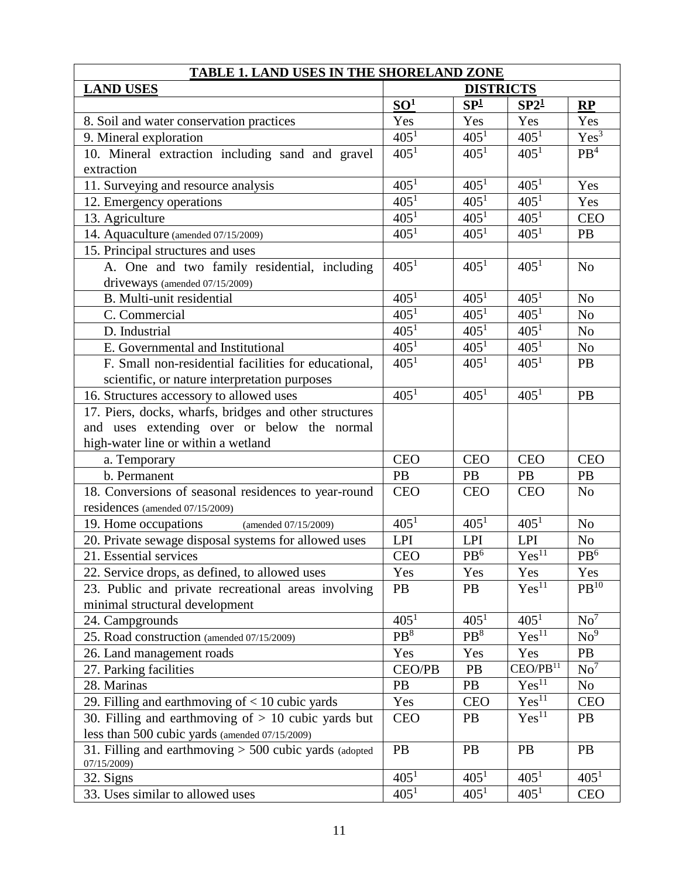| <b>TABLE 1. LAND USES IN THE SHORELAND ZONE</b>          |                  |                  |                      |                  |
|----------------------------------------------------------|------------------|------------------|----------------------|------------------|
| <b>LAND USES</b>                                         | <b>DISTRICTS</b> |                  |                      |                  |
|                                                          | SO <sup>1</sup>  | SP <sup>1</sup>  | SP2 <sup>1</sup>     | RP               |
| 8. Soil and water conservation practices                 | Yes              | Yes              | Yes                  | Yes              |
| 9. Mineral exploration                                   | 405 <sup>1</sup> | $405^{1}$        | 405 <sup>1</sup>     | $Yes^3$          |
| 10. Mineral extraction including sand and gravel         | 405 <sup>1</sup> | 405 <sup>1</sup> | 405 <sup>1</sup>     | PB <sup>4</sup>  |
| extraction                                               |                  |                  |                      |                  |
| 11. Surveying and resource analysis                      | 405 <sup>1</sup> | 405 <sup>1</sup> | 405 <sup>1</sup>     | Yes              |
| 12. Emergency operations                                 | 405 <sup>1</sup> | $405^{1}$        | 405 <sup>1</sup>     | Yes              |
| 13. Agriculture                                          | 405 <sup>1</sup> | 405 <sup>1</sup> | 405 <sup>1</sup>     | <b>CEO</b>       |
| 14. Aquaculture (amended 07/15/2009)                     | 405 <sup>1</sup> | 405 <sup>1</sup> | 405 <sup>1</sup>     | PB               |
| 15. Principal structures and uses                        |                  |                  |                      |                  |
| A. One and two family residential, including             | 405 <sup>1</sup> | 405 <sup>1</sup> | 405 <sup>1</sup>     | N <sub>o</sub>   |
| driveways (amended 07/15/2009)                           |                  |                  |                      |                  |
| B. Multi-unit residential                                | 405 <sup>1</sup> | 405 <sup>1</sup> | 405 <sup>1</sup>     | N <sub>o</sub>   |
| C. Commercial                                            | 405 <sup>1</sup> | 405 <sup>1</sup> | 405 <sup>1</sup>     | N <sub>o</sub>   |
| D. Industrial                                            | 405 <sup>1</sup> | 405 <sup>1</sup> | 405 <sup>1</sup>     | N <sub>o</sub>   |
| E. Governmental and Institutional                        | 405 <sup>1</sup> | 405 <sup>1</sup> | 405 <sup>1</sup>     | No               |
| F. Small non-residential facilities for educational,     | $405^{1}$        | 405 <sup>1</sup> | 405 <sup>1</sup>     | PB               |
| scientific, or nature interpretation purposes            |                  |                  |                      |                  |
| 16. Structures accessory to allowed uses                 | $405^{1}$        | $405^{1}$        | 405 <sup>1</sup>     | PB               |
| 17. Piers, docks, wharfs, bridges and other structures   |                  |                  |                      |                  |
| and uses extending over or below the normal              |                  |                  |                      |                  |
| high-water line or within a wetland                      |                  |                  |                      |                  |
| a. Temporary                                             | <b>CEO</b>       | <b>CEO</b>       | <b>CEO</b>           | <b>CEO</b>       |
| b. Permanent                                             | PB               | PB               | PB                   | PB               |
| 18. Conversions of seasonal residences to year-round     | <b>CEO</b>       | <b>CEO</b>       | <b>CEO</b>           | N <sub>o</sub>   |
| residences (amended 07/15/2009)                          |                  |                  |                      |                  |
| 19. Home occupations<br>(amended 07/15/2009)             | $405^1$          | $405^1$          | 405 <sup>1</sup>     | N <sub>o</sub>   |
| 20. Private sewage disposal systems for allowed uses     | <b>LPI</b>       | <b>LPI</b>       | <b>LPI</b>           | No               |
| 21. Essential services                                   | <b>CEO</b>       | PB <sup>6</sup>  | Yes <sup>11</sup>    | $\rm PB^6$       |
| 22. Service drops, as defined, to allowed uses           | Yes              | Yes              | Yes                  | Yes              |
| 23. Public and private recreational areas involving      | PB               | <b>PB</b>        | Yes <sup>11</sup>    | PB <sup>10</sup> |
| minimal structural development                           |                  |                  |                      |                  |
| 24. Campgrounds                                          | $405^1$          | 405 <sup>1</sup> | $405^1$              | No <sup>7</sup>  |
| 25. Road construction (amended 07/15/2009)               | PB <sup>8</sup>  | PB <sup>8</sup>  | Yes <sup>11</sup>    | No <sup>9</sup>  |
| 26. Land management roads                                | Yes              | Yes              | Yes                  | <b>PB</b>        |
| 27. Parking facilities                                   | CEO/PB           | PB               | CEO/PB <sup>11</sup> | No <sup>7</sup>  |
| 28. Marinas                                              | PB               | PB               | Yes <sup>11</sup>    | N <sub>0</sub>   |
| 29. Filling and earthmoving of $<$ 10 cubic yards        | Yes              | <b>CEO</b>       | Yes <sup>11</sup>    | <b>CEO</b>       |
| 30. Filling and earthmoving of $> 10$ cubic yards but    | <b>CEO</b>       | <b>PB</b>        | Yes <sup>11</sup>    | PB               |
| less than 500 cubic yards (amended 07/15/2009)           |                  |                  |                      |                  |
| 31. Filling and earthmoving $> 500$ cubic yards (adopted | PB               | <b>PB</b>        | PB                   | <b>PB</b>        |
| 07/15/2009)                                              |                  |                  |                      |                  |
| 32. Signs                                                | 405 <sup>1</sup> | 405 <sup>1</sup> | 405 <sup>1</sup>     | 405 <sup>1</sup> |
| 33. Uses similar to allowed uses                         | 405 <sup>1</sup> | 405 <sup>1</sup> | 405 <sup>1</sup>     | <b>CEO</b>       |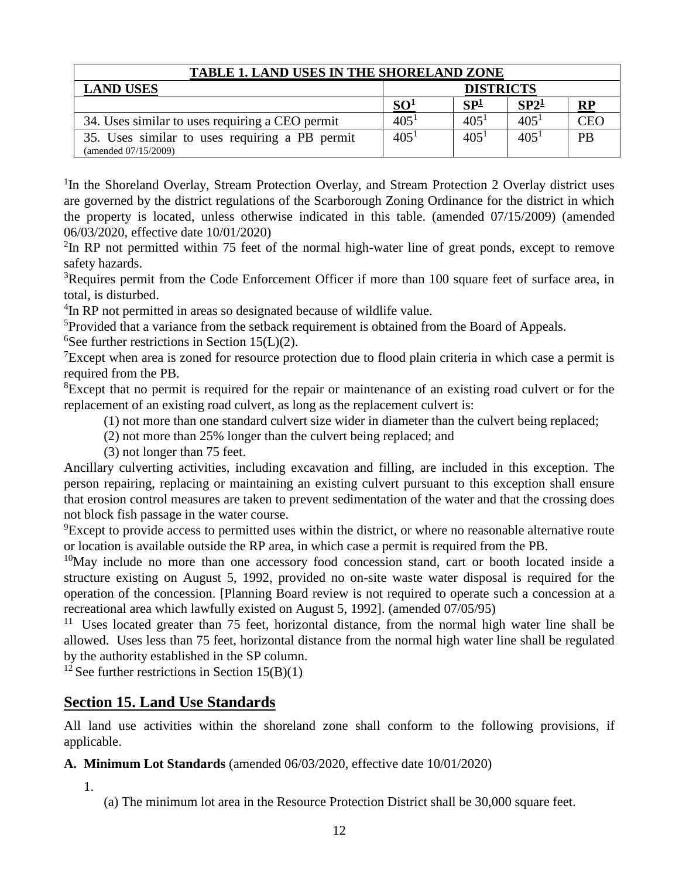| <b>TABLE 1. LAND USES IN THE SHORELAND ZONE</b>                        |                  |                  |                  |               |
|------------------------------------------------------------------------|------------------|------------------|------------------|---------------|
| <b>LAND USES</b>                                                       | <b>DISTRICTS</b> |                  |                  |               |
|                                                                        | SO <sup>1</sup>  | SP <sup>1</sup>  | SP2 <sup>1</sup> | $\mathbf{RP}$ |
| 34. Uses similar to uses requiring a CEO permit                        | 405 <sup>1</sup> | 405 <sup>1</sup> | 405 <sup>1</sup> | CEC           |
| 35. Uses similar to uses requiring a PB permit<br>(amended 07/15/2009) | 405 <sup>1</sup> | 405 <sup>1</sup> | 405 <sup>1</sup> | <b>PB</b>     |

<sup>1</sup>In the Shoreland Overlay, Stream Protection Overlay, and Stream Protection 2 Overlay district uses are governed by the district regulations of the Scarborough Zoning Ordinance for the district in which the property is located, unless otherwise indicated in this table. (amended 07/15/2009) (amended 06/03/2020, effective date 10/01/2020)

 $2$ In RP not permitted within 75 feet of the normal high-water line of great ponds, except to remove safety hazards.

<sup>3</sup>Requires permit from the Code Enforcement Officer if more than 100 square feet of surface area, in total, is disturbed.

<sup>4</sup>In RP not permitted in areas so designated because of wildlife value.

<sup>5</sup>Provided that a variance from the setback requirement is obtained from the Board of Appeals.

<sup>6</sup>See further restrictions in Section 15(L)(2).

<sup>7</sup>Except when area is zoned for resource protection due to flood plain criteria in which case a permit is required from the PB.

<sup>8</sup>Except that no permit is required for the repair or maintenance of an existing road culvert or for the replacement of an existing road culvert, as long as the replacement culvert is:

(1) not more than one standard culvert size wider in diameter than the culvert being replaced;

(2) not more than 25% longer than the culvert being replaced; and

(3) not longer than 75 feet.

Ancillary culverting activities, including excavation and filling, are included in this exception. The person repairing, replacing or maintaining an existing culvert pursuant to this exception shall ensure that erosion control measures are taken to prevent sedimentation of the water and that the crossing does not block fish passage in the water course.

 ${}^{9}$ Except to provide access to permitted uses within the district, or where no reasonable alternative route or location is available outside the RP area, in which case a permit is required from the PB.

 $10$ May include no more than one accessory food concession stand, cart or booth located inside a structure existing on August 5, 1992, provided no on-site waste water disposal is required for the operation of the concession. [Planning Board review is not required to operate such a concession at a recreational area which lawfully existed on August 5, 1992]. (amended 07/05/95)

<sup>11</sup> Uses located greater than 75 feet, horizontal distance, from the normal high water line shall be allowed. Uses less than 75 feet, horizontal distance from the normal high water line shall be regulated by the authority established in the SP column.

<sup>12</sup> See further restrictions in Section  $15(B)(1)$ 

# **Section 15. Land Use Standards**

All land use activities within the shoreland zone shall conform to the following provisions, if applicable.

# **A. Minimum Lot Standards** (amended 06/03/2020, effective date 10/01/2020)

1.

(a) The minimum lot area in the Resource Protection District shall be 30,000 square feet.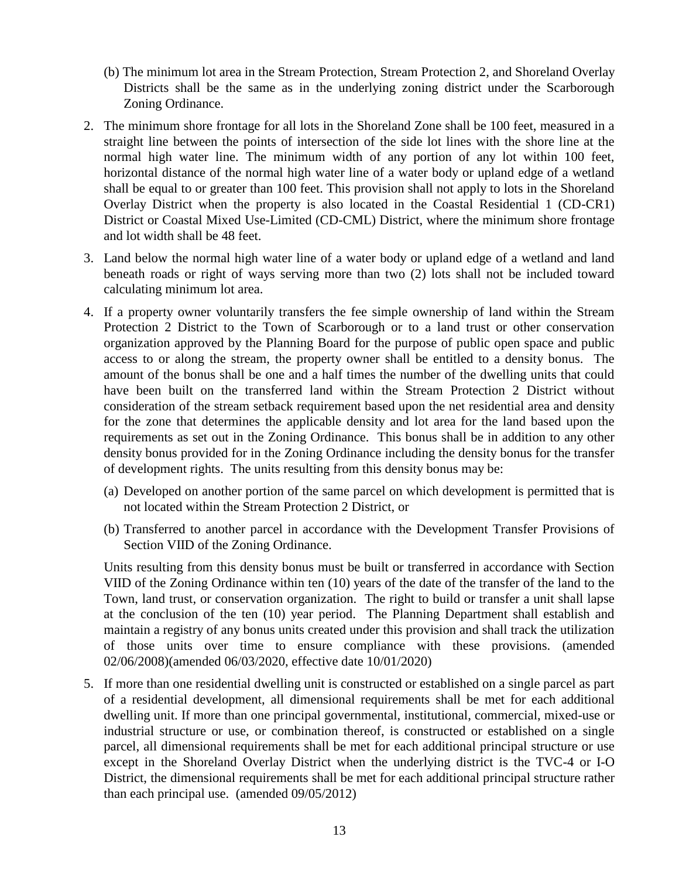- (b) The minimum lot area in the Stream Protection, Stream Protection 2, and Shoreland Overlay Districts shall be the same as in the underlying zoning district under the Scarborough Zoning Ordinance.
- 2. The minimum shore frontage for all lots in the Shoreland Zone shall be 100 feet, measured in a straight line between the points of intersection of the side lot lines with the shore line at the normal high water line. The minimum width of any portion of any lot within 100 feet, horizontal distance of the normal high water line of a water body or upland edge of a wetland shall be equal to or greater than 100 feet. This provision shall not apply to lots in the Shoreland Overlay District when the property is also located in the Coastal Residential 1 (CD-CR1) District or Coastal Mixed Use-Limited (CD-CML) District, where the minimum shore frontage and lot width shall be 48 feet.
- 3. Land below the normal high water line of a water body or upland edge of a wetland and land beneath roads or right of ways serving more than two (2) lots shall not be included toward calculating minimum lot area.
- 4. If a property owner voluntarily transfers the fee simple ownership of land within the Stream Protection 2 District to the Town of Scarborough or to a land trust or other conservation organization approved by the Planning Board for the purpose of public open space and public access to or along the stream, the property owner shall be entitled to a density bonus. The amount of the bonus shall be one and a half times the number of the dwelling units that could have been built on the transferred land within the Stream Protection 2 District without consideration of the stream setback requirement based upon the net residential area and density for the zone that determines the applicable density and lot area for the land based upon the requirements as set out in the Zoning Ordinance. This bonus shall be in addition to any other density bonus provided for in the Zoning Ordinance including the density bonus for the transfer of development rights. The units resulting from this density bonus may be:
	- (a) Developed on another portion of the same parcel on which development is permitted that is not located within the Stream Protection 2 District, or
	- (b) Transferred to another parcel in accordance with the Development Transfer Provisions of Section VIID of the Zoning Ordinance.

Units resulting from this density bonus must be built or transferred in accordance with Section VIID of the Zoning Ordinance within ten (10) years of the date of the transfer of the land to the Town, land trust, or conservation organization. The right to build or transfer a unit shall lapse at the conclusion of the ten (10) year period. The Planning Department shall establish and maintain a registry of any bonus units created under this provision and shall track the utilization of those units over time to ensure compliance with these provisions. (amended 02/06/2008)(amended 06/03/2020, effective date 10/01/2020)

5. If more than one residential dwelling unit is constructed or established on a single parcel as part of a residential development, all dimensional requirements shall be met for each additional dwelling unit. If more than one principal governmental, institutional, commercial, mixed-use or industrial structure or use, or combination thereof, is constructed or established on a single parcel, all dimensional requirements shall be met for each additional principal structure or use except in the Shoreland Overlay District when the underlying district is the TVC-4 or I-O District, the dimensional requirements shall be met for each additional principal structure rather than each principal use. (amended 09/05/2012)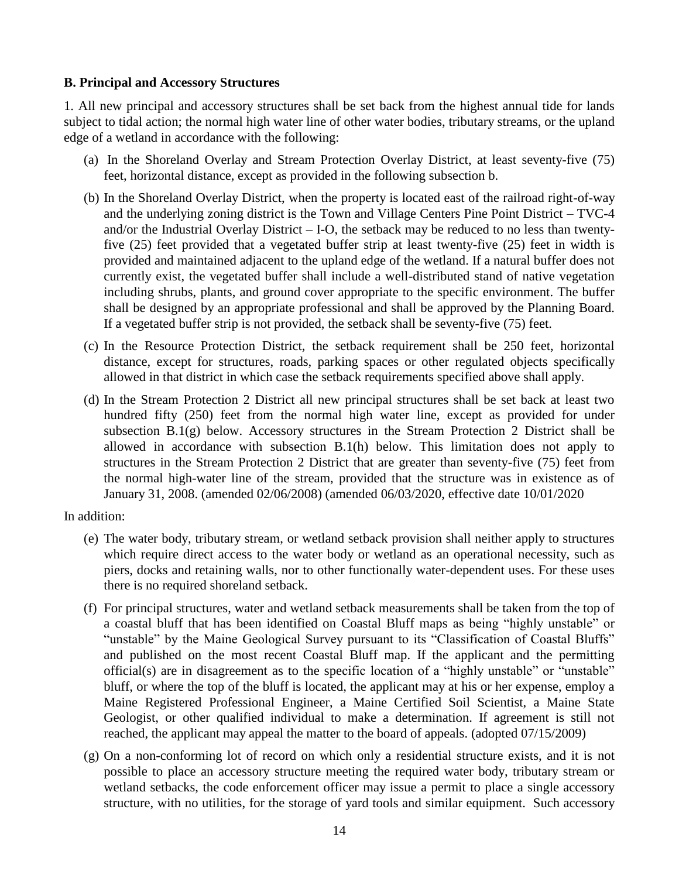#### **B. Principal and Accessory Structures**

1. All new principal and accessory structures shall be set back from the highest annual tide for lands subject to tidal action; the normal high water line of other water bodies, tributary streams, or the upland edge of a wetland in accordance with the following:

- (a) In the Shoreland Overlay and Stream Protection Overlay District, at least seventy-five (75) feet, horizontal distance, except as provided in the following subsection b.
- (b) In the Shoreland Overlay District, when the property is located east of the railroad right-of-way and the underlying zoning district is the Town and Village Centers Pine Point District – TVC-4 and/or the Industrial Overlay District – I-O, the setback may be reduced to no less than twentyfive (25) feet provided that a vegetated buffer strip at least twenty-five (25) feet in width is provided and maintained adjacent to the upland edge of the wetland. If a natural buffer does not currently exist, the vegetated buffer shall include a well-distributed stand of native vegetation including shrubs, plants, and ground cover appropriate to the specific environment. The buffer shall be designed by an appropriate professional and shall be approved by the Planning Board. If a vegetated buffer strip is not provided, the setback shall be seventy-five (75) feet.
- (c) In the Resource Protection District, the setback requirement shall be 250 feet, horizontal distance, except for structures, roads, parking spaces or other regulated objects specifically allowed in that district in which case the setback requirements specified above shall apply.
- (d) In the Stream Protection 2 District all new principal structures shall be set back at least two hundred fifty (250) feet from the normal high water line, except as provided for under subsection  $B(1(g))$  below. Accessory structures in the Stream Protection 2 District shall be allowed in accordance with subsection B.1(h) below. This limitation does not apply to structures in the Stream Protection 2 District that are greater than seventy-five (75) feet from the normal high-water line of the stream, provided that the structure was in existence as of January 31, 2008. (amended 02/06/2008) (amended 06/03/2020, effective date 10/01/2020

In addition:

- (e) The water body, tributary stream, or wetland setback provision shall neither apply to structures which require direct access to the water body or wetland as an operational necessity, such as piers, docks and retaining walls, nor to other functionally water-dependent uses. For these uses there is no required shoreland setback.
- (f) For principal structures, water and wetland setback measurements shall be taken from the top of a coastal bluff that has been identified on Coastal Bluff maps as being "highly unstable" or "unstable" by the Maine Geological Survey pursuant to its "Classification of Coastal Bluffs" and published on the most recent Coastal Bluff map. If the applicant and the permitting official(s) are in disagreement as to the specific location of a "highly unstable" or "unstable" bluff, or where the top of the bluff is located, the applicant may at his or her expense, employ a Maine Registered Professional Engineer, a Maine Certified Soil Scientist, a Maine State Geologist, or other qualified individual to make a determination. If agreement is still not reached, the applicant may appeal the matter to the board of appeals. (adopted 07/15/2009)
- (g) On a non-conforming lot of record on which only a residential structure exists, and it is not possible to place an accessory structure meeting the required water body, tributary stream or wetland setbacks, the code enforcement officer may issue a permit to place a single accessory structure, with no utilities, for the storage of yard tools and similar equipment. Such accessory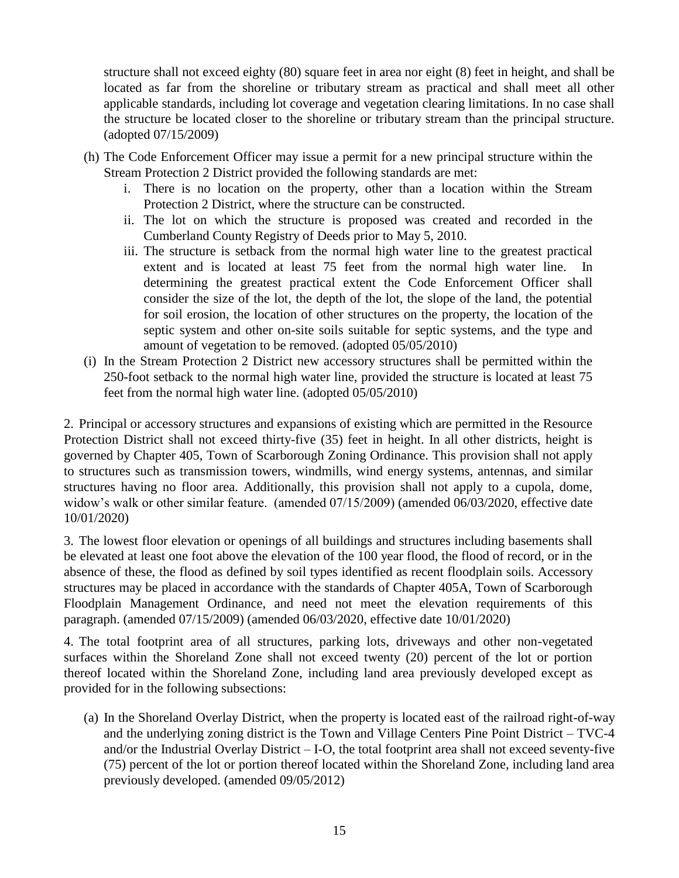structure shall not exceed eighty (80) square feet in area nor eight (8) feet in height, and shall be located as far from the shoreline or tributary stream as practical and shall meet all other applicable standards, including lot coverage and vegetation clearing limitations. In no case shall the structure be located closer to the shoreline or tributary stream than the principal structure. (adopted 07/15/2009)

- (h) The Code Enforcement Officer may issue a permit for a new principal structure within the Stream Protection 2 District provided the following standards are met:
	- i. There is no location on the property, other than a location within the Stream Protection 2 District, where the structure can be constructed.
	- ii. The lot on which the structure is proposed was created and recorded in the Cumberland County Registry of Deeds prior to May 5, 2010.
	- iii. The structure is setback from the normal high water line to the greatest practical extent and is located at least 75 feet from the normal high water line. In determining the greatest practical extent the Code Enforcement Officer shall consider the size of the lot, the depth of the lot, the slope of the land, the potential for soil erosion, the location of other structures on the property, the location of the septic system and other on-site soils suitable for septic systems, and the type and amount of vegetation to be removed. (adopted 05/05/2010)
- (i) In the Stream Protection 2 District new accessory structures shall be permitted within the 250-foot setback to the normal high water line, provided the structure is located at least 75 feet from the normal high water line. (adopted 05/05/2010)

2. Principal or accessory structures and expansions of existing which are permitted in the Resource Protection District shall not exceed thirty-five (35) feet in height. In all other districts, height is governed by Chapter 405, Town of Scarborough Zoning Ordinance. This provision shall not apply to structures such as transmission towers, windmills, wind energy systems, antennas, and similar structures having no floor area. Additionally, this provision shall not apply to a cupola, dome, widow's walk or other similar feature. (amended 07/15/2009) (amended 06/03/2020, effective date 10/01/2020)

3. The lowest floor elevation or openings of all buildings and structures including basements shall be elevated at least one foot above the elevation of the 100 year flood, the flood of record, or in the absence of these, the flood as defined by soil types identified as recent floodplain soils. Accessory structures may be placed in accordance with the standards of Chapter 405A, Town of Scarborough Floodplain Management Ordinance, and need not meet the elevation requirements of this paragraph. (amended 07/15/2009) (amended 06/03/2020, effective date 10/01/2020)

4. The total footprint area of all structures, parking lots, driveways and other non-vegetated surfaces within the Shoreland Zone shall not exceed twenty (20) percent of the lot or portion thereof located within the Shoreland Zone, including land area previously developed except as provided for in the following subsections:

(a) In the Shoreland Overlay District, when the property is located east of the railroad right-of-way and the underlying zoning district is the Town and Village Centers Pine Point District – TVC-4 and/or the Industrial Overlay District – I-O, the total footprint area shall not exceed seventy-five (75) percent of the lot or portion thereof located within the Shoreland Zone, including land area previously developed. (amended 09/05/2012)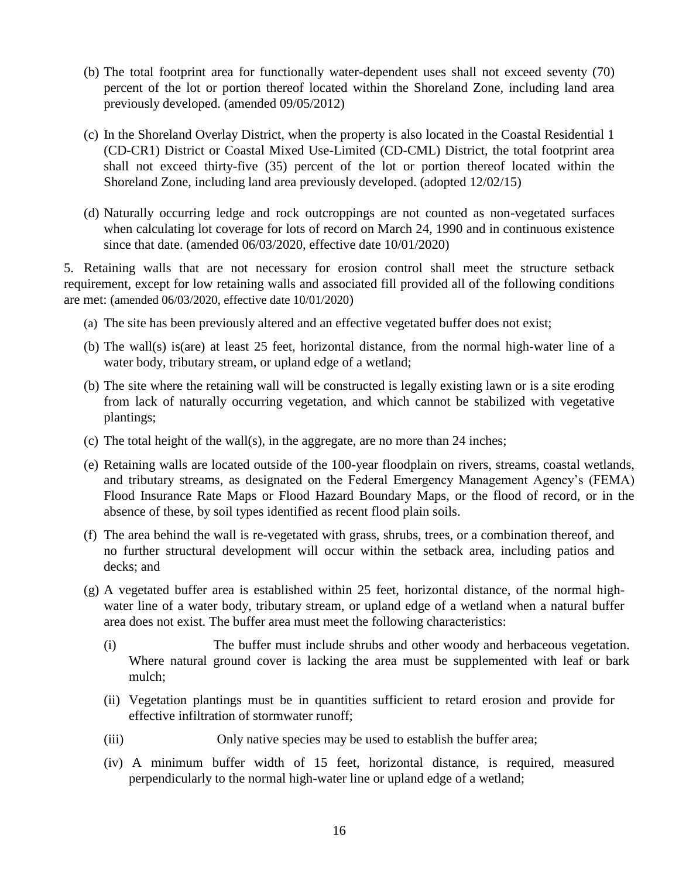- (b) The total footprint area for functionally water-dependent uses shall not exceed seventy (70) percent of the lot or portion thereof located within the Shoreland Zone, including land area previously developed. (amended 09/05/2012)
- (c) In the Shoreland Overlay District, when the property is also located in the Coastal Residential 1 (CD-CR1) District or Coastal Mixed Use-Limited (CD-CML) District, the total footprint area shall not exceed thirty-five (35) percent of the lot or portion thereof located within the Shoreland Zone, including land area previously developed. (adopted 12/02/15)
- (d) Naturally occurring ledge and rock outcroppings are not counted as non-vegetated surfaces when calculating lot coverage for lots of record on March 24, 1990 and in continuous existence since that date. (amended 06/03/2020, effective date 10/01/2020)

5. Retaining walls that are not necessary for erosion control shall meet the structure setback requirement, except for low retaining walls and associated fill provided all of the following conditions are met: (amended 06/03/2020, effective date 10/01/2020)

- (a) The site has been previously altered and an effective vegetated buffer does not exist;
- (b) The wall(s) is(are) at least 25 feet, horizontal distance, from the normal high-water line of a water body, tributary stream, or upland edge of a wetland;
- (b) The site where the retaining wall will be constructed is legally existing lawn or is a site eroding from lack of naturally occurring vegetation, and which cannot be stabilized with vegetative plantings;
- (c) The total height of the wall(s), in the aggregate, are no more than 24 inches;
- (e) Retaining walls are located outside of the 100-year floodplain on rivers, streams, coastal wetlands, and tributary streams, as designated on the Federal Emergency Management Agency's (FEMA) Flood Insurance Rate Maps or Flood Hazard Boundary Maps, or the flood of record, or in the absence of these, by soil types identified as recent flood plain soils.
- (f) The area behind the wall is re-vegetated with grass, shrubs, trees, or a combination thereof, and no further structural development will occur within the setback area, including patios and decks; and
- (g) A vegetated buffer area is established within 25 feet, horizontal distance, of the normal highwater line of a water body, tributary stream, or upland edge of a wetland when a natural buffer area does not exist. The buffer area must meet the following characteristics:
	- (i) The buffer must include shrubs and other woody and herbaceous vegetation. Where natural ground cover is lacking the area must be supplemented with leaf or bark mulch;
	- (ii) Vegetation plantings must be in quantities sufficient to retard erosion and provide for effective infiltration of stormwater runoff;
	- (iii) Only native species may be used to establish the buffer area;
	- (iv) A minimum buffer width of 15 feet, horizontal distance, is required, measured perpendicularly to the normal high-water line or upland edge of a wetland;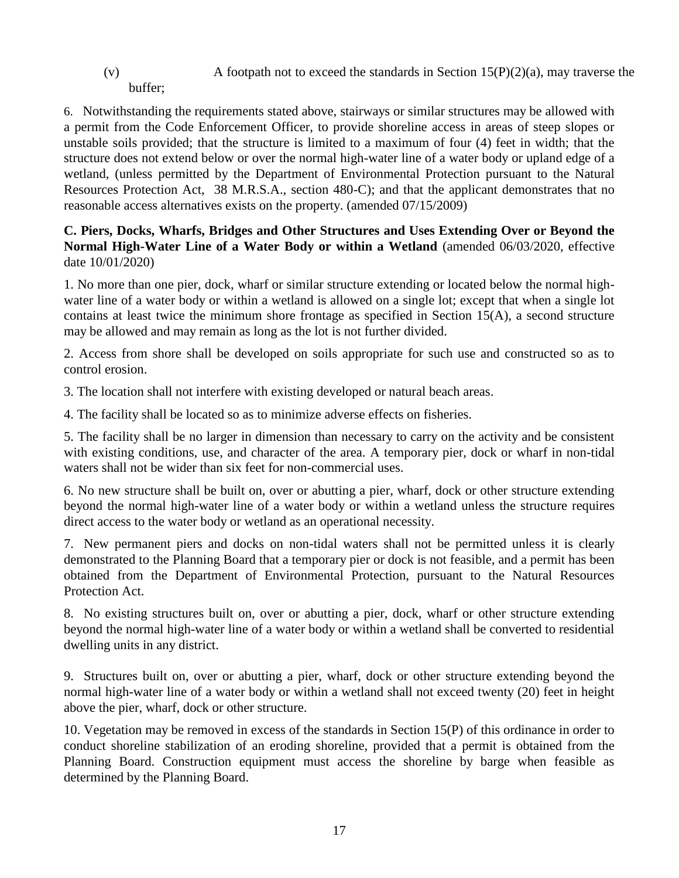(v) A footpath not to exceed the standards in Section  $15(P)(2)(a)$ , may traverse the

buffer;

6. Notwithstanding the requirements stated above, stairways or similar structures may be allowed with a permit from the Code Enforcement Officer, to provide shoreline access in areas of steep slopes or unstable soils provided; that the structure is limited to a maximum of four (4) feet in width; that the structure does not extend below or over the normal high-water line of a water body or upland edge of a wetland, (unless permitted by the Department of Environmental Protection pursuant to the Natural Resources Protection Act, 38 M.R.S.A., section 480-C); and that the applicant demonstrates that no reasonable access alternatives exists on the property. (amended 07/15/2009)

**C. Piers, Docks, Wharfs, Bridges and Other Structures and Uses Extending Over or Beyond the Normal High-Water Line of a Water Body or within a Wetland** (amended 06/03/2020, effective date 10/01/2020)

1. No more than one pier, dock, wharf or similar structure extending or located below the normal highwater line of a water body or within a wetland is allowed on a single lot; except that when a single lot contains at least twice the minimum shore frontage as specified in Section 15(A), a second structure may be allowed and may remain as long as the lot is not further divided.

2. Access from shore shall be developed on soils appropriate for such use and constructed so as to control erosion.

3. The location shall not interfere with existing developed or natural beach areas.

4. The facility shall be located so as to minimize adverse effects on fisheries.

5. The facility shall be no larger in dimension than necessary to carry on the activity and be consistent with existing conditions, use, and character of the area. A temporary pier, dock or wharf in non-tidal waters shall not be wider than six feet for non-commercial uses.

6. No new structure shall be built on, over or abutting a pier, wharf, dock or other structure extending beyond the normal high-water line of a water body or within a wetland unless the structure requires direct access to the water body or wetland as an operational necessity.

7. New permanent piers and docks on non-tidal waters shall not be permitted unless it is clearly demonstrated to the Planning Board that a temporary pier or dock is not feasible, and a permit has been obtained from the Department of Environmental Protection, pursuant to the Natural Resources Protection Act.

8. No existing structures built on, over or abutting a pier, dock, wharf or other structure extending beyond the normal high-water line of a water body or within a wetland shall be converted to residential dwelling units in any district.

9. Structures built on, over or abutting a pier, wharf, dock or other structure extending beyond the normal high-water line of a water body or within a wetland shall not exceed twenty (20) feet in height above the pier, wharf, dock or other structure.

10. Vegetation may be removed in excess of the standards in Section 15(P) of this ordinance in order to conduct shoreline stabilization of an eroding shoreline, provided that a permit is obtained from the Planning Board. Construction equipment must access the shoreline by barge when feasible as determined by the Planning Board.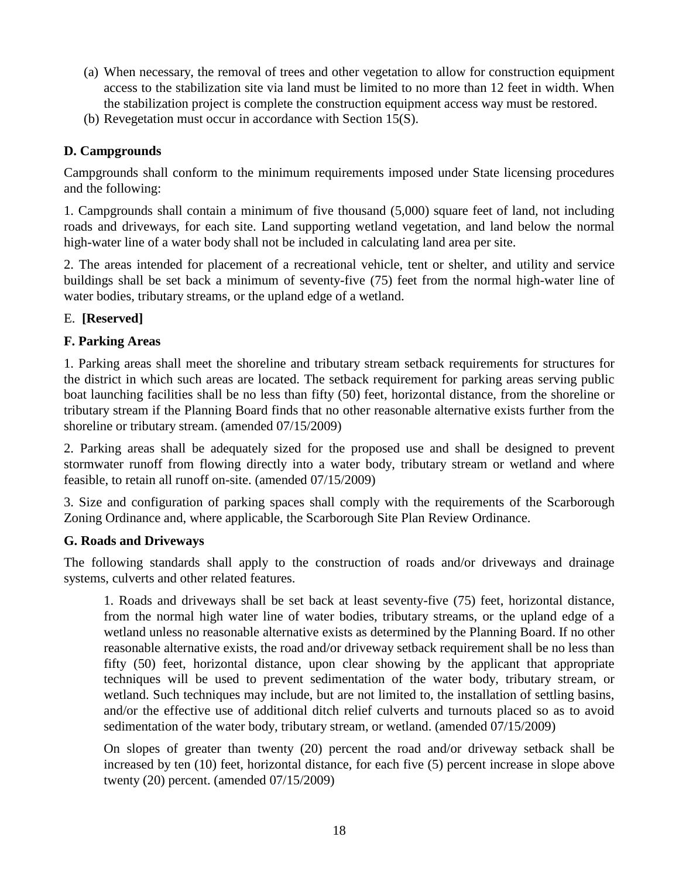- (a) When necessary, the removal of trees and other vegetation to allow for construction equipment access to the stabilization site via land must be limited to no more than 12 feet in width. When the stabilization project is complete the construction equipment access way must be restored.
- (b) Revegetation must occur in accordance with Section 15(S).

## **D. Campgrounds**

Campgrounds shall conform to the minimum requirements imposed under State licensing procedures and the following:

1. Campgrounds shall contain a minimum of five thousand (5,000) square feet of land, not including roads and driveways, for each site. Land supporting wetland vegetation, and land below the normal high-water line of a water body shall not be included in calculating land area per site.

2. The areas intended for placement of a recreational vehicle, tent or shelter, and utility and service buildings shall be set back a minimum of seventy-five (75) feet from the normal high-water line of water bodies, tributary streams, or the upland edge of a wetland.

## E. **[Reserved]**

## **F. Parking Areas**

1. Parking areas shall meet the shoreline and tributary stream setback requirements for structures for the district in which such areas are located. The setback requirement for parking areas serving public boat launching facilities shall be no less than fifty (50) feet, horizontal distance, from the shoreline or tributary stream if the Planning Board finds that no other reasonable alternative exists further from the shoreline or tributary stream. (amended 07/15/2009)

2. Parking areas shall be adequately sized for the proposed use and shall be designed to prevent stormwater runoff from flowing directly into a water body, tributary stream or wetland and where feasible, to retain all runoff on-site. (amended 07/15/2009)

3. Size and configuration of parking spaces shall comply with the requirements of the Scarborough Zoning Ordinance and, where applicable, the Scarborough Site Plan Review Ordinance.

#### **G. Roads and Driveways**

The following standards shall apply to the construction of roads and/or driveways and drainage systems, culverts and other related features.

1. Roads and driveways shall be set back at least seventy-five (75) feet, horizontal distance, from the normal high water line of water bodies, tributary streams, or the upland edge of a wetland unless no reasonable alternative exists as determined by the Planning Board. If no other reasonable alternative exists, the road and/or driveway setback requirement shall be no less than fifty (50) feet, horizontal distance, upon clear showing by the applicant that appropriate techniques will be used to prevent sedimentation of the water body, tributary stream, or wetland. Such techniques may include, but are not limited to, the installation of settling basins, and/or the effective use of additional ditch relief culverts and turnouts placed so as to avoid sedimentation of the water body, tributary stream, or wetland. (amended 07/15/2009)

On slopes of greater than twenty (20) percent the road and/or driveway setback shall be increased by ten (10) feet, horizontal distance, for each five (5) percent increase in slope above twenty (20) percent. (amended 07/15/2009)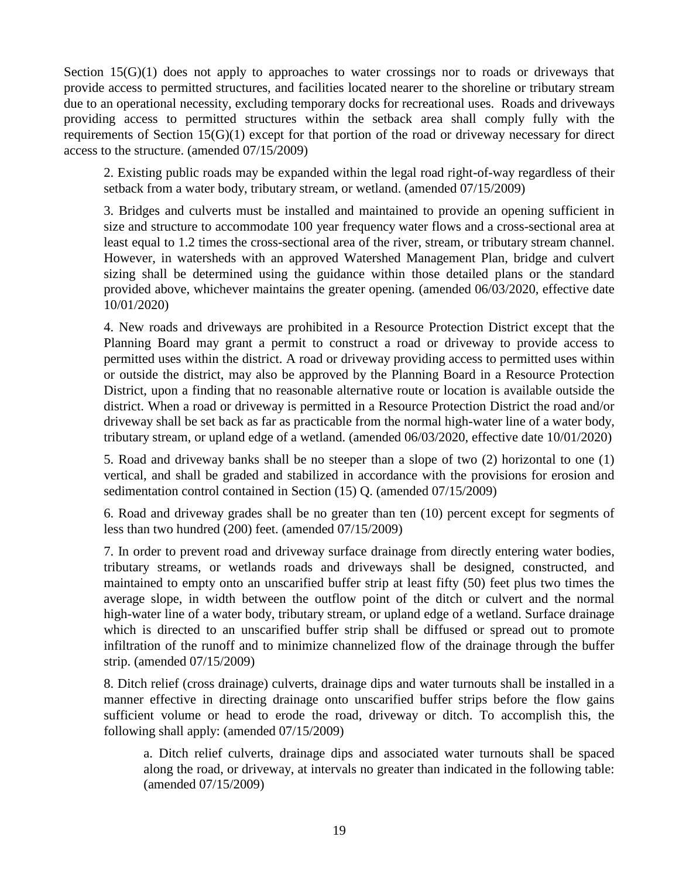Section 15(G)(1) does not apply to approaches to water crossings nor to roads or driveways that provide access to permitted structures, and facilities located nearer to the shoreline or tributary stream due to an operational necessity, excluding temporary docks for recreational uses. Roads and driveways providing access to permitted structures within the setback area shall comply fully with the requirements of Section 15(G)(1) except for that portion of the road or driveway necessary for direct access to the structure. (amended 07/15/2009)

2. Existing public roads may be expanded within the legal road right-of-way regardless of their setback from a water body, tributary stream, or wetland. (amended 07/15/2009)

3. Bridges and culverts must be installed and maintained to provide an opening sufficient in size and structure to accommodate 100 year frequency water flows and a cross-sectional area at least equal to 1.2 times the cross-sectional area of the river, stream, or tributary stream channel. However, in watersheds with an approved Watershed Management Plan, bridge and culvert sizing shall be determined using the guidance within those detailed plans or the standard provided above, whichever maintains the greater opening. (amended 06/03/2020, effective date 10/01/2020)

4. New roads and driveways are prohibited in a Resource Protection District except that the Planning Board may grant a permit to construct a road or driveway to provide access to permitted uses within the district. A road or driveway providing access to permitted uses within or outside the district, may also be approved by the Planning Board in a Resource Protection District, upon a finding that no reasonable alternative route or location is available outside the district. When a road or driveway is permitted in a Resource Protection District the road and/or driveway shall be set back as far as practicable from the normal high-water line of a water body, tributary stream, or upland edge of a wetland. (amended 06/03/2020, effective date 10/01/2020)

5. Road and driveway banks shall be no steeper than a slope of two (2) horizontal to one (1) vertical, and shall be graded and stabilized in accordance with the provisions for erosion and sedimentation control contained in Section (15) Q. (amended 07/15/2009)

6. Road and driveway grades shall be no greater than ten (10) percent except for segments of less than two hundred (200) feet. (amended 07/15/2009)

7. In order to prevent road and driveway surface drainage from directly entering water bodies, tributary streams, or wetlands roads and driveways shall be designed, constructed, and maintained to empty onto an unscarified buffer strip at least fifty (50) feet plus two times the average slope, in width between the outflow point of the ditch or culvert and the normal high-water line of a water body, tributary stream, or upland edge of a wetland. Surface drainage which is directed to an unscarified buffer strip shall be diffused or spread out to promote infiltration of the runoff and to minimize channelized flow of the drainage through the buffer strip. (amended 07/15/2009)

8. Ditch relief (cross drainage) culverts, drainage dips and water turnouts shall be installed in a manner effective in directing drainage onto unscarified buffer strips before the flow gains sufficient volume or head to erode the road, driveway or ditch. To accomplish this, the following shall apply: (amended 07/15/2009)

a. Ditch relief culverts, drainage dips and associated water turnouts shall be spaced along the road, or driveway, at intervals no greater than indicated in the following table: (amended 07/15/2009)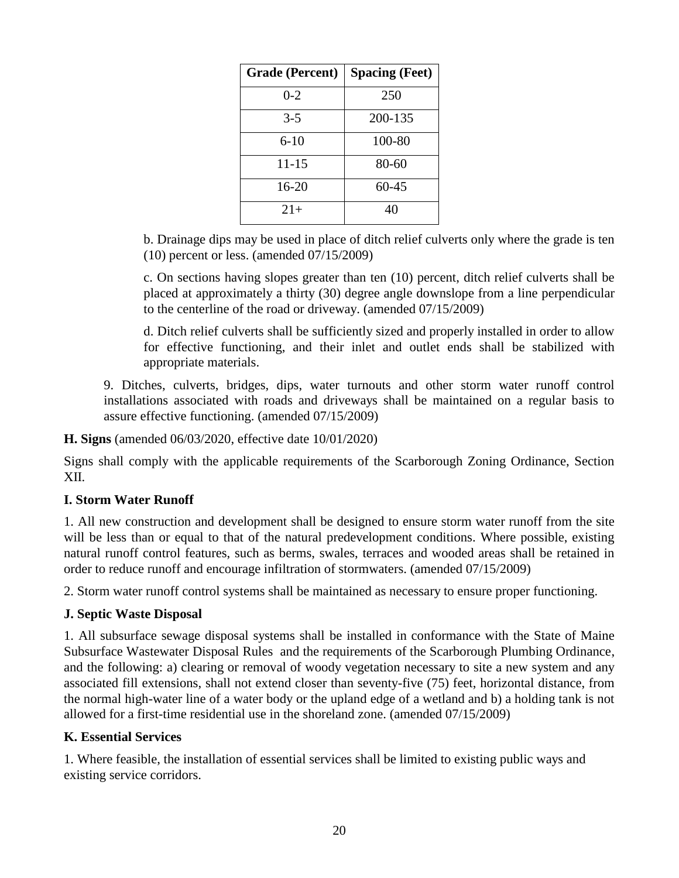| <b>Grade (Percent)</b> | <b>Spacing (Feet)</b> |
|------------------------|-----------------------|
| $0 - 2$                | 250                   |
| $3-5$                  | 200-135               |
| 6-10                   | 100-80                |
| 11-15                  | 80-60                 |
| 16-20                  | 60-45                 |
| $21+$                  | 40                    |

b. Drainage dips may be used in place of ditch relief culverts only where the grade is ten (10) percent or less. (amended 07/15/2009)

c. On sections having slopes greater than ten (10) percent, ditch relief culverts shall be placed at approximately a thirty (30) degree angle downslope from a line perpendicular to the centerline of the road or driveway. (amended 07/15/2009)

d. Ditch relief culverts shall be sufficiently sized and properly installed in order to allow for effective functioning, and their inlet and outlet ends shall be stabilized with appropriate materials.

9. Ditches, culverts, bridges, dips, water turnouts and other storm water runoff control installations associated with roads and driveways shall be maintained on a regular basis to assure effective functioning. (amended 07/15/2009)

**H. Signs** (amended 06/03/2020, effective date 10/01/2020)

Signs shall comply with the applicable requirements of the Scarborough Zoning Ordinance, Section XII.

#### **I. Storm Water Runoff**

1. All new construction and development shall be designed to ensure storm water runoff from the site will be less than or equal to that of the natural predevelopment conditions. Where possible, existing natural runoff control features, such as berms, swales, terraces and wooded areas shall be retained in order to reduce runoff and encourage infiltration of stormwaters. (amended 07/15/2009)

2. Storm water runoff control systems shall be maintained as necessary to ensure proper functioning.

#### **J. Septic Waste Disposal**

1. All subsurface sewage disposal systems shall be installed in conformance with the State of Maine Subsurface Wastewater Disposal Rules and the requirements of the Scarborough Plumbing Ordinance, and the following: a) clearing or removal of woody vegetation necessary to site a new system and any associated fill extensions, shall not extend closer than seventy-five (75) feet, horizontal distance, from the normal high-water line of a water body or the upland edge of a wetland and b) a holding tank is not allowed for a first-time residential use in the shoreland zone. (amended 07/15/2009)

#### **K. Essential Services**

1. Where feasible, the installation of essential services shall be limited to existing public ways and existing service corridors.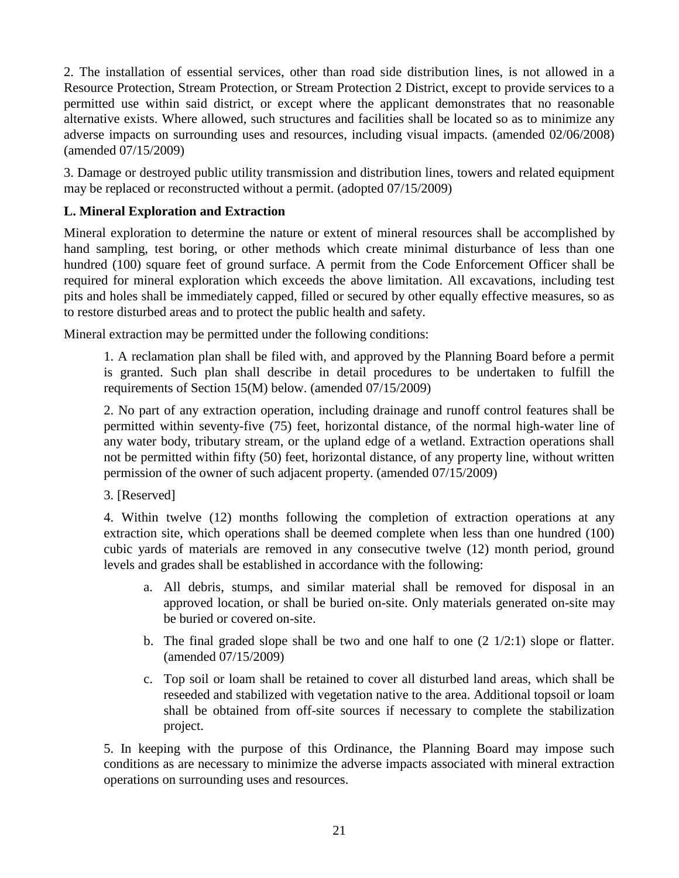2. The installation of essential services, other than road side distribution lines, is not allowed in a Resource Protection, Stream Protection, or Stream Protection 2 District, except to provide services to a permitted use within said district, or except where the applicant demonstrates that no reasonable alternative exists. Where allowed, such structures and facilities shall be located so as to minimize any adverse impacts on surrounding uses and resources, including visual impacts. (amended 02/06/2008) (amended 07/15/2009)

3. Damage or destroyed public utility transmission and distribution lines, towers and related equipment may be replaced or reconstructed without a permit. (adopted 07/15/2009)

# **L. Mineral Exploration and Extraction**

Mineral exploration to determine the nature or extent of mineral resources shall be accomplished by hand sampling, test boring, or other methods which create minimal disturbance of less than one hundred (100) square feet of ground surface. A permit from the Code Enforcement Officer shall be required for mineral exploration which exceeds the above limitation. All excavations, including test pits and holes shall be immediately capped, filled or secured by other equally effective measures, so as to restore disturbed areas and to protect the public health and safety.

Mineral extraction may be permitted under the following conditions:

1. A reclamation plan shall be filed with, and approved by the Planning Board before a permit is granted. Such plan shall describe in detail procedures to be undertaken to fulfill the requirements of Section 15(M) below. (amended 07/15/2009)

2. No part of any extraction operation, including drainage and runoff control features shall be permitted within seventy-five (75) feet, horizontal distance, of the normal high-water line of any water body, tributary stream, or the upland edge of a wetland. Extraction operations shall not be permitted within fifty (50) feet, horizontal distance, of any property line, without written permission of the owner of such adjacent property. (amended 07/15/2009)

3. [Reserved]

4. Within twelve (12) months following the completion of extraction operations at any extraction site, which operations shall be deemed complete when less than one hundred (100) cubic yards of materials are removed in any consecutive twelve (12) month period, ground levels and grades shall be established in accordance with the following:

- a. All debris, stumps, and similar material shall be removed for disposal in an approved location, or shall be buried on-site. Only materials generated on-site may be buried or covered on-site.
- b. The final graded slope shall be two and one half to one  $(2 \frac{1}{2:1})$  slope or flatter. (amended 07/15/2009)
- c. Top soil or loam shall be retained to cover all disturbed land areas, which shall be reseeded and stabilized with vegetation native to the area. Additional topsoil or loam shall be obtained from off-site sources if necessary to complete the stabilization project.

5. In keeping with the purpose of this Ordinance, the Planning Board may impose such conditions as are necessary to minimize the adverse impacts associated with mineral extraction operations on surrounding uses and resources.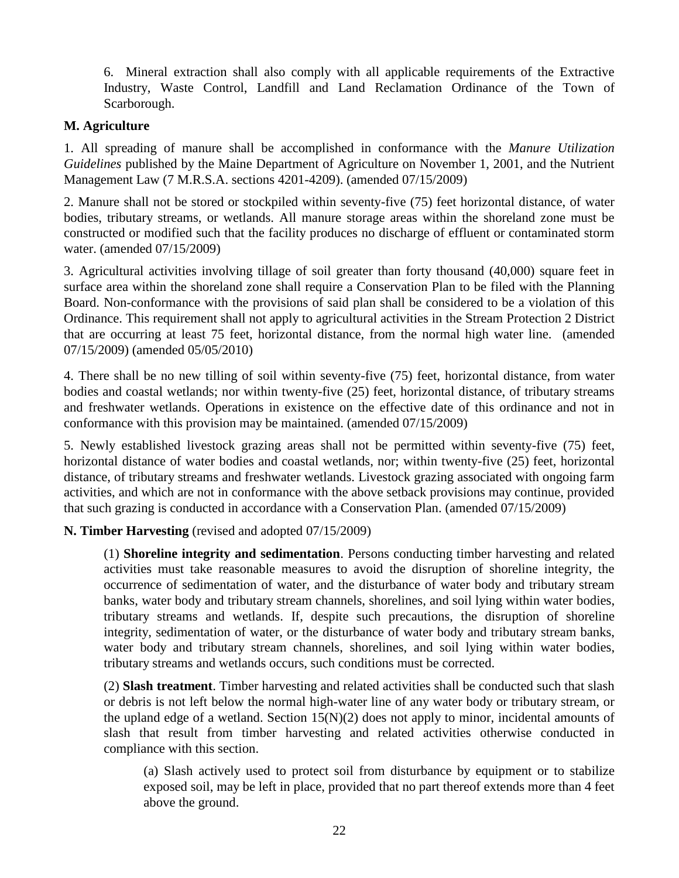6. Mineral extraction shall also comply with all applicable requirements of the Extractive Industry, Waste Control, Landfill and Land Reclamation Ordinance of the Town of Scarborough.

#### **M. Agriculture**

1. All spreading of manure shall be accomplished in conformance with the *Manure Utilization Guidelines* published by the Maine Department of Agriculture on November 1, 2001, and the Nutrient Management Law (7 M.R.S.A. sections 4201-4209). (amended 07/15/2009)

2. Manure shall not be stored or stockpiled within seventy-five (75) feet horizontal distance, of water bodies, tributary streams, or wetlands. All manure storage areas within the shoreland zone must be constructed or modified such that the facility produces no discharge of effluent or contaminated storm water. (amended 07/15/2009)

3. Agricultural activities involving tillage of soil greater than forty thousand (40,000) square feet in surface area within the shoreland zone shall require a Conservation Plan to be filed with the Planning Board. Non-conformance with the provisions of said plan shall be considered to be a violation of this Ordinance. This requirement shall not apply to agricultural activities in the Stream Protection 2 District that are occurring at least 75 feet, horizontal distance, from the normal high water line. (amended 07/15/2009) (amended 05/05/2010)

4. There shall be no new tilling of soil within seventy-five (75) feet, horizontal distance, from water bodies and coastal wetlands; nor within twenty-five (25) feet, horizontal distance, of tributary streams and freshwater wetlands. Operations in existence on the effective date of this ordinance and not in conformance with this provision may be maintained. (amended 07/15/2009)

5. Newly established livestock grazing areas shall not be permitted within seventy-five (75) feet, horizontal distance of water bodies and coastal wetlands, nor; within twenty-five (25) feet, horizontal distance, of tributary streams and freshwater wetlands. Livestock grazing associated with ongoing farm activities, and which are not in conformance with the above setback provisions may continue, provided that such grazing is conducted in accordance with a Conservation Plan. (amended 07/15/2009)

**N. Timber Harvesting** (revised and adopted 07/15/2009)

(1) **Shoreline integrity and sedimentation**. Persons conducting timber harvesting and related activities must take reasonable measures to avoid the disruption of shoreline integrity, the occurrence of sedimentation of water, and the disturbance of water body and tributary stream banks, water body and tributary stream channels, shorelines, and soil lying within water bodies, tributary streams and wetlands. If, despite such precautions, the disruption of shoreline integrity, sedimentation of water, or the disturbance of water body and tributary stream banks, water body and tributary stream channels, shorelines, and soil lying within water bodies, tributary streams and wetlands occurs, such conditions must be corrected.

(2) **Slash treatment**. Timber harvesting and related activities shall be conducted such that slash or debris is not left below the normal high-water line of any water body or tributary stream, or the upland edge of a wetland. Section  $15(N)(2)$  does not apply to minor, incidental amounts of slash that result from timber harvesting and related activities otherwise conducted in compliance with this section.

(a) Slash actively used to protect soil from disturbance by equipment or to stabilize exposed soil, may be left in place, provided that no part thereof extends more than 4 feet above the ground.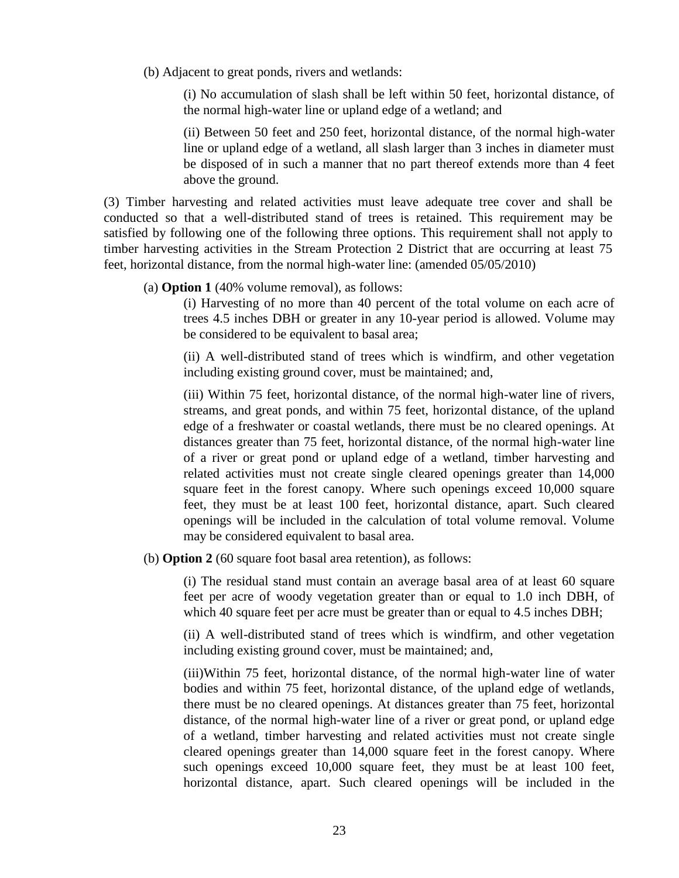(b) Adjacent to great ponds, rivers and wetlands:

(i) No accumulation of slash shall be left within 50 feet, horizontal distance, of the normal high-water line or upland edge of a wetland; and

(ii) Between 50 feet and 250 feet, horizontal distance, of the normal high-water line or upland edge of a wetland, all slash larger than 3 inches in diameter must be disposed of in such a manner that no part thereof extends more than 4 feet above the ground.

(3) Timber harvesting and related activities must leave adequate tree cover and shall be conducted so that a well-distributed stand of trees is retained. This requirement may be satisfied by following one of the following three options. This requirement shall not apply to timber harvesting activities in the Stream Protection 2 District that are occurring at least 75 feet, horizontal distance, from the normal high-water line: (amended 05/05/2010)

(a) **Option 1** (40% volume removal), as follows:

(i) Harvesting of no more than 40 percent of the total volume on each acre of trees 4.5 inches DBH or greater in any 10-year period is allowed. Volume may be considered to be equivalent to basal area;

(ii) A well-distributed stand of trees which is windfirm, and other vegetation including existing ground cover, must be maintained; and,

(iii) Within 75 feet, horizontal distance, of the normal high-water line of rivers, streams, and great ponds, and within 75 feet, horizontal distance, of the upland edge of a freshwater or coastal wetlands, there must be no cleared openings. At distances greater than 75 feet, horizontal distance, of the normal high-water line of a river or great pond or upland edge of a wetland, timber harvesting and related activities must not create single cleared openings greater than 14,000 square feet in the forest canopy. Where such openings exceed 10,000 square feet, they must be at least 100 feet, horizontal distance, apart. Such cleared openings will be included in the calculation of total volume removal. Volume may be considered equivalent to basal area.

(b) **Option 2** (60 square foot basal area retention), as follows:

(i) The residual stand must contain an average basal area of at least 60 square feet per acre of woody vegetation greater than or equal to 1.0 inch DBH, of which 40 square feet per acre must be greater than or equal to 4.5 inches DBH;

(ii) A well-distributed stand of trees which is windfirm, and other vegetation including existing ground cover, must be maintained; and,

(iii)Within 75 feet, horizontal distance, of the normal high-water line of water bodies and within 75 feet, horizontal distance, of the upland edge of wetlands, there must be no cleared openings. At distances greater than 75 feet, horizontal distance, of the normal high-water line of a river or great pond, or upland edge of a wetland, timber harvesting and related activities must not create single cleared openings greater than 14,000 square feet in the forest canopy. Where such openings exceed 10,000 square feet, they must be at least 100 feet, horizontal distance, apart. Such cleared openings will be included in the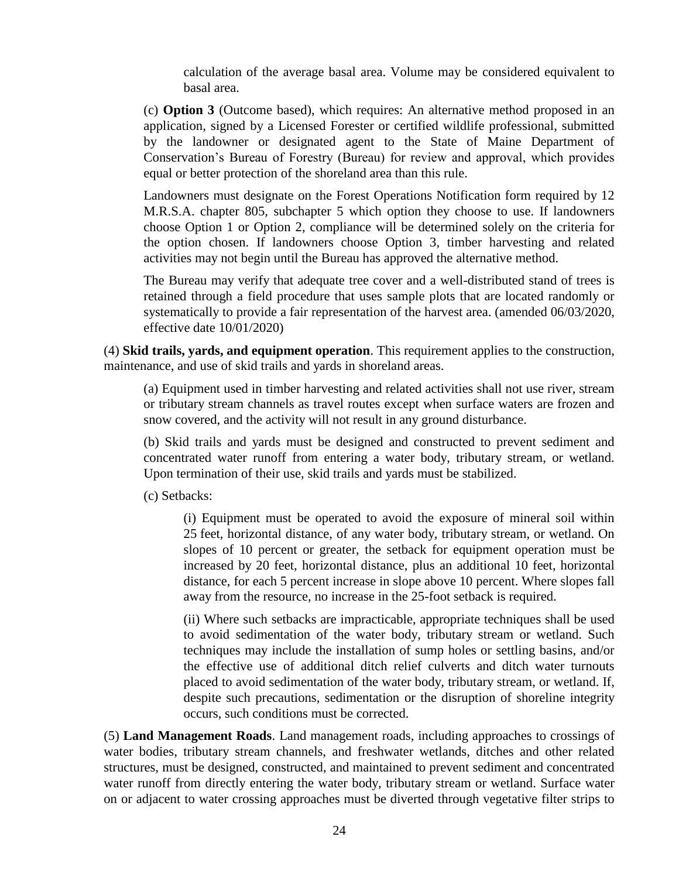calculation of the average basal area. Volume may be considered equivalent to basal area.

(c) **Option 3** (Outcome based), which requires: An alternative method proposed in an application, signed by a Licensed Forester or certified wildlife professional, submitted by the landowner or designated agent to the State of Maine Department of Conservation's Bureau of Forestry (Bureau) for review and approval, which provides equal or better protection of the shoreland area than this rule.

Landowners must designate on the Forest Operations Notification form required by 12 M.R.S.A. chapter 805, subchapter 5 which option they choose to use. If landowners choose Option 1 or Option 2, compliance will be determined solely on the criteria for the option chosen. If landowners choose Option 3, timber harvesting and related activities may not begin until the Bureau has approved the alternative method.

The Bureau may verify that adequate tree cover and a well-distributed stand of trees is retained through a field procedure that uses sample plots that are located randomly or systematically to provide a fair representation of the harvest area. (amended 06/03/2020, effective date 10/01/2020)

(4) **Skid trails, yards, and equipment operation**. This requirement applies to the construction, maintenance, and use of skid trails and yards in shoreland areas.

(a) Equipment used in timber harvesting and related activities shall not use river, stream or tributary stream channels as travel routes except when surface waters are frozen and snow covered, and the activity will not result in any ground disturbance.

(b) Skid trails and yards must be designed and constructed to prevent sediment and concentrated water runoff from entering a water body, tributary stream, or wetland. Upon termination of their use, skid trails and yards must be stabilized.

(c) Setbacks:

(i) Equipment must be operated to avoid the exposure of mineral soil within 25 feet, horizontal distance, of any water body, tributary stream, or wetland. On slopes of 10 percent or greater, the setback for equipment operation must be increased by 20 feet, horizontal distance, plus an additional 10 feet, horizontal distance, for each 5 percent increase in slope above 10 percent. Where slopes fall away from the resource, no increase in the 25-foot setback is required.

(ii) Where such setbacks are impracticable, appropriate techniques shall be used to avoid sedimentation of the water body, tributary stream or wetland. Such techniques may include the installation of sump holes or settling basins, and/or the effective use of additional ditch relief culverts and ditch water turnouts placed to avoid sedimentation of the water body, tributary stream, or wetland. If, despite such precautions, sedimentation or the disruption of shoreline integrity occurs, such conditions must be corrected.

(5) **Land Management Roads**. Land management roads, including approaches to crossings of water bodies, tributary stream channels, and freshwater wetlands, ditches and other related structures, must be designed, constructed, and maintained to prevent sediment and concentrated water runoff from directly entering the water body, tributary stream or wetland. Surface water on or adjacent to water crossing approaches must be diverted through vegetative filter strips to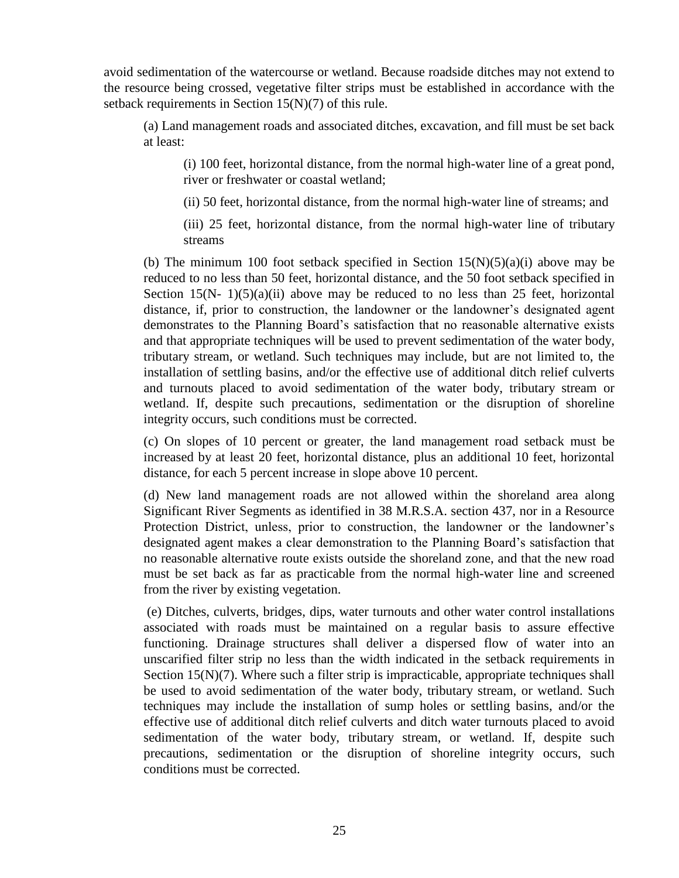avoid sedimentation of the watercourse or wetland. Because roadside ditches may not extend to the resource being crossed, vegetative filter strips must be established in accordance with the setback requirements in Section 15(N)(7) of this rule.

(a) Land management roads and associated ditches, excavation, and fill must be set back at least:

(i) 100 feet, horizontal distance, from the normal high-water line of a great pond, river or freshwater or coastal wetland;

(ii) 50 feet, horizontal distance, from the normal high-water line of streams; and

(iii) 25 feet, horizontal distance, from the normal high-water line of tributary streams

(b) The minimum 100 foot setback specified in Section  $15(N)(5)(a)(i)$  above may be reduced to no less than 50 feet, horizontal distance, and the 50 foot setback specified in Section 15(N- 1)(5)(a)(ii) above may be reduced to no less than 25 feet, horizontal distance, if, prior to construction, the landowner or the landowner's designated agent demonstrates to the Planning Board's satisfaction that no reasonable alternative exists and that appropriate techniques will be used to prevent sedimentation of the water body, tributary stream, or wetland. Such techniques may include, but are not limited to, the installation of settling basins, and/or the effective use of additional ditch relief culverts and turnouts placed to avoid sedimentation of the water body, tributary stream or wetland. If, despite such precautions, sedimentation or the disruption of shoreline integrity occurs, such conditions must be corrected.

(c) On slopes of 10 percent or greater, the land management road setback must be increased by at least 20 feet, horizontal distance, plus an additional 10 feet, horizontal distance, for each 5 percent increase in slope above 10 percent.

(d) New land management roads are not allowed within the shoreland area along Significant River Segments as identified in 38 M.R.S.A. section 437, nor in a Resource Protection District, unless, prior to construction, the landowner or the landowner's designated agent makes a clear demonstration to the Planning Board's satisfaction that no reasonable alternative route exists outside the shoreland zone, and that the new road must be set back as far as practicable from the normal high-water line and screened from the river by existing vegetation.

(e) Ditches, culverts, bridges, dips, water turnouts and other water control installations associated with roads must be maintained on a regular basis to assure effective functioning. Drainage structures shall deliver a dispersed flow of water into an unscarified filter strip no less than the width indicated in the setback requirements in Section 15(N)(7). Where such a filter strip is impracticable, appropriate techniques shall be used to avoid sedimentation of the water body, tributary stream, or wetland. Such techniques may include the installation of sump holes or settling basins, and/or the effective use of additional ditch relief culverts and ditch water turnouts placed to avoid sedimentation of the water body, tributary stream, or wetland. If, despite such precautions, sedimentation or the disruption of shoreline integrity occurs, such conditions must be corrected.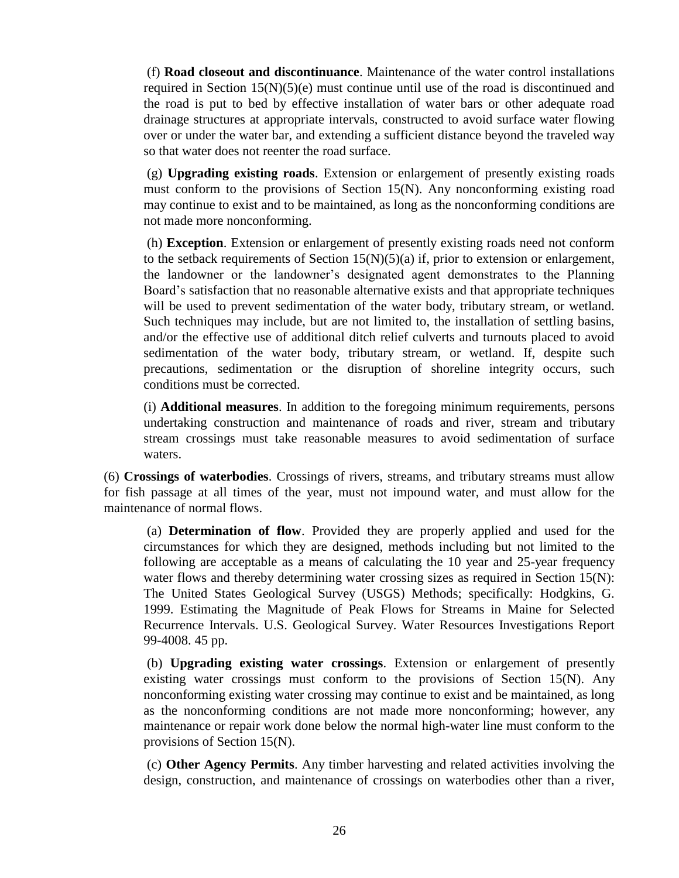(f) **Road closeout and discontinuance**. Maintenance of the water control installations required in Section  $15(N)(5)(e)$  must continue until use of the road is discontinued and the road is put to bed by effective installation of water bars or other adequate road drainage structures at appropriate intervals, constructed to avoid surface water flowing over or under the water bar, and extending a sufficient distance beyond the traveled way so that water does not reenter the road surface.

(g) **Upgrading existing roads**. Extension or enlargement of presently existing roads must conform to the provisions of Section 15(N). Any nonconforming existing road may continue to exist and to be maintained, as long as the nonconforming conditions are not made more nonconforming.

(h) **Exception**. Extension or enlargement of presently existing roads need not conform to the setback requirements of Section  $15(N)(5)(a)$  if, prior to extension or enlargement, the landowner or the landowner's designated agent demonstrates to the Planning Board's satisfaction that no reasonable alternative exists and that appropriate techniques will be used to prevent sedimentation of the water body, tributary stream, or wetland. Such techniques may include, but are not limited to, the installation of settling basins, and/or the effective use of additional ditch relief culverts and turnouts placed to avoid sedimentation of the water body, tributary stream, or wetland. If, despite such precautions, sedimentation or the disruption of shoreline integrity occurs, such conditions must be corrected.

(i) **Additional measures**. In addition to the foregoing minimum requirements, persons undertaking construction and maintenance of roads and river, stream and tributary stream crossings must take reasonable measures to avoid sedimentation of surface waters.

(6) **Crossings of waterbodies**. Crossings of rivers, streams, and tributary streams must allow for fish passage at all times of the year, must not impound water, and must allow for the maintenance of normal flows.

(a) **Determination of flow**. Provided they are properly applied and used for the circumstances for which they are designed, methods including but not limited to the following are acceptable as a means of calculating the 10 year and 25-year frequency water flows and thereby determining water crossing sizes as required in Section 15(N): The United States Geological Survey (USGS) Methods; specifically: Hodgkins, G. 1999. Estimating the Magnitude of Peak Flows for Streams in Maine for Selected Recurrence Intervals. U.S. Geological Survey. Water Resources Investigations Report 99-4008. 45 pp.

(b) **Upgrading existing water crossings**. Extension or enlargement of presently existing water crossings must conform to the provisions of Section 15(N). Any nonconforming existing water crossing may continue to exist and be maintained, as long as the nonconforming conditions are not made more nonconforming; however, any maintenance or repair work done below the normal high-water line must conform to the provisions of Section 15(N).

(c) **Other Agency Permits**. Any timber harvesting and related activities involving the design, construction, and maintenance of crossings on waterbodies other than a river,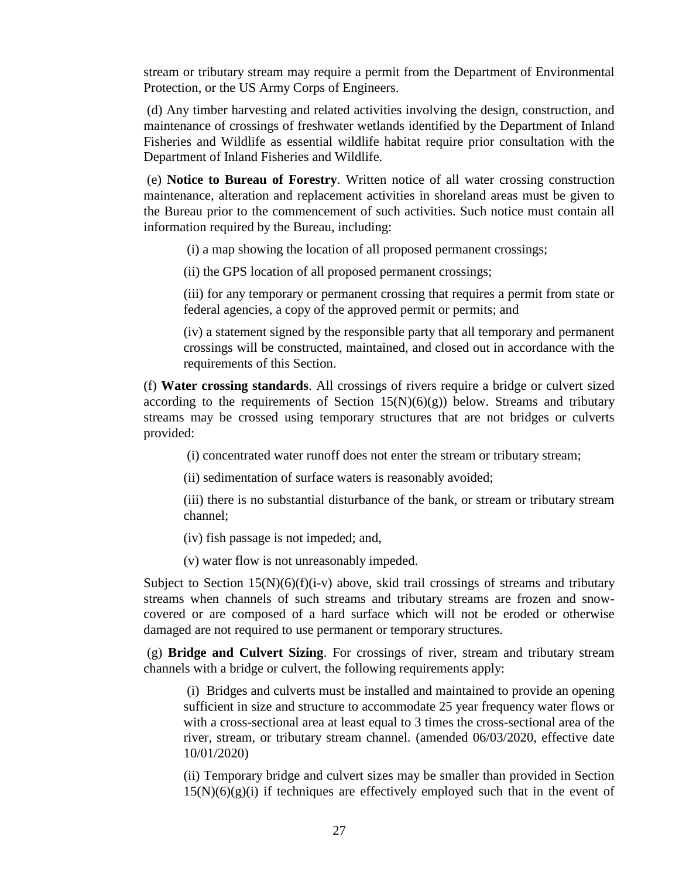stream or tributary stream may require a permit from the Department of Environmental Protection, or the US Army Corps of Engineers.

(d) Any timber harvesting and related activities involving the design, construction, and maintenance of crossings of freshwater wetlands identified by the Department of Inland Fisheries and Wildlife as essential wildlife habitat require prior consultation with the Department of Inland Fisheries and Wildlife.

(e) **Notice to Bureau of Forestry**. Written notice of all water crossing construction maintenance, alteration and replacement activities in shoreland areas must be given to the Bureau prior to the commencement of such activities. Such notice must contain all information required by the Bureau, including:

(i) a map showing the location of all proposed permanent crossings;

(ii) the GPS location of all proposed permanent crossings;

(iii) for any temporary or permanent crossing that requires a permit from state or federal agencies, a copy of the approved permit or permits; and

(iv) a statement signed by the responsible party that all temporary and permanent crossings will be constructed, maintained, and closed out in accordance with the requirements of this Section.

(f) **Water crossing standards**. All crossings of rivers require a bridge or culvert sized according to the requirements of Section  $15(N)(6)(g)$  below. Streams and tributary streams may be crossed using temporary structures that are not bridges or culverts provided:

(i) concentrated water runoff does not enter the stream or tributary stream;

(ii) sedimentation of surface waters is reasonably avoided;

(iii) there is no substantial disturbance of the bank, or stream or tributary stream channel;

(iv) fish passage is not impeded; and,

(v) water flow is not unreasonably impeded.

Subject to Section  $15(N)(6)(f)(i-v)$  above, skid trail crossings of streams and tributary streams when channels of such streams and tributary streams are frozen and snowcovered or are composed of a hard surface which will not be eroded or otherwise damaged are not required to use permanent or temporary structures.

(g) **Bridge and Culvert Sizing**. For crossings of river, stream and tributary stream channels with a bridge or culvert, the following requirements apply:

(i) Bridges and culverts must be installed and maintained to provide an opening sufficient in size and structure to accommodate 25 year frequency water flows or with a cross-sectional area at least equal to 3 times the cross-sectional area of the river, stream, or tributary stream channel. (amended 06/03/2020, effective date 10/01/2020)

(ii) Temporary bridge and culvert sizes may be smaller than provided in Section  $15(N)(6)(g)(i)$  if techniques are effectively employed such that in the event of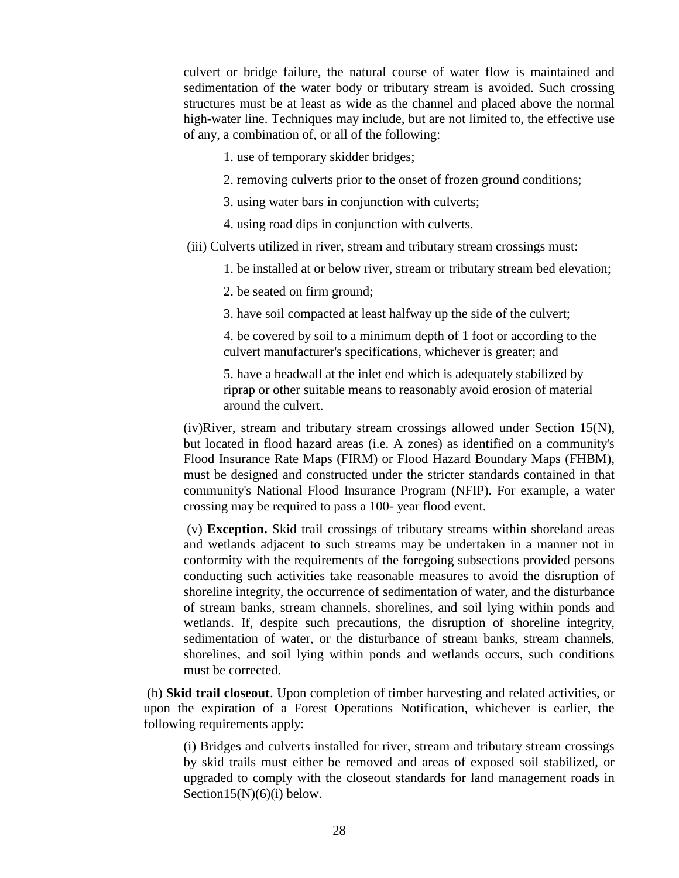culvert or bridge failure, the natural course of water flow is maintained and sedimentation of the water body or tributary stream is avoided. Such crossing structures must be at least as wide as the channel and placed above the normal high-water line. Techniques may include, but are not limited to, the effective use of any, a combination of, or all of the following:

- 1. use of temporary skidder bridges;
- 2. removing culverts prior to the onset of frozen ground conditions;
- 3. using water bars in conjunction with culverts;
- 4. using road dips in conjunction with culverts.
- (iii) Culverts utilized in river, stream and tributary stream crossings must:
	- 1. be installed at or below river, stream or tributary stream bed elevation;
	- 2. be seated on firm ground;
	- 3. have soil compacted at least halfway up the side of the culvert;

4. be covered by soil to a minimum depth of 1 foot or according to the culvert manufacturer's specifications, whichever is greater; and

5. have a headwall at the inlet end which is adequately stabilized by riprap or other suitable means to reasonably avoid erosion of material around the culvert.

 $(iv)$ River, stream and tributary stream crossings allowed under Section 15(N), but located in flood hazard areas (i.e. A zones) as identified on a community's Flood Insurance Rate Maps (FIRM) or Flood Hazard Boundary Maps (FHBM), must be designed and constructed under the stricter standards contained in that community's National Flood Insurance Program (NFIP). For example, a water crossing may be required to pass a 100- year flood event.

(v) **Exception.** Skid trail crossings of tributary streams within shoreland areas and wetlands adjacent to such streams may be undertaken in a manner not in conformity with the requirements of the foregoing subsections provided persons conducting such activities take reasonable measures to avoid the disruption of shoreline integrity, the occurrence of sedimentation of water, and the disturbance of stream banks, stream channels, shorelines, and soil lying within ponds and wetlands. If, despite such precautions, the disruption of shoreline integrity, sedimentation of water, or the disturbance of stream banks, stream channels, shorelines, and soil lying within ponds and wetlands occurs, such conditions must be corrected.

(h) **Skid trail closeout**. Upon completion of timber harvesting and related activities, or upon the expiration of a Forest Operations Notification, whichever is earlier, the following requirements apply:

(i) Bridges and culverts installed for river, stream and tributary stream crossings by skid trails must either be removed and areas of exposed soil stabilized, or upgraded to comply with the closeout standards for land management roads in Section15(N) $(6)(i)$  below.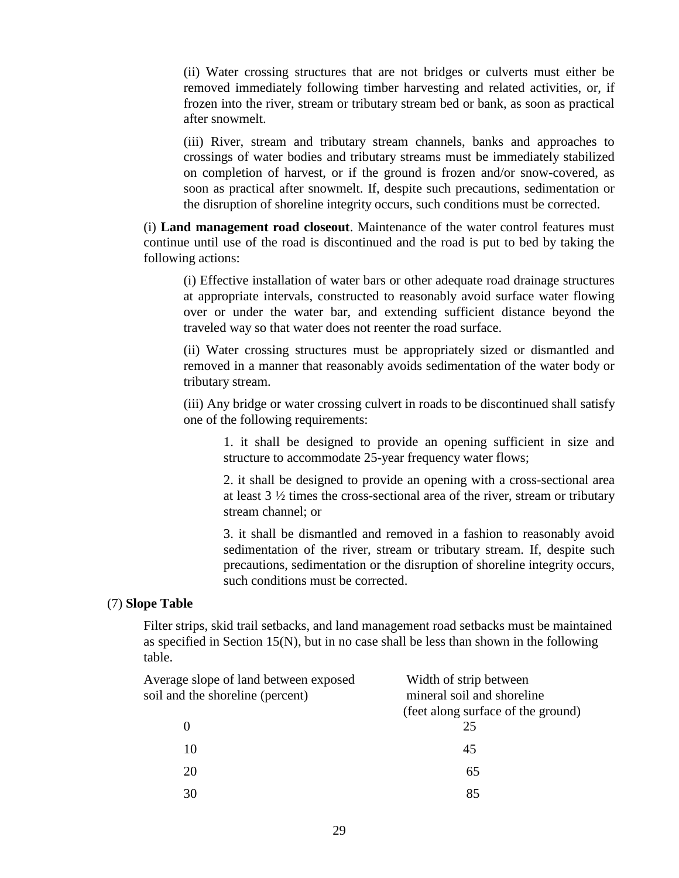(ii) Water crossing structures that are not bridges or culverts must either be removed immediately following timber harvesting and related activities, or, if frozen into the river, stream or tributary stream bed or bank, as soon as practical after snowmelt.

(iii) River, stream and tributary stream channels, banks and approaches to crossings of water bodies and tributary streams must be immediately stabilized on completion of harvest, or if the ground is frozen and/or snow-covered, as soon as practical after snowmelt. If, despite such precautions, sedimentation or the disruption of shoreline integrity occurs, such conditions must be corrected.

(i) **Land management road closeout**. Maintenance of the water control features must continue until use of the road is discontinued and the road is put to bed by taking the following actions:

(i) Effective installation of water bars or other adequate road drainage structures at appropriate intervals, constructed to reasonably avoid surface water flowing over or under the water bar, and extending sufficient distance beyond the traveled way so that water does not reenter the road surface.

(ii) Water crossing structures must be appropriately sized or dismantled and removed in a manner that reasonably avoids sedimentation of the water body or tributary stream.

(iii) Any bridge or water crossing culvert in roads to be discontinued shall satisfy one of the following requirements:

1. it shall be designed to provide an opening sufficient in size and structure to accommodate 25-year frequency water flows;

2. it shall be designed to provide an opening with a cross-sectional area at least 3 ½ times the cross-sectional area of the river, stream or tributary stream channel; or

3. it shall be dismantled and removed in a fashion to reasonably avoid sedimentation of the river, stream or tributary stream. If, despite such precautions, sedimentation or the disruption of shoreline integrity occurs, such conditions must be corrected.

#### (7) **Slope Table**

Filter strips, skid trail setbacks, and land management road setbacks must be maintained as specified in Section  $15(N)$ , but in no case shall be less than shown in the following table.

| Average slope of land between exposed | Width of strip between             |
|---------------------------------------|------------------------------------|
| soil and the shoreline (percent)      | mineral soil and shoreline         |
|                                       | (feet along surface of the ground) |
|                                       | 25                                 |
| 10                                    | 45                                 |
| 20                                    | 65                                 |
| 30                                    | 85                                 |
|                                       |                                    |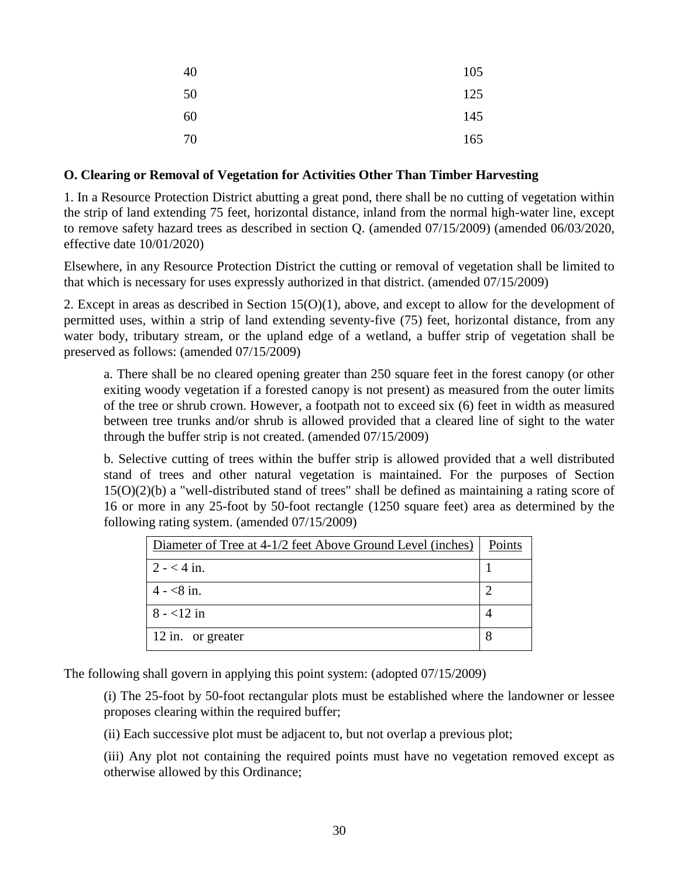| 40 | 105 |
|----|-----|
| 50 | 125 |
| 60 | 145 |
| 70 | 165 |

#### **O. Clearing or Removal of Vegetation for Activities Other Than Timber Harvesting**

1. In a Resource Protection District abutting a great pond, there shall be no cutting of vegetation within the strip of land extending 75 feet, horizontal distance, inland from the normal high-water line, except to remove safety hazard trees as described in section Q. (amended 07/15/2009) (amended 06/03/2020, effective date 10/01/2020)

Elsewhere, in any Resource Protection District the cutting or removal of vegetation shall be limited to that which is necessary for uses expressly authorized in that district. (amended 07/15/2009)

2. Except in areas as described in Section 15(O)(1), above, and except to allow for the development of permitted uses, within a strip of land extending seventy-five (75) feet, horizontal distance, from any water body, tributary stream, or the upland edge of a wetland, a buffer strip of vegetation shall be preserved as follows: (amended 07/15/2009)

a. There shall be no cleared opening greater than 250 square feet in the forest canopy (or other exiting woody vegetation if a forested canopy is not present) as measured from the outer limits of the tree or shrub crown. However, a footpath not to exceed six (6) feet in width as measured between tree trunks and/or shrub is allowed provided that a cleared line of sight to the water through the buffer strip is not created. (amended 07/15/2009)

b. Selective cutting of trees within the buffer strip is allowed provided that a well distributed stand of trees and other natural vegetation is maintained. For the purposes of Section 15(O)(2)(b) a "well-distributed stand of trees" shall be defined as maintaining a rating score of 16 or more in any 25-foot by 50-foot rectangle (1250 square feet) area as determined by the following rating system. (amended 07/15/2009)

| Diameter of Tree at 4-1/2 feet Above Ground Level (inches) | Points |
|------------------------------------------------------------|--------|
| $2 - 4$ in.                                                |        |
| $4 - 8i$ in.                                               |        |
| $8 - 12$ in                                                |        |
| 12 in. or greater                                          |        |

The following shall govern in applying this point system: (adopted 07/15/2009)

(i) The 25-foot by 50-foot rectangular plots must be established where the landowner or lessee proposes clearing within the required buffer;

(ii) Each successive plot must be adjacent to, but not overlap a previous plot;

(iii) Any plot not containing the required points must have no vegetation removed except as otherwise allowed by this Ordinance;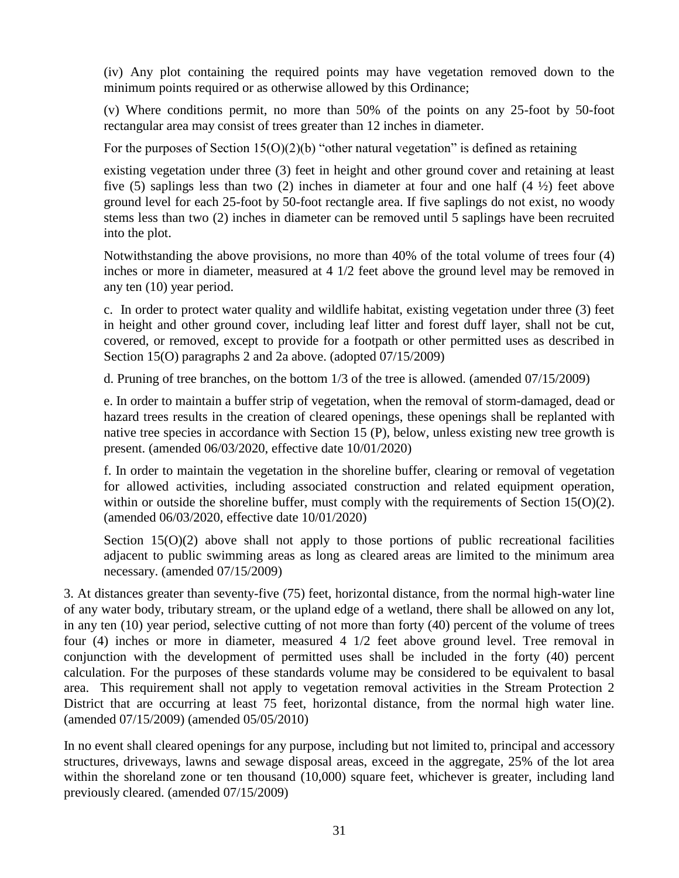(iv) Any plot containing the required points may have vegetation removed down to the minimum points required or as otherwise allowed by this Ordinance;

(v) Where conditions permit, no more than 50% of the points on any 25-foot by 50-foot rectangular area may consist of trees greater than 12 inches in diameter.

For the purposes of Section  $15(0)(2)(b)$  "other natural vegetation" is defined as retaining

existing vegetation under three (3) feet in height and other ground cover and retaining at least five (5) saplings less than two (2) inches in diameter at four and one half  $(4 \frac{1}{2})$  feet above ground level for each 25-foot by 50-foot rectangle area. If five saplings do not exist, no woody stems less than two (2) inches in diameter can be removed until 5 saplings have been recruited into the plot.

Notwithstanding the above provisions, no more than 40% of the total volume of trees four (4) inches or more in diameter, measured at 4 1/2 feet above the ground level may be removed in any ten (10) year period.

c. In order to protect water quality and wildlife habitat, existing vegetation under three (3) feet in height and other ground cover, including leaf litter and forest duff layer, shall not be cut, covered, or removed, except to provide for a footpath or other permitted uses as described in Section 15(O) paragraphs 2 and 2a above. (adopted 07/15/2009)

d. Pruning of tree branches, on the bottom 1/3 of the tree is allowed. (amended 07/15/2009)

e. In order to maintain a buffer strip of vegetation, when the removal of storm-damaged, dead or hazard trees results in the creation of cleared openings, these openings shall be replanted with native tree species in accordance with Section 15 (P), below, unless existing new tree growth is present. (amended 06/03/2020, effective date 10/01/2020)

f. In order to maintain the vegetation in the shoreline buffer, clearing or removal of vegetation for allowed activities, including associated construction and related equipment operation, within or outside the shoreline buffer, must comply with the requirements of Section  $15(O)(2)$ . (amended 06/03/2020, effective date 10/01/2020)

Section  $15(0)(2)$  above shall not apply to those portions of public recreational facilities adjacent to public swimming areas as long as cleared areas are limited to the minimum area necessary. (amended 07/15/2009)

3. At distances greater than seventy-five (75) feet, horizontal distance, from the normal high-water line of any water body, tributary stream, or the upland edge of a wetland, there shall be allowed on any lot, in any ten (10) year period, selective cutting of not more than forty (40) percent of the volume of trees four (4) inches or more in diameter, measured 4 1/2 feet above ground level. Tree removal in conjunction with the development of permitted uses shall be included in the forty (40) percent calculation. For the purposes of these standards volume may be considered to be equivalent to basal area. This requirement shall not apply to vegetation removal activities in the Stream Protection 2 District that are occurring at least 75 feet, horizontal distance, from the normal high water line. (amended 07/15/2009) (amended 05/05/2010)

In no event shall cleared openings for any purpose, including but not limited to, principal and accessory structures, driveways, lawns and sewage disposal areas, exceed in the aggregate, 25% of the lot area within the shoreland zone or ten thousand (10,000) square feet, whichever is greater, including land previously cleared. (amended 07/15/2009)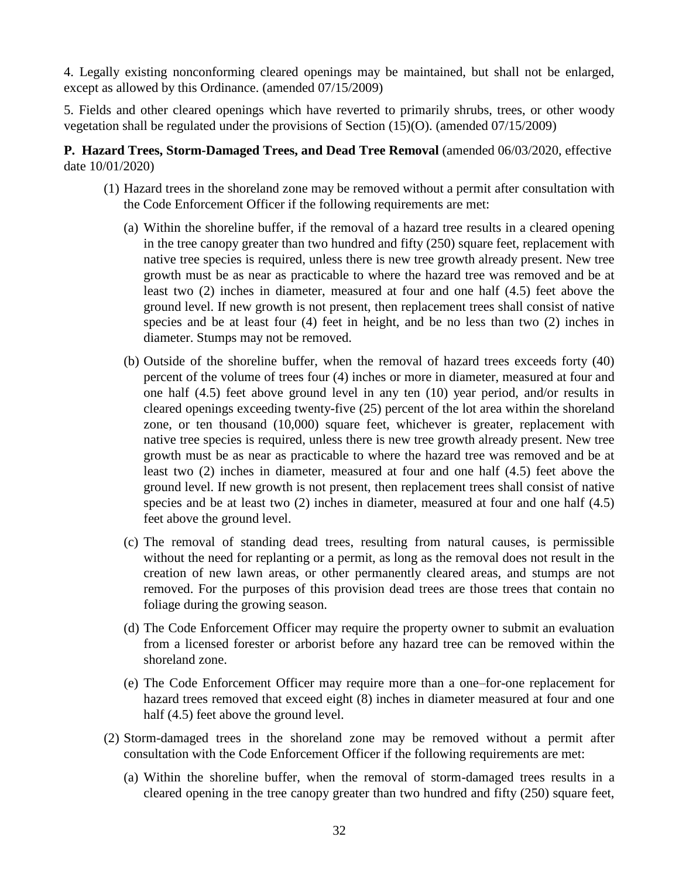4. Legally existing nonconforming cleared openings may be maintained, but shall not be enlarged, except as allowed by this Ordinance. (amended 07/15/2009)

5. Fields and other cleared openings which have reverted to primarily shrubs, trees, or other woody vegetation shall be regulated under the provisions of Section (15)(O). (amended 07/15/2009)

#### **P. Hazard Trees, Storm-Damaged Trees, and Dead Tree Removal** (amended 06/03/2020, effective date 10/01/2020)

- (1) Hazard trees in the shoreland zone may be removed without a permit after consultation with the Code Enforcement Officer if the following requirements are met:
	- (a) Within the shoreline buffer, if the removal of a hazard tree results in a cleared opening in the tree canopy greater than two hundred and fifty (250) square feet, replacement with native tree species is required, unless there is new tree growth already present. New tree growth must be as near as practicable to where the hazard tree was removed and be at least two (2) inches in diameter, measured at four and one half (4.5) feet above the ground level. If new growth is not present, then replacement trees shall consist of native species and be at least four (4) feet in height, and be no less than two (2) inches in diameter. Stumps may not be removed.
	- (b) Outside of the shoreline buffer, when the removal of hazard trees exceeds forty (40) percent of the volume of trees four (4) inches or more in diameter, measured at four and one half (4.5) feet above ground level in any ten (10) year period, and/or results in cleared openings exceeding twenty-five (25) percent of the lot area within the shoreland zone, or ten thousand (10,000) square feet, whichever is greater, replacement with native tree species is required, unless there is new tree growth already present. New tree growth must be as near as practicable to where the hazard tree was removed and be at least two (2) inches in diameter, measured at four and one half (4.5) feet above the ground level. If new growth is not present, then replacement trees shall consist of native species and be at least two (2) inches in diameter, measured at four and one half (4.5) feet above the ground level.
	- (c) The removal of standing dead trees, resulting from natural causes, is permissible without the need for replanting or a permit, as long as the removal does not result in the creation of new lawn areas, or other permanently cleared areas, and stumps are not removed. For the purposes of this provision dead trees are those trees that contain no foliage during the growing season.
	- (d) The Code Enforcement Officer may require the property owner to submit an evaluation from a licensed forester or arborist before any hazard tree can be removed within the shoreland zone.
	- (e) The Code Enforcement Officer may require more than a one–for-one replacement for hazard trees removed that exceed eight (8) inches in diameter measured at four and one half  $(4.5)$  feet above the ground level.
- (2) Storm-damaged trees in the shoreland zone may be removed without a permit after consultation with the Code Enforcement Officer if the following requirements are met:
	- (a) Within the shoreline buffer, when the removal of storm-damaged trees results in a cleared opening in the tree canopy greater than two hundred and fifty (250) square feet,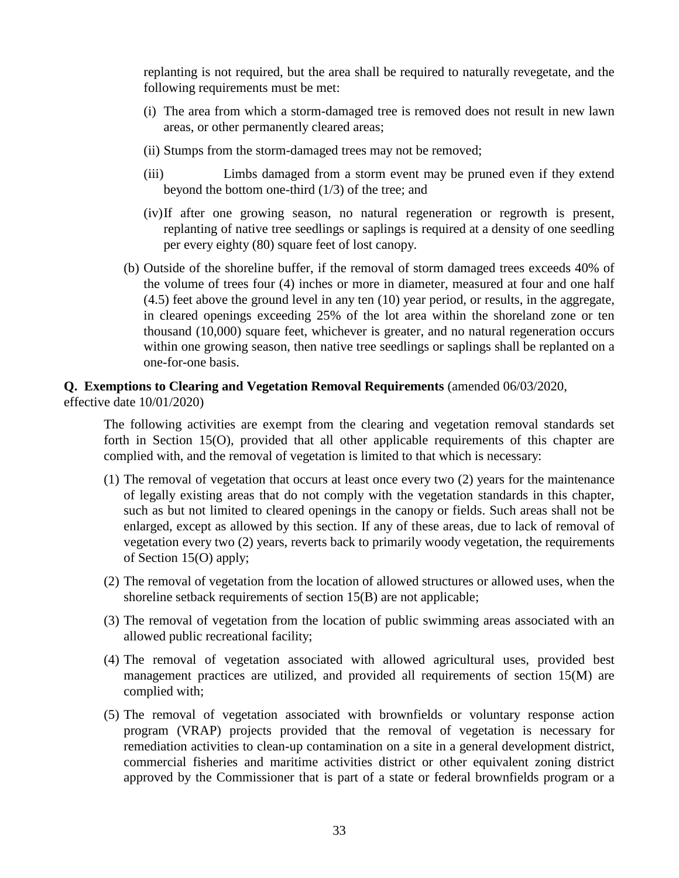replanting is not required, but the area shall be required to naturally revegetate, and the following requirements must be met:

- (i) The area from which a storm-damaged tree is removed does not result in new lawn areas, or other permanently cleared areas;
- (ii) Stumps from the storm-damaged trees may not be removed;
- (iii) Limbs damaged from a storm event may be pruned even if they extend beyond the bottom one-third (1/3) of the tree; and
- (iv)If after one growing season, no natural regeneration or regrowth is present, replanting of native tree seedlings or saplings is required at a density of one seedling per every eighty (80) square feet of lost canopy.
- (b) Outside of the shoreline buffer, if the removal of storm damaged trees exceeds 40% of the volume of trees four (4) inches or more in diameter, measured at four and one half (4.5) feet above the ground level in any ten (10) year period, or results, in the aggregate, in cleared openings exceeding 25% of the lot area within the shoreland zone or ten thousand (10,000) square feet, whichever is greater, and no natural regeneration occurs within one growing season, then native tree seedlings or saplings shall be replanted on a one-for-one basis.

# **Q. Exemptions to Clearing and Vegetation Removal Requirements** (amended 06/03/2020,

effective date 10/01/2020)

The following activities are exempt from the clearing and vegetation removal standards set forth in Section 15(O), provided that all other applicable requirements of this chapter are complied with, and the removal of vegetation is limited to that which is necessary:

- (1) The removal of vegetation that occurs at least once every two (2) years for the maintenance of legally existing areas that do not comply with the vegetation standards in this chapter, such as but not limited to cleared openings in the canopy or fields. Such areas shall not be enlarged, except as allowed by this section. If any of these areas, due to lack of removal of vegetation every two (2) years, reverts back to primarily woody vegetation, the requirements of Section 15(O) apply;
- (2) The removal of vegetation from the location of allowed structures or allowed uses, when the shoreline setback requirements of section 15(B) are not applicable;
- (3) The removal of vegetation from the location of public swimming areas associated with an allowed public recreational facility;
- (4) The removal of vegetation associated with allowed agricultural uses, provided best management practices are utilized, and provided all requirements of section 15(M) are complied with;
- (5) The removal of vegetation associated with brownfields or voluntary response action program (VRAP) projects provided that the removal of vegetation is necessary for remediation activities to clean-up contamination on a site in a general development district, commercial fisheries and maritime activities district or other equivalent zoning district approved by the Commissioner that is part of a state or federal brownfields program or a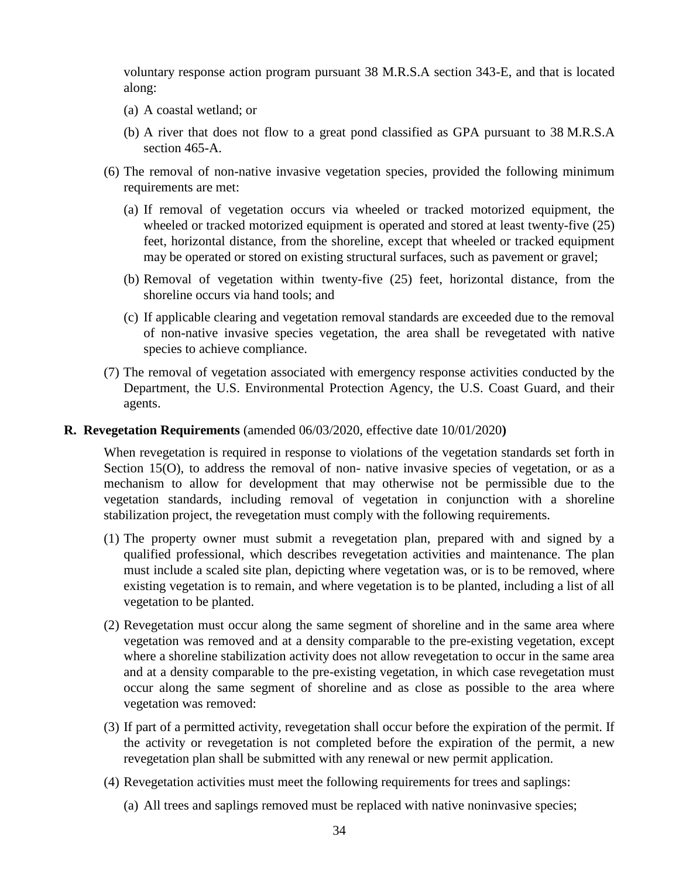voluntary response action program pursuant 38 M.R.S.A section 343-E, and that is located along:

- (a) A coastal wetland; or
- (b) A river that does not flow to a great pond classified as GPA pursuant to 38 M.R.S.A section 465-A.
- (6) The removal of non-native invasive vegetation species, provided the following minimum requirements are met:
	- (a) If removal of vegetation occurs via wheeled or tracked motorized equipment, the wheeled or tracked motorized equipment is operated and stored at least twenty-five (25) feet, horizontal distance, from the shoreline, except that wheeled or tracked equipment may be operated or stored on existing structural surfaces, such as pavement or gravel;
	- (b) Removal of vegetation within twenty-five (25) feet, horizontal distance, from the shoreline occurs via hand tools; and
	- (c) If applicable clearing and vegetation removal standards are exceeded due to the removal of non-native invasive species vegetation, the area shall be revegetated with native species to achieve compliance.
- (7) The removal of vegetation associated with emergency response activities conducted by the Department, the U.S. Environmental Protection Agency, the U.S. Coast Guard, and their agents.

#### **R. Revegetation Requirements** (amended 06/03/2020, effective date 10/01/2020**)**

When revegetation is required in response to violations of the vegetation standards set forth in Section 15(O), to address the removal of non- native invasive species of vegetation, or as a mechanism to allow for development that may otherwise not be permissible due to the vegetation standards, including removal of vegetation in conjunction with a shoreline stabilization project, the revegetation must comply with the following requirements.

- (1) The property owner must submit a revegetation plan, prepared with and signed by a qualified professional, which describes revegetation activities and maintenance. The plan must include a scaled site plan, depicting where vegetation was, or is to be removed, where existing vegetation is to remain, and where vegetation is to be planted, including a list of all vegetation to be planted.
- (2) Revegetation must occur along the same segment of shoreline and in the same area where vegetation was removed and at a density comparable to the pre-existing vegetation, except where a shoreline stabilization activity does not allow revegetation to occur in the same area and at a density comparable to the pre-existing vegetation, in which case revegetation must occur along the same segment of shoreline and as close as possible to the area where vegetation was removed:
- (3) If part of a permitted activity, revegetation shall occur before the expiration of the permit. If the activity or revegetation is not completed before the expiration of the permit, a new revegetation plan shall be submitted with any renewal or new permit application.
- (4) Revegetation activities must meet the following requirements for trees and saplings:
	- (a) All trees and saplings removed must be replaced with native noninvasive species;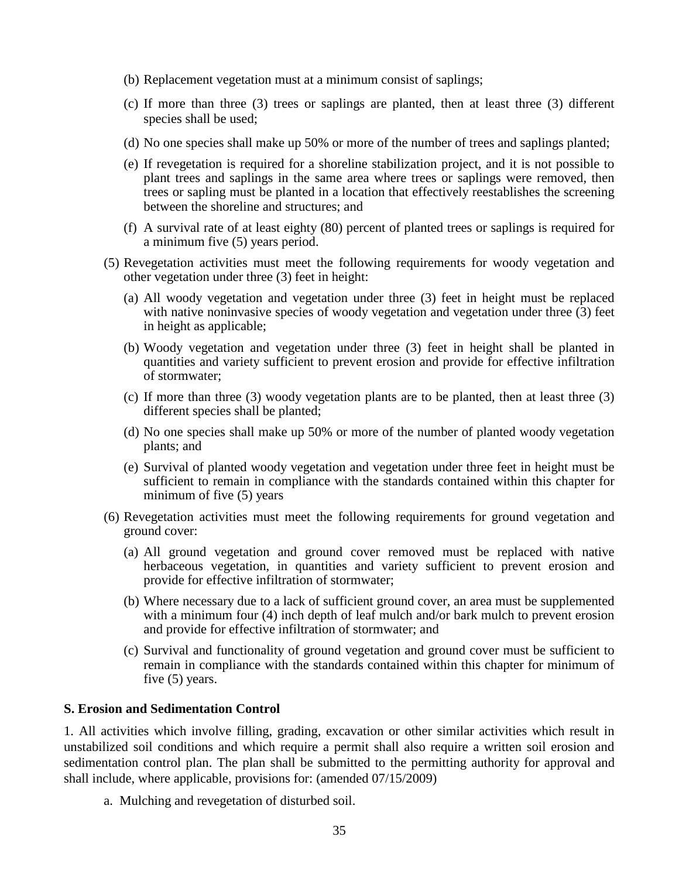- (b) Replacement vegetation must at a minimum consist of saplings;
- (c) If more than three (3) trees or saplings are planted, then at least three (3) different species shall be used;
- (d) No one species shall make up 50% or more of the number of trees and saplings planted;
- (e) If revegetation is required for a shoreline stabilization project, and it is not possible to plant trees and saplings in the same area where trees or saplings were removed, then trees or sapling must be planted in a location that effectively reestablishes the screening between the shoreline and structures; and
- (f) A survival rate of at least eighty (80) percent of planted trees or saplings is required for a minimum five (5) years period.
- (5) Revegetation activities must meet the following requirements for woody vegetation and other vegetation under three (3) feet in height:
	- (a) All woody vegetation and vegetation under three (3) feet in height must be replaced with native noninvasive species of woody vegetation and vegetation under three (3) feet in height as applicable;
	- (b) Woody vegetation and vegetation under three (3) feet in height shall be planted in quantities and variety sufficient to prevent erosion and provide for effective infiltration of stormwater;
	- (c) If more than three (3) woody vegetation plants are to be planted, then at least three (3) different species shall be planted;
	- (d) No one species shall make up 50% or more of the number of planted woody vegetation plants; and
	- (e) Survival of planted woody vegetation and vegetation under three feet in height must be sufficient to remain in compliance with the standards contained within this chapter for minimum of five (5) years
- (6) Revegetation activities must meet the following requirements for ground vegetation and ground cover:
	- (a) All ground vegetation and ground cover removed must be replaced with native herbaceous vegetation, in quantities and variety sufficient to prevent erosion and provide for effective infiltration of stormwater;
	- (b) Where necessary due to a lack of sufficient ground cover, an area must be supplemented with a minimum four (4) inch depth of leaf mulch and/or bark mulch to prevent erosion and provide for effective infiltration of stormwater; and
	- (c) Survival and functionality of ground vegetation and ground cover must be sufficient to remain in compliance with the standards contained within this chapter for minimum of five (5) years.

#### **S. Erosion and Sedimentation Control**

1. All activities which involve filling, grading, excavation or other similar activities which result in unstabilized soil conditions and which require a permit shall also require a written soil erosion and sedimentation control plan. The plan shall be submitted to the permitting authority for approval and shall include, where applicable, provisions for: (amended 07/15/2009)

a. Mulching and revegetation of disturbed soil.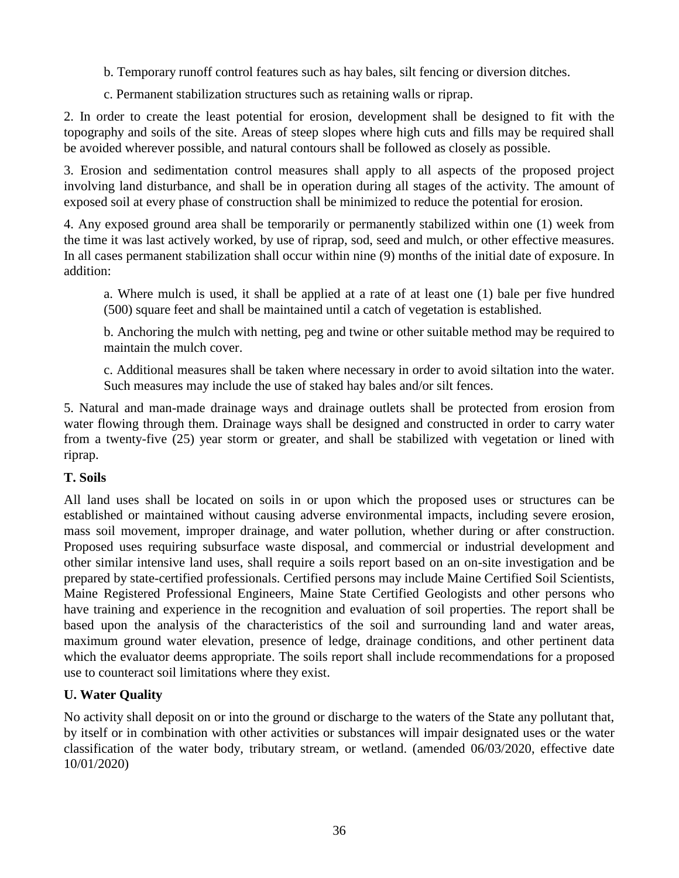b. Temporary runoff control features such as hay bales, silt fencing or diversion ditches.

c. Permanent stabilization structures such as retaining walls or riprap.

2. In order to create the least potential for erosion, development shall be designed to fit with the topography and soils of the site. Areas of steep slopes where high cuts and fills may be required shall be avoided wherever possible, and natural contours shall be followed as closely as possible.

3. Erosion and sedimentation control measures shall apply to all aspects of the proposed project involving land disturbance, and shall be in operation during all stages of the activity. The amount of exposed soil at every phase of construction shall be minimized to reduce the potential for erosion.

4. Any exposed ground area shall be temporarily or permanently stabilized within one (1) week from the time it was last actively worked, by use of riprap, sod, seed and mulch, or other effective measures. In all cases permanent stabilization shall occur within nine (9) months of the initial date of exposure. In addition:

a. Where mulch is used, it shall be applied at a rate of at least one (1) bale per five hundred (500) square feet and shall be maintained until a catch of vegetation is established.

b. Anchoring the mulch with netting, peg and twine or other suitable method may be required to maintain the mulch cover.

c. Additional measures shall be taken where necessary in order to avoid siltation into the water. Such measures may include the use of staked hay bales and/or silt fences.

5. Natural and man-made drainage ways and drainage outlets shall be protected from erosion from water flowing through them. Drainage ways shall be designed and constructed in order to carry water from a twenty-five (25) year storm or greater, and shall be stabilized with vegetation or lined with riprap.

# **T. Soils**

All land uses shall be located on soils in or upon which the proposed uses or structures can be established or maintained without causing adverse environmental impacts, including severe erosion, mass soil movement, improper drainage, and water pollution, whether during or after construction. Proposed uses requiring subsurface waste disposal, and commercial or industrial development and other similar intensive land uses, shall require a soils report based on an on-site investigation and be prepared by state-certified professionals. Certified persons may include Maine Certified Soil Scientists, Maine Registered Professional Engineers, Maine State Certified Geologists and other persons who have training and experience in the recognition and evaluation of soil properties. The report shall be based upon the analysis of the characteristics of the soil and surrounding land and water areas, maximum ground water elevation, presence of ledge, drainage conditions, and other pertinent data which the evaluator deems appropriate. The soils report shall include recommendations for a proposed use to counteract soil limitations where they exist.

# **U. Water Quality**

No activity shall deposit on or into the ground or discharge to the waters of the State any pollutant that, by itself or in combination with other activities or substances will impair designated uses or the water classification of the water body, tributary stream, or wetland. (amended 06/03/2020, effective date 10/01/2020)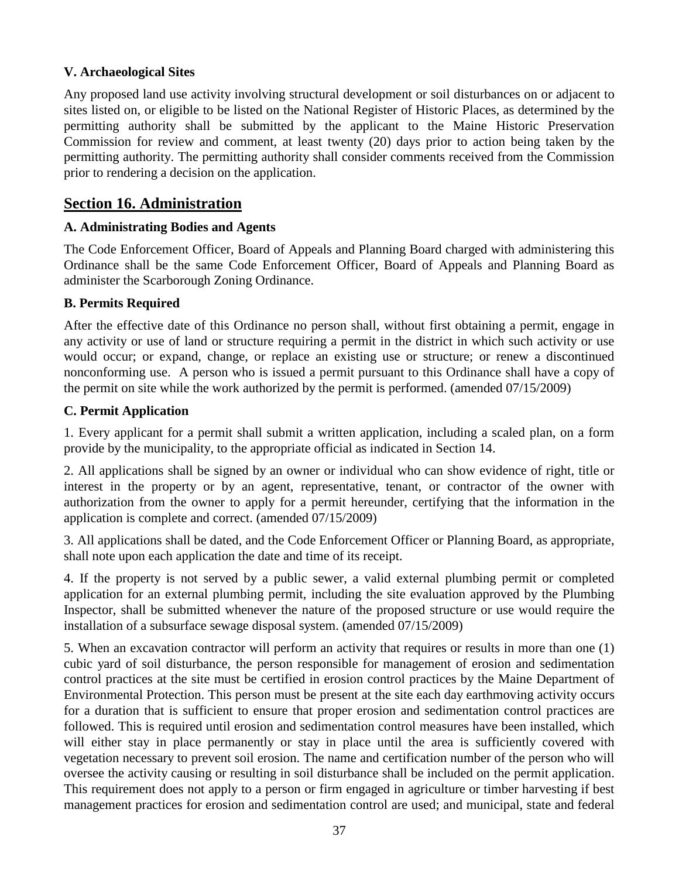## **V. Archaeological Sites**

Any proposed land use activity involving structural development or soil disturbances on or adjacent to sites listed on, or eligible to be listed on the National Register of Historic Places, as determined by the permitting authority shall be submitted by the applicant to the Maine Historic Preservation Commission for review and comment, at least twenty (20) days prior to action being taken by the permitting authority. The permitting authority shall consider comments received from the Commission prior to rendering a decision on the application.

# **Section 16. Administration**

## **A. Administrating Bodies and Agents**

The Code Enforcement Officer, Board of Appeals and Planning Board charged with administering this Ordinance shall be the same Code Enforcement Officer, Board of Appeals and Planning Board as administer the Scarborough Zoning Ordinance.

## **B. Permits Required**

After the effective date of this Ordinance no person shall, without first obtaining a permit, engage in any activity or use of land or structure requiring a permit in the district in which such activity or use would occur; or expand, change, or replace an existing use or structure; or renew a discontinued nonconforming use. A person who is issued a permit pursuant to this Ordinance shall have a copy of the permit on site while the work authorized by the permit is performed. (amended 07/15/2009)

## **C. Permit Application**

1. Every applicant for a permit shall submit a written application, including a scaled plan, on a form provide by the municipality, to the appropriate official as indicated in Section 14.

2. All applications shall be signed by an owner or individual who can show evidence of right, title or interest in the property or by an agent, representative, tenant, or contractor of the owner with authorization from the owner to apply for a permit hereunder, certifying that the information in the application is complete and correct. (amended 07/15/2009)

3. All applications shall be dated, and the Code Enforcement Officer or Planning Board, as appropriate, shall note upon each application the date and time of its receipt.

4. If the property is not served by a public sewer, a valid external plumbing permit or completed application for an external plumbing permit, including the site evaluation approved by the Plumbing Inspector, shall be submitted whenever the nature of the proposed structure or use would require the installation of a subsurface sewage disposal system. (amended 07/15/2009)

5. When an excavation contractor will perform an activity that requires or results in more than one (1) cubic yard of soil disturbance, the person responsible for management of erosion and sedimentation control practices at the site must be certified in erosion control practices by the Maine Department of Environmental Protection. This person must be present at the site each day earthmoving activity occurs for a duration that is sufficient to ensure that proper erosion and sedimentation control practices are followed. This is required until erosion and sedimentation control measures have been installed, which will either stay in place permanently or stay in place until the area is sufficiently covered with vegetation necessary to prevent soil erosion. The name and certification number of the person who will oversee the activity causing or resulting in soil disturbance shall be included on the permit application. This requirement does not apply to a person or firm engaged in agriculture or timber harvesting if best management practices for erosion and sedimentation control are used; and municipal, state and federal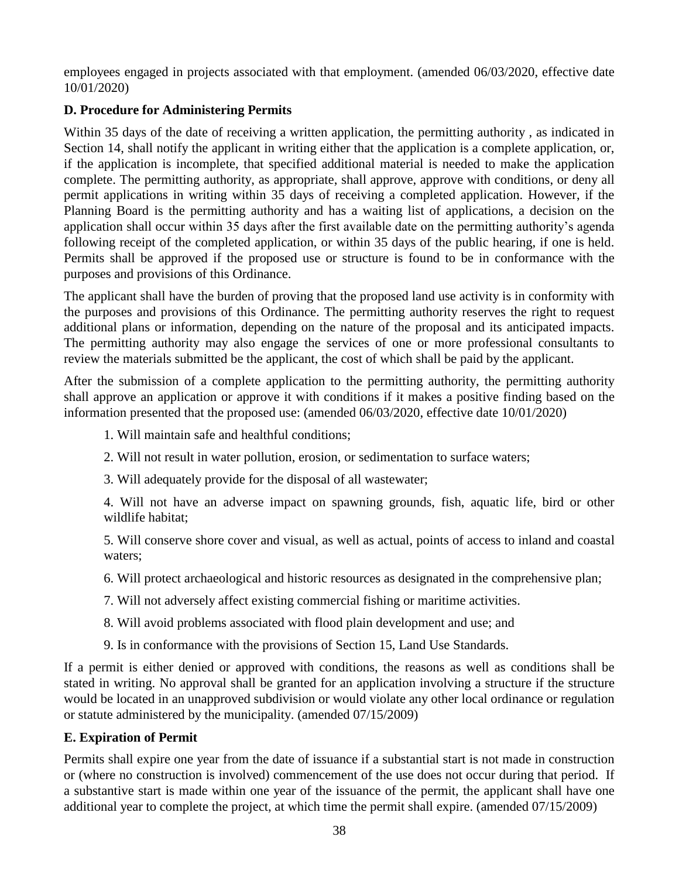employees engaged in projects associated with that employment. (amended 06/03/2020, effective date 10/01/2020)

# **D. Procedure for Administering Permits**

Within 35 days of the date of receiving a written application, the permitting authority , as indicated in Section 14, shall notify the applicant in writing either that the application is a complete application, or, if the application is incomplete, that specified additional material is needed to make the application complete. The permitting authority, as appropriate, shall approve, approve with conditions, or deny all permit applications in writing within 35 days of receiving a completed application. However, if the Planning Board is the permitting authority and has a waiting list of applications, a decision on the application shall occur within 35 days after the first available date on the permitting authority's agenda following receipt of the completed application, or within 35 days of the public hearing, if one is held. Permits shall be approved if the proposed use or structure is found to be in conformance with the purposes and provisions of this Ordinance.

The applicant shall have the burden of proving that the proposed land use activity is in conformity with the purposes and provisions of this Ordinance. The permitting authority reserves the right to request additional plans or information, depending on the nature of the proposal and its anticipated impacts. The permitting authority may also engage the services of one or more professional consultants to review the materials submitted be the applicant, the cost of which shall be paid by the applicant.

After the submission of a complete application to the permitting authority, the permitting authority shall approve an application or approve it with conditions if it makes a positive finding based on the information presented that the proposed use: (amended 06/03/2020, effective date 10/01/2020)

1. Will maintain safe and healthful conditions;

- 2. Will not result in water pollution, erosion, or sedimentation to surface waters;
- 3. Will adequately provide for the disposal of all wastewater;

4. Will not have an adverse impact on spawning grounds, fish, aquatic life, bird or other wildlife habitat;

5. Will conserve shore cover and visual, as well as actual, points of access to inland and coastal waters;

- 6. Will protect archaeological and historic resources as designated in the comprehensive plan;
- 7. Will not adversely affect existing commercial fishing or maritime activities.
- 8. Will avoid problems associated with flood plain development and use; and
- 9. Is in conformance with the provisions of Section 15, Land Use Standards.

If a permit is either denied or approved with conditions, the reasons as well as conditions shall be stated in writing. No approval shall be granted for an application involving a structure if the structure would be located in an unapproved subdivision or would violate any other local ordinance or regulation or statute administered by the municipality. (amended 07/15/2009)

#### **E. Expiration of Permit**

Permits shall expire one year from the date of issuance if a substantial start is not made in construction or (where no construction is involved) commencement of the use does not occur during that period. If a substantive start is made within one year of the issuance of the permit, the applicant shall have one additional year to complete the project, at which time the permit shall expire. (amended 07/15/2009)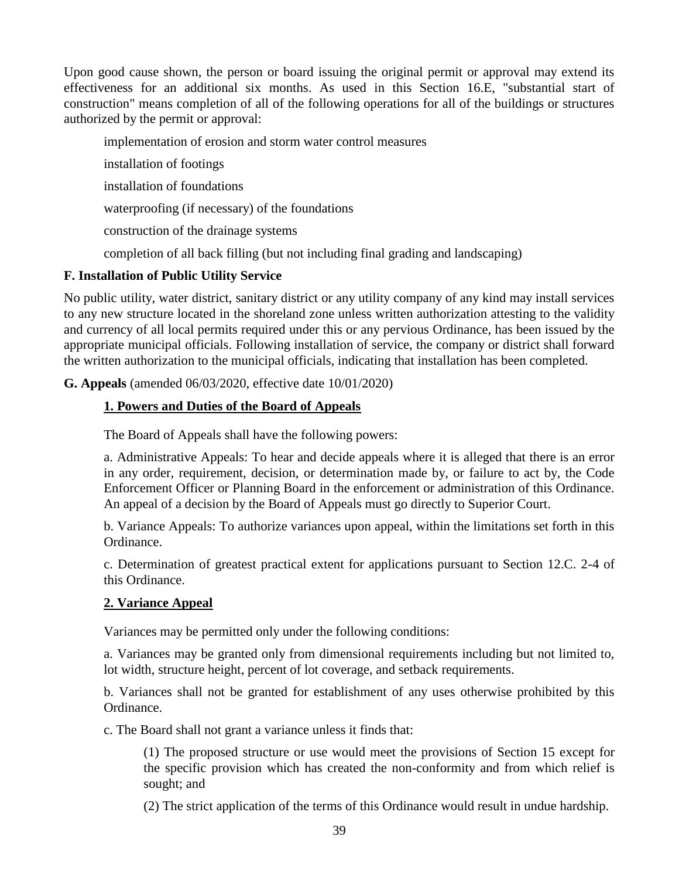Upon good cause shown, the person or board issuing the original permit or approval may extend its effectiveness for an additional six months. As used in this Section 16.E, "substantial start of construction" means completion of all of the following operations for all of the buildings or structures authorized by the permit or approval:

implementation of erosion and storm water control measures

installation of footings

installation of foundations

waterproofing (if necessary) of the foundations

construction of the drainage systems

completion of all back filling (but not including final grading and landscaping)

## **F. Installation of Public Utility Service**

No public utility, water district, sanitary district or any utility company of any kind may install services to any new structure located in the shoreland zone unless written authorization attesting to the validity and currency of all local permits required under this or any pervious Ordinance, has been issued by the appropriate municipal officials. Following installation of service, the company or district shall forward the written authorization to the municipal officials, indicating that installation has been completed.

**G. Appeals** (amended 06/03/2020, effective date 10/01/2020)

# **1. Powers and Duties of the Board of Appeals**

The Board of Appeals shall have the following powers:

a. Administrative Appeals: To hear and decide appeals where it is alleged that there is an error in any order, requirement, decision, or determination made by, or failure to act by, the Code Enforcement Officer or Planning Board in the enforcement or administration of this Ordinance. An appeal of a decision by the Board of Appeals must go directly to Superior Court.

b. Variance Appeals: To authorize variances upon appeal, within the limitations set forth in this Ordinance.

c. Determination of greatest practical extent for applications pursuant to Section 12.C. 2-4 of this Ordinance.

# **2. Variance Appeal**

Variances may be permitted only under the following conditions:

a. Variances may be granted only from dimensional requirements including but not limited to, lot width, structure height, percent of lot coverage, and setback requirements.

b. Variances shall not be granted for establishment of any uses otherwise prohibited by this Ordinance.

c. The Board shall not grant a variance unless it finds that:

(1) The proposed structure or use would meet the provisions of Section 15 except for the specific provision which has created the non-conformity and from which relief is sought; and

(2) The strict application of the terms of this Ordinance would result in undue hardship.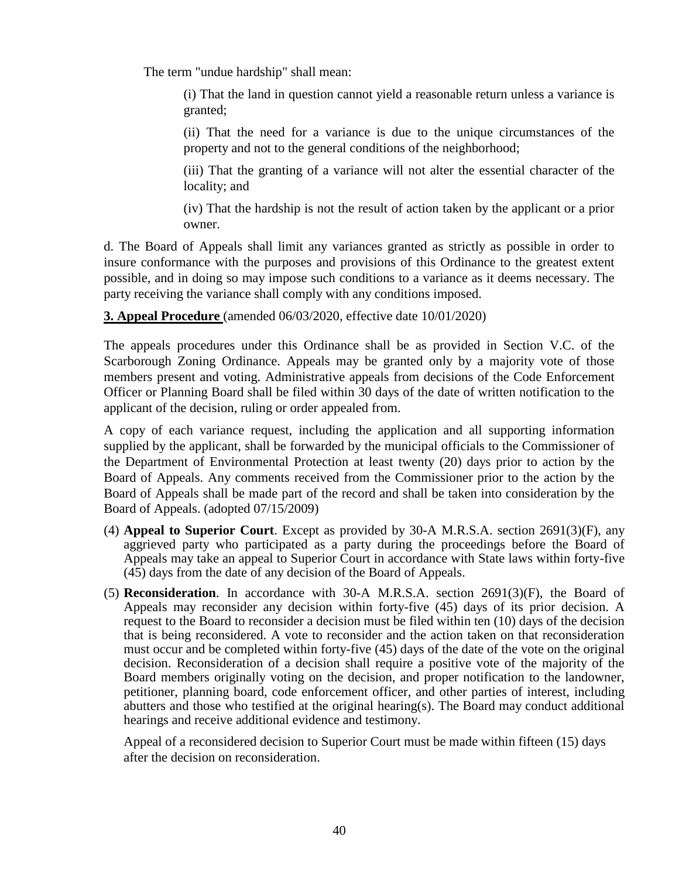The term "undue hardship" shall mean:

(i) That the land in question cannot yield a reasonable return unless a variance is granted;

(ii) That the need for a variance is due to the unique circumstances of the property and not to the general conditions of the neighborhood;

(iii) That the granting of a variance will not alter the essential character of the locality; and

(iv) That the hardship is not the result of action taken by the applicant or a prior owner.

d. The Board of Appeals shall limit any variances granted as strictly as possible in order to insure conformance with the purposes and provisions of this Ordinance to the greatest extent possible, and in doing so may impose such conditions to a variance as it deems necessary. The party receiving the variance shall comply with any conditions imposed.

**3. Appeal Procedure** (amended 06/03/2020, effective date 10/01/2020)

The appeals procedures under this Ordinance shall be as provided in Section V.C. of the Scarborough Zoning Ordinance. Appeals may be granted only by a majority vote of those members present and voting. Administrative appeals from decisions of the Code Enforcement Officer or Planning Board shall be filed within 30 days of the date of written notification to the applicant of the decision, ruling or order appealed from.

A copy of each variance request, including the application and all supporting information supplied by the applicant, shall be forwarded by the municipal officials to the Commissioner of the Department of Environmental Protection at least twenty (20) days prior to action by the Board of Appeals. Any comments received from the Commissioner prior to the action by the Board of Appeals shall be made part of the record and shall be taken into consideration by the Board of Appeals. (adopted 07/15/2009)

- (4) **Appeal to Superior Court**. Except as provided by 30-A M.R.S.A. section 2691(3)(F), any aggrieved party who participated as a party during the proceedings before the Board of Appeals may take an appeal to Superior Court in accordance with State laws within forty-five (45) days from the date of any decision of the Board of Appeals.
- (5) **Reconsideration**. In accordance with 30-A M.R.S.A. section 2691(3)(F), the Board of Appeals may reconsider any decision within forty-five (45) days of its prior decision. A request to the Board to reconsider a decision must be filed within ten (10) days of the decision that is being reconsidered. A vote to reconsider and the action taken on that reconsideration must occur and be completed within forty-five (45) days of the date of the vote on the original decision. Reconsideration of a decision shall require a positive vote of the majority of the Board members originally voting on the decision, and proper notification to the landowner, petitioner, planning board, code enforcement officer, and other parties of interest, including abutters and those who testified at the original hearing(s). The Board may conduct additional hearings and receive additional evidence and testimony.

Appeal of a reconsidered decision to Superior Court must be made within fifteen (15) days after the decision on reconsideration.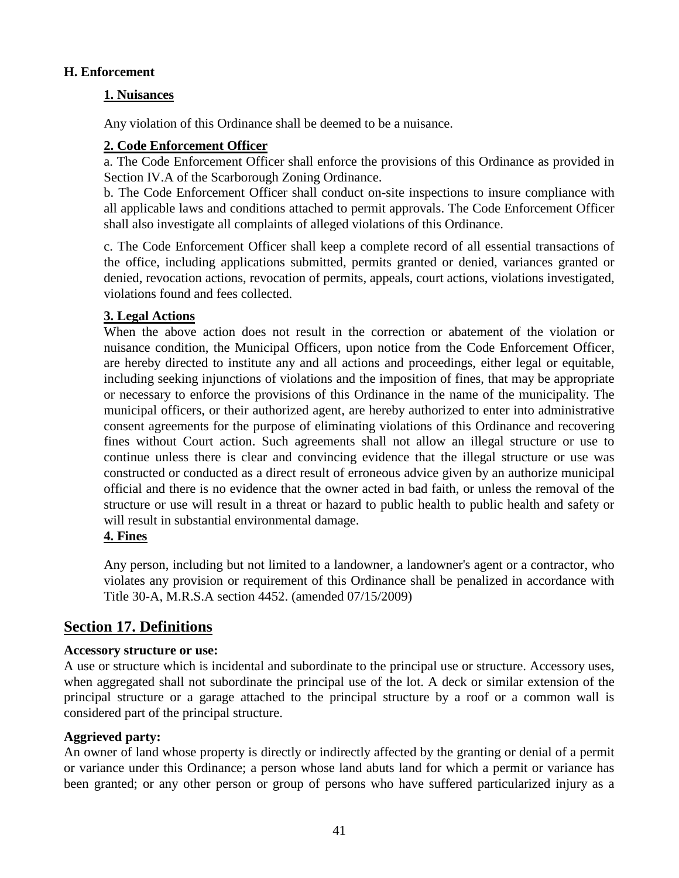#### **H. Enforcement**

#### **1. Nuisances**

Any violation of this Ordinance shall be deemed to be a nuisance.

#### **2. Code Enforcement Officer**

a. The Code Enforcement Officer shall enforce the provisions of this Ordinance as provided in Section IV.A of the Scarborough Zoning Ordinance.

b. The Code Enforcement Officer shall conduct on-site inspections to insure compliance with all applicable laws and conditions attached to permit approvals. The Code Enforcement Officer shall also investigate all complaints of alleged violations of this Ordinance.

c. The Code Enforcement Officer shall keep a complete record of all essential transactions of the office, including applications submitted, permits granted or denied, variances granted or denied, revocation actions, revocation of permits, appeals, court actions, violations investigated, violations found and fees collected.

#### **3. Legal Actions**

When the above action does not result in the correction or abatement of the violation or nuisance condition, the Municipal Officers, upon notice from the Code Enforcement Officer, are hereby directed to institute any and all actions and proceedings, either legal or equitable, including seeking injunctions of violations and the imposition of fines, that may be appropriate or necessary to enforce the provisions of this Ordinance in the name of the municipality. The municipal officers, or their authorized agent, are hereby authorized to enter into administrative consent agreements for the purpose of eliminating violations of this Ordinance and recovering fines without Court action. Such agreements shall not allow an illegal structure or use to continue unless there is clear and convincing evidence that the illegal structure or use was constructed or conducted as a direct result of erroneous advice given by an authorize municipal official and there is no evidence that the owner acted in bad faith, or unless the removal of the structure or use will result in a threat or hazard to public health to public health and safety or will result in substantial environmental damage.

#### **4. Fines**

Any person, including but not limited to a landowner, a landowner's agent or a contractor, who violates any provision or requirement of this Ordinance shall be penalized in accordance with Title 30-A, M.R.S.A section 4452. (amended 07/15/2009)

# **Section 17. Definitions**

#### **Accessory structure or use:**

A use or structure which is incidental and subordinate to the principal use or structure. Accessory uses, when aggregated shall not subordinate the principal use of the lot. A deck or similar extension of the principal structure or a garage attached to the principal structure by a roof or a common wall is considered part of the principal structure.

#### **Aggrieved party:**

An owner of land whose property is directly or indirectly affected by the granting or denial of a permit or variance under this Ordinance; a person whose land abuts land for which a permit or variance has been granted; or any other person or group of persons who have suffered particularized injury as a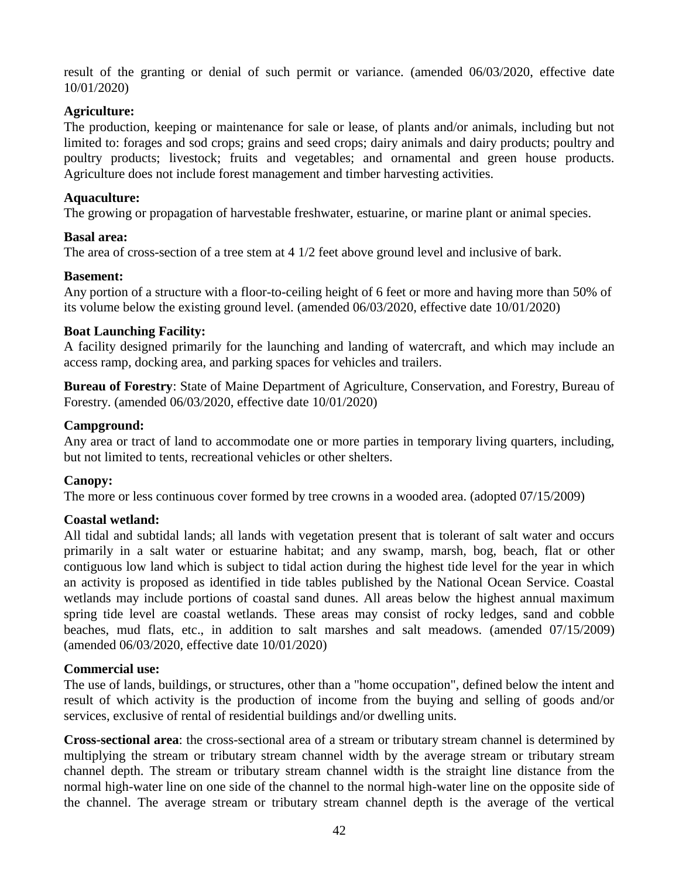result of the granting or denial of such permit or variance. (amended 06/03/2020, effective date 10/01/2020)

#### **Agriculture:**

The production, keeping or maintenance for sale or lease, of plants and/or animals, including but not limited to: forages and sod crops; grains and seed crops; dairy animals and dairy products; poultry and poultry products; livestock; fruits and vegetables; and ornamental and green house products. Agriculture does not include forest management and timber harvesting activities.

#### **Aquaculture:**

The growing or propagation of harvestable freshwater, estuarine, or marine plant or animal species.

#### **Basal area:**

The area of cross-section of a tree stem at 4 1/2 feet above ground level and inclusive of bark.

#### **Basement:**

Any portion of a structure with a floor-to-ceiling height of 6 feet or more and having more than 50% of its volume below the existing ground level. (amended 06/03/2020, effective date 10/01/2020)

#### **Boat Launching Facility:**

A facility designed primarily for the launching and landing of watercraft, and which may include an access ramp, docking area, and parking spaces for vehicles and trailers.

**Bureau of Forestry**: State of Maine Department of Agriculture, Conservation, and Forestry, Bureau of Forestry. (amended 06/03/2020, effective date 10/01/2020)

#### **Campground:**

Any area or tract of land to accommodate one or more parties in temporary living quarters, including, but not limited to tents, recreational vehicles or other shelters.

#### **Canopy:**

The more or less continuous cover formed by tree crowns in a wooded area. (adopted 07/15/2009)

#### **Coastal wetland:**

All tidal and subtidal lands; all lands with vegetation present that is tolerant of salt water and occurs primarily in a salt water or estuarine habitat; and any swamp, marsh, bog, beach, flat or other contiguous low land which is subject to tidal action during the highest tide level for the year in which an activity is proposed as identified in tide tables published by the National Ocean Service. Coastal wetlands may include portions of coastal sand dunes. All areas below the highest annual maximum spring tide level are coastal wetlands. These areas may consist of rocky ledges, sand and cobble beaches, mud flats, etc., in addition to salt marshes and salt meadows. (amended 07/15/2009) (amended 06/03/2020, effective date 10/01/2020)

#### **Commercial use:**

The use of lands, buildings, or structures, other than a "home occupation", defined below the intent and result of which activity is the production of income from the buying and selling of goods and/or services, exclusive of rental of residential buildings and/or dwelling units.

**Cross-sectional area**: the cross-sectional area of a stream or tributary stream channel is determined by multiplying the stream or tributary stream channel width by the average stream or tributary stream channel depth. The stream or tributary stream channel width is the straight line distance from the normal high-water line on one side of the channel to the normal high-water line on the opposite side of the channel. The average stream or tributary stream channel depth is the average of the vertical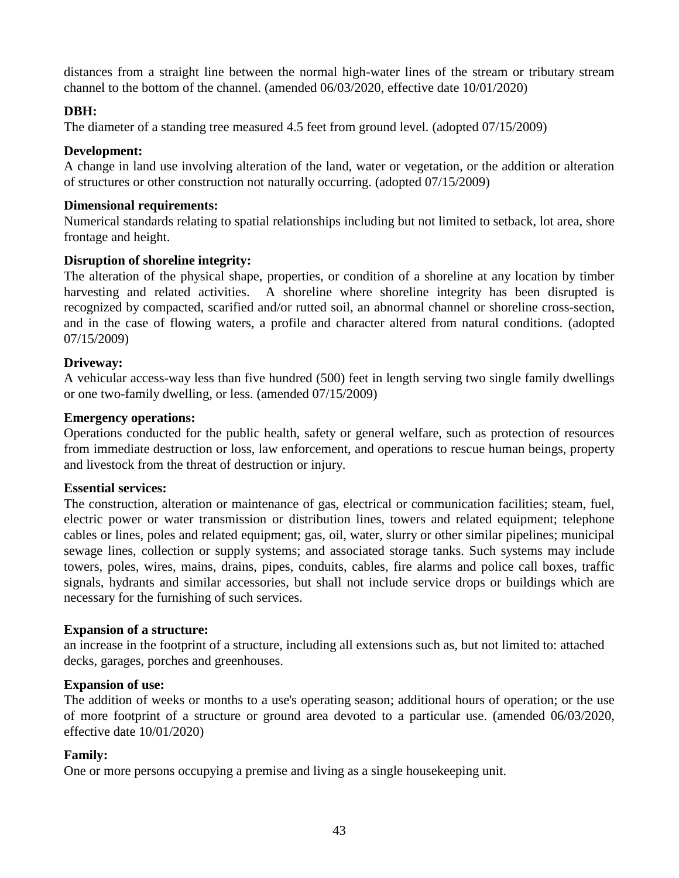distances from a straight line between the normal high-water lines of the stream or tributary stream channel to the bottom of the channel. (amended 06/03/2020, effective date 10/01/2020)

#### **DBH:**

The diameter of a standing tree measured 4.5 feet from ground level. (adopted 07/15/2009)

#### **Development:**

A change in land use involving alteration of the land, water or vegetation, or the addition or alteration of structures or other construction not naturally occurring. (adopted 07/15/2009)

#### **Dimensional requirements:**

Numerical standards relating to spatial relationships including but not limited to setback, lot area, shore frontage and height.

#### **Disruption of shoreline integrity:**

The alteration of the physical shape, properties, or condition of a shoreline at any location by timber harvesting and related activities. A shoreline where shoreline integrity has been disrupted is recognized by compacted, scarified and/or rutted soil, an abnormal channel or shoreline cross-section, and in the case of flowing waters, a profile and character altered from natural conditions. (adopted 07/15/2009)

#### **Driveway:**

A vehicular access-way less than five hundred (500) feet in length serving two single family dwellings or one two-family dwelling, or less. (amended 07/15/2009)

#### **Emergency operations:**

Operations conducted for the public health, safety or general welfare, such as protection of resources from immediate destruction or loss, law enforcement, and operations to rescue human beings, property and livestock from the threat of destruction or injury.

#### **Essential services:**

The construction, alteration or maintenance of gas, electrical or communication facilities; steam, fuel, electric power or water transmission or distribution lines, towers and related equipment; telephone cables or lines, poles and related equipment; gas, oil, water, slurry or other similar pipelines; municipal sewage lines, collection or supply systems; and associated storage tanks. Such systems may include towers, poles, wires, mains, drains, pipes, conduits, cables, fire alarms and police call boxes, traffic signals, hydrants and similar accessories, but shall not include service drops or buildings which are necessary for the furnishing of such services.

#### **Expansion of a structure:**

an increase in the footprint of a structure, including all extensions such as, but not limited to: attached decks, garages, porches and greenhouses.

#### **Expansion of use:**

The addition of weeks or months to a use's operating season; additional hours of operation; or the use of more footprint of a structure or ground area devoted to a particular use. (amended 06/03/2020, effective date 10/01/2020)

#### **Family:**

One or more persons occupying a premise and living as a single housekeeping unit.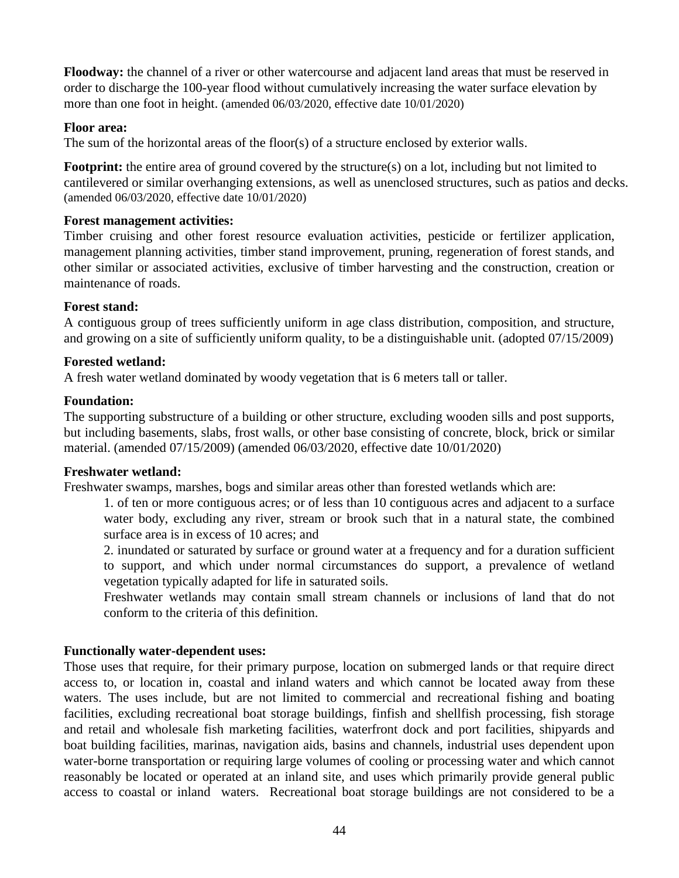**Floodway:** the channel of a river or other watercourse and adjacent land areas that must be reserved in order to discharge the 100-year flood without cumulatively increasing the water surface elevation by more than one foot in height. (amended 06/03/2020, effective date 10/01/2020)

#### **Floor area:**

The sum of the horizontal areas of the floor(s) of a structure enclosed by exterior walls.

**Footprint:** the entire area of ground covered by the structure(s) on a lot, including but not limited to cantilevered or similar overhanging extensions, as well as unenclosed structures, such as patios and decks. (amended 06/03/2020, effective date 10/01/2020)

#### **Forest management activities:**

Timber cruising and other forest resource evaluation activities, pesticide or fertilizer application, management planning activities, timber stand improvement, pruning, regeneration of forest stands, and other similar or associated activities, exclusive of timber harvesting and the construction, creation or maintenance of roads.

#### **Forest stand:**

A contiguous group of trees sufficiently uniform in age class distribution, composition, and structure, and growing on a site of sufficiently uniform quality, to be a distinguishable unit. (adopted 07/15/2009)

#### **Forested wetland:**

A fresh water wetland dominated by woody vegetation that is 6 meters tall or taller.

#### **Foundation:**

The supporting substructure of a building or other structure, excluding wooden sills and post supports, but including basements, slabs, frost walls, or other base consisting of concrete, block, brick or similar material. (amended 07/15/2009) (amended 06/03/2020, effective date 10/01/2020)

#### **Freshwater wetland:**

Freshwater swamps, marshes, bogs and similar areas other than forested wetlands which are:

1. of ten or more contiguous acres; or of less than 10 contiguous acres and adjacent to a surface water body, excluding any river, stream or brook such that in a natural state, the combined surface area is in excess of 10 acres; and

2. inundated or saturated by surface or ground water at a frequency and for a duration sufficient to support, and which under normal circumstances do support, a prevalence of wetland vegetation typically adapted for life in saturated soils.

Freshwater wetlands may contain small stream channels or inclusions of land that do not conform to the criteria of this definition.

#### **Functionally water-dependent uses:**

Those uses that require, for their primary purpose, location on submerged lands or that require direct access to, or location in, coastal and inland waters and which cannot be located away from these waters. The uses include, but are not limited to commercial and recreational fishing and boating facilities, excluding recreational boat storage buildings, finfish and shellfish processing, fish storage and retail and wholesale fish marketing facilities, waterfront dock and port facilities, shipyards and boat building facilities, marinas, navigation aids, basins and channels, industrial uses dependent upon water-borne transportation or requiring large volumes of cooling or processing water and which cannot reasonably be located or operated at an inland site, and uses which primarily provide general public access to coastal or inland waters. Recreational boat storage buildings are not considered to be a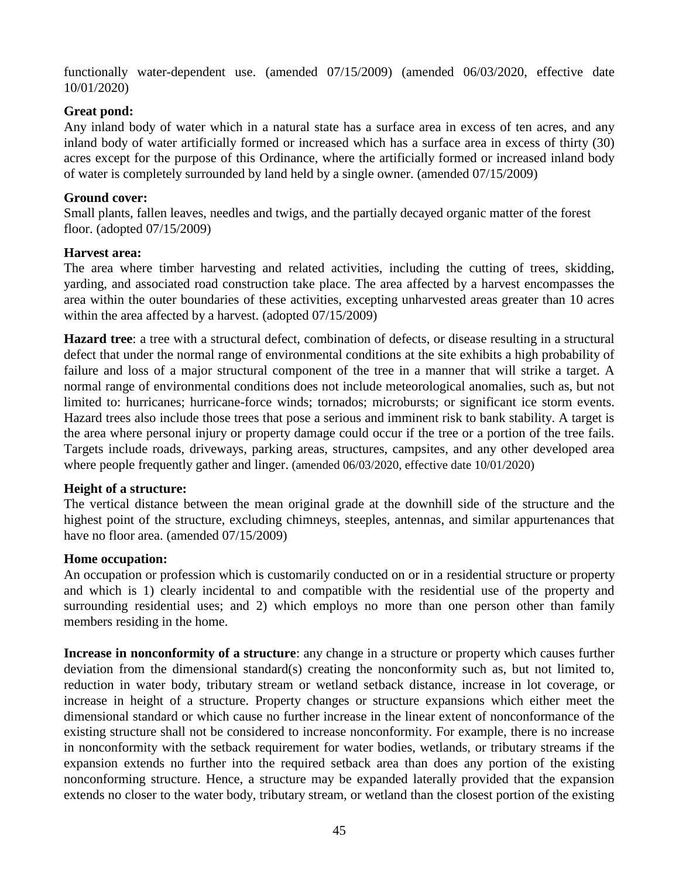functionally water-dependent use. (amended 07/15/2009) (amended 06/03/2020, effective date 10/01/2020)

#### **Great pond:**

Any inland body of water which in a natural state has a surface area in excess of ten acres, and any inland body of water artificially formed or increased which has a surface area in excess of thirty (30) acres except for the purpose of this Ordinance, where the artificially formed or increased inland body of water is completely surrounded by land held by a single owner. (amended 07/15/2009)

#### **Ground cover:**

Small plants, fallen leaves, needles and twigs, and the partially decayed organic matter of the forest floor. (adopted 07/15/2009)

#### **Harvest area:**

The area where timber harvesting and related activities, including the cutting of trees, skidding, yarding, and associated road construction take place. The area affected by a harvest encompasses the area within the outer boundaries of these activities, excepting unharvested areas greater than 10 acres within the area affected by a harvest. (adopted 07/15/2009)

**Hazard tree**: a tree with a structural defect, combination of defects, or disease resulting in a structural defect that under the normal range of environmental conditions at the site exhibits a high probability of failure and loss of a major structural component of the tree in a manner that will strike a target. A normal range of environmental conditions does not include meteorological anomalies, such as, but not limited to: hurricanes; hurricane-force winds; tornados; microbursts; or significant ice storm events. Hazard trees also include those trees that pose a serious and imminent risk to bank stability. A target is the area where personal injury or property damage could occur if the tree or a portion of the tree fails. Targets include roads, driveways, parking areas, structures, campsites, and any other developed area where people frequently gather and linger. (amended  $06/03/2020$ , effective date  $10/01/2020$ )

#### **Height of a structure:**

The vertical distance between the mean original grade at the downhill side of the structure and the highest point of the structure, excluding chimneys, steeples, antennas, and similar appurtenances that have no floor area. (amended  $07/15/2009$ )

#### **Home occupation:**

An occupation or profession which is customarily conducted on or in a residential structure or property and which is 1) clearly incidental to and compatible with the residential use of the property and surrounding residential uses; and 2) which employs no more than one person other than family members residing in the home.

**Increase in nonconformity of a structure**: any change in a structure or property which causes further deviation from the dimensional standard(s) creating the nonconformity such as, but not limited to, reduction in water body, tributary stream or wetland setback distance, increase in lot coverage, or increase in height of a structure. Property changes or structure expansions which either meet the dimensional standard or which cause no further increase in the linear extent of nonconformance of the existing structure shall not be considered to increase nonconformity. For example, there is no increase in nonconformity with the setback requirement for water bodies, wetlands, or tributary streams if the expansion extends no further into the required setback area than does any portion of the existing nonconforming structure. Hence, a structure may be expanded laterally provided that the expansion extends no closer to the water body, tributary stream, or wetland than the closest portion of the existing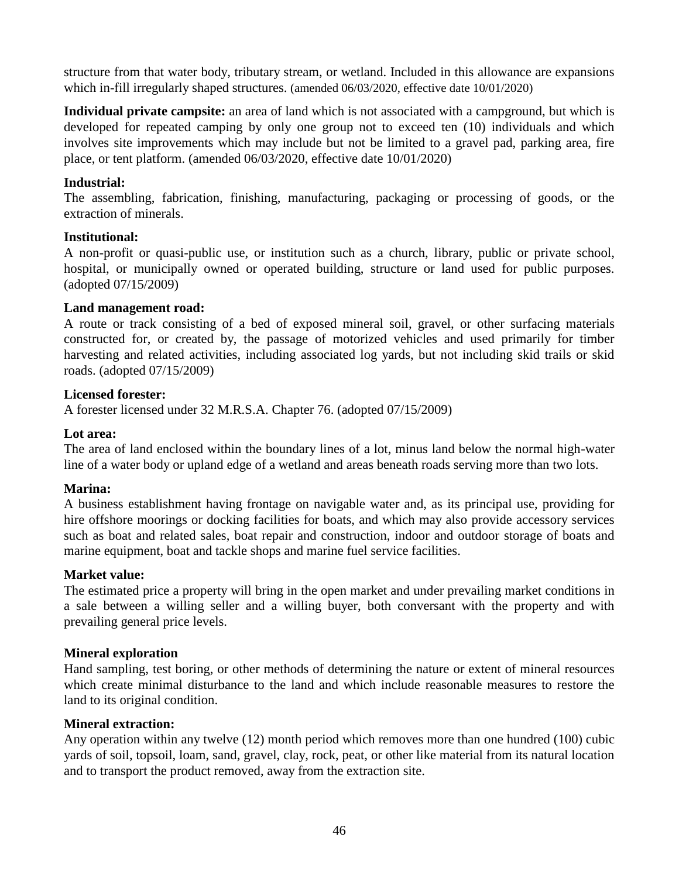structure from that water body, tributary stream, or wetland. Included in this allowance are expansions which in-fill irregularly shaped structures. (amended 06/03/2020, effective date 10/01/2020)

**Individual private campsite:** an area of land which is not associated with a campground, but which is developed for repeated camping by only one group not to exceed ten (10) individuals and which involves site improvements which may include but not be limited to a gravel pad, parking area, fire place, or tent platform. (amended 06/03/2020, effective date 10/01/2020)

#### **Industrial:**

The assembling, fabrication, finishing, manufacturing, packaging or processing of goods, or the extraction of minerals.

#### **Institutional:**

A non-profit or quasi-public use, or institution such as a church, library, public or private school, hospital, or municipally owned or operated building, structure or land used for public purposes. (adopted 07/15/2009)

#### **Land management road:**

A route or track consisting of a bed of exposed mineral soil, gravel, or other surfacing materials constructed for, or created by, the passage of motorized vehicles and used primarily for timber harvesting and related activities, including associated log yards, but not including skid trails or skid roads. (adopted 07/15/2009)

#### **Licensed forester:**

A forester licensed under 32 M.R.S.A. Chapter 76. (adopted 07/15/2009)

#### **Lot area:**

The area of land enclosed within the boundary lines of a lot, minus land below the normal high-water line of a water body or upland edge of a wetland and areas beneath roads serving more than two lots.

#### **Marina:**

A business establishment having frontage on navigable water and, as its principal use, providing for hire offshore moorings or docking facilities for boats, and which may also provide accessory services such as boat and related sales, boat repair and construction, indoor and outdoor storage of boats and marine equipment, boat and tackle shops and marine fuel service facilities.

#### **Market value:**

The estimated price a property will bring in the open market and under prevailing market conditions in a sale between a willing seller and a willing buyer, both conversant with the property and with prevailing general price levels.

#### **Mineral exploration**

Hand sampling, test boring, or other methods of determining the nature or extent of mineral resources which create minimal disturbance to the land and which include reasonable measures to restore the land to its original condition.

#### **Mineral extraction:**

Any operation within any twelve (12) month period which removes more than one hundred (100) cubic yards of soil, topsoil, loam, sand, gravel, clay, rock, peat, or other like material from its natural location and to transport the product removed, away from the extraction site.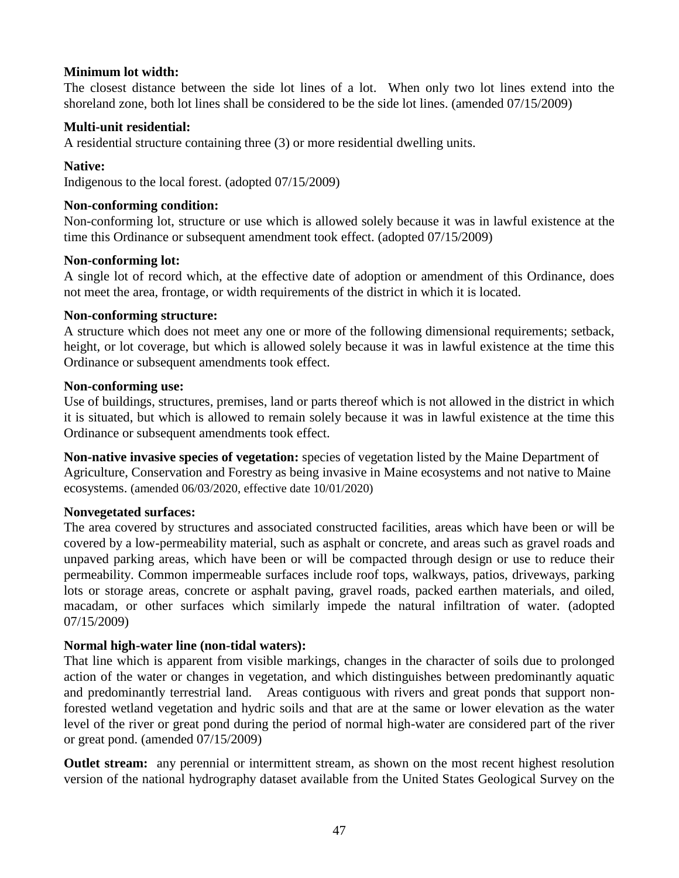#### **Minimum lot width:**

The closest distance between the side lot lines of a lot. When only two lot lines extend into the shoreland zone, both lot lines shall be considered to be the side lot lines. (amended 07/15/2009)

#### **Multi-unit residential:**

A residential structure containing three (3) or more residential dwelling units.

#### **Native:**

Indigenous to the local forest. (adopted 07/15/2009)

#### **Non-conforming condition:**

Non-conforming lot, structure or use which is allowed solely because it was in lawful existence at the time this Ordinance or subsequent amendment took effect. (adopted 07/15/2009)

#### **Non-conforming lot:**

A single lot of record which, at the effective date of adoption or amendment of this Ordinance, does not meet the area, frontage, or width requirements of the district in which it is located.

#### **Non-conforming structure:**

A structure which does not meet any one or more of the following dimensional requirements; setback, height, or lot coverage, but which is allowed solely because it was in lawful existence at the time this Ordinance or subsequent amendments took effect.

#### **Non-conforming use:**

Use of buildings, structures, premises, land or parts thereof which is not allowed in the district in which it is situated, but which is allowed to remain solely because it was in lawful existence at the time this Ordinance or subsequent amendments took effect.

**Non-native invasive species of vegetation:** species of vegetation listed by the Maine Department of Agriculture, Conservation and Forestry as being invasive in Maine ecosystems and not native to Maine ecosystems. (amended 06/03/2020, effective date 10/01/2020)

#### **Nonvegetated surfaces:**

The area covered by structures and associated constructed facilities, areas which have been or will be covered by a low-permeability material, such as asphalt or concrete, and areas such as gravel roads and unpaved parking areas, which have been or will be compacted through design or use to reduce their permeability. Common impermeable surfaces include roof tops, walkways, patios, driveways, parking lots or storage areas, concrete or asphalt paving, gravel roads, packed earthen materials, and oiled, macadam, or other surfaces which similarly impede the natural infiltration of water. (adopted 07/15/2009)

#### **Normal high-water line (non-tidal waters):**

That line which is apparent from visible markings, changes in the character of soils due to prolonged action of the water or changes in vegetation, and which distinguishes between predominantly aquatic and predominantly terrestrial land. Areas contiguous with rivers and great ponds that support nonforested wetland vegetation and hydric soils and that are at the same or lower elevation as the water level of the river or great pond during the period of normal high-water are considered part of the river or great pond. (amended 07/15/2009)

**Outlet stream:** any perennial or intermittent stream, as shown on the most recent highest resolution version of the national hydrography dataset available from the United States Geological Survey on the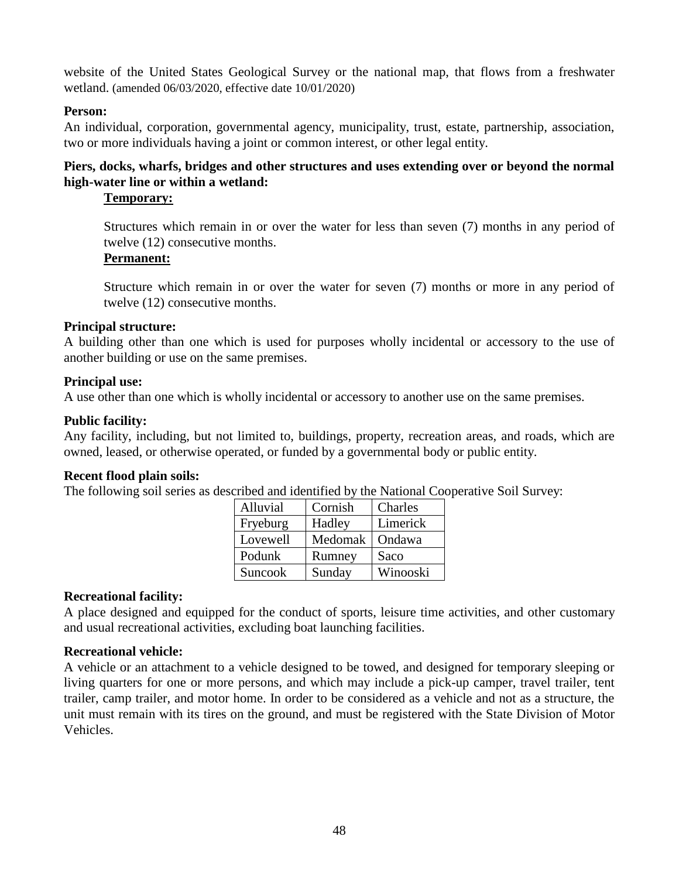website of the United States Geological Survey or the national map, that flows from a freshwater wetland. (amended 06/03/2020, effective date 10/01/2020)

#### **Person:**

An individual, corporation, governmental agency, municipality, trust, estate, partnership, association, two or more individuals having a joint or common interest, or other legal entity.

#### **Piers, docks, wharfs, bridges and other structures and uses extending over or beyond the normal high-water line or within a wetland:**

#### **Temporary:**

Structures which remain in or over the water for less than seven (7) months in any period of twelve (12) consecutive months.

#### **Permanent:**

Structure which remain in or over the water for seven (7) months or more in any period of twelve (12) consecutive months.

#### **Principal structure:**

A building other than one which is used for purposes wholly incidental or accessory to the use of another building or use on the same premises.

#### **Principal use:**

A use other than one which is wholly incidental or accessory to another use on the same premises.

#### **Public facility:**

Any facility, including, but not limited to, buildings, property, recreation areas, and roads, which are owned, leased, or otherwise operated, or funded by a governmental body or public entity.

#### **Recent flood plain soils:**

The following soil series as described and identified by the National Cooperative Soil Survey:

| Alluvial | Cornish | Charles  |
|----------|---------|----------|
| Fryeburg | Hadley  | Limerick |
| Lovewell | Medomak | Ondawa   |
| Podunk   | Rumney  | Saco     |
| Suncook  | Sunday  | Winooski |

#### **Recreational facility:**

A place designed and equipped for the conduct of sports, leisure time activities, and other customary and usual recreational activities, excluding boat launching facilities.

#### **Recreational vehicle:**

A vehicle or an attachment to a vehicle designed to be towed, and designed for temporary sleeping or living quarters for one or more persons, and which may include a pick-up camper, travel trailer, tent trailer, camp trailer, and motor home. In order to be considered as a vehicle and not as a structure, the unit must remain with its tires on the ground, and must be registered with the State Division of Motor Vehicles.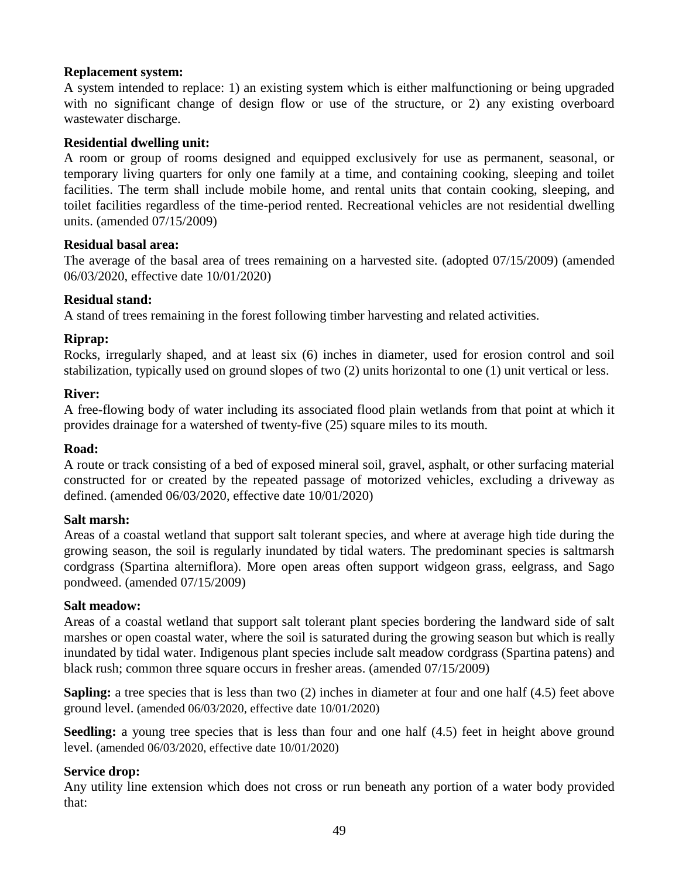#### **Replacement system:**

A system intended to replace: 1) an existing system which is either malfunctioning or being upgraded with no significant change of design flow or use of the structure, or 2) any existing overboard wastewater discharge.

#### **Residential dwelling unit:**

A room or group of rooms designed and equipped exclusively for use as permanent, seasonal, or temporary living quarters for only one family at a time, and containing cooking, sleeping and toilet facilities. The term shall include mobile home, and rental units that contain cooking, sleeping, and toilet facilities regardless of the time-period rented. Recreational vehicles are not residential dwelling units. (amended 07/15/2009)

#### **Residual basal area:**

The average of the basal area of trees remaining on a harvested site. (adopted 07/15/2009) (amended 06/03/2020, effective date 10/01/2020)

#### **Residual stand:**

A stand of trees remaining in the forest following timber harvesting and related activities.

#### **Riprap:**

Rocks, irregularly shaped, and at least six (6) inches in diameter, used for erosion control and soil stabilization, typically used on ground slopes of two (2) units horizontal to one (1) unit vertical or less.

#### **River:**

A free-flowing body of water including its associated flood plain wetlands from that point at which it provides drainage for a watershed of twenty-five (25) square miles to its mouth.

#### **Road:**

A route or track consisting of a bed of exposed mineral soil, gravel, asphalt, or other surfacing material constructed for or created by the repeated passage of motorized vehicles, excluding a driveway as defined. (amended 06/03/2020, effective date 10/01/2020)

#### **Salt marsh:**

Areas of a coastal wetland that support salt tolerant species, and where at average high tide during the growing season, the soil is regularly inundated by tidal waters. The predominant species is saltmarsh cordgrass (Spartina alterniflora). More open areas often support widgeon grass, eelgrass, and Sago pondweed. (amended 07/15/2009)

#### **Salt meadow:**

Areas of a coastal wetland that support salt tolerant plant species bordering the landward side of salt marshes or open coastal water, where the soil is saturated during the growing season but which is really inundated by tidal water. Indigenous plant species include salt meadow cordgrass (Spartina patens) and black rush; common three square occurs in fresher areas. (amended 07/15/2009)

**Sapling:** a tree species that is less than two (2) inches in diameter at four and one half (4.5) feet above ground level. (amended 06/03/2020, effective date 10/01/2020)

**Seedling:** a young tree species that is less than four and one half  $(4.5)$  feet in height above ground level. (amended 06/03/2020, effective date 10/01/2020)

#### **Service drop:**

Any utility line extension which does not cross or run beneath any portion of a water body provided that: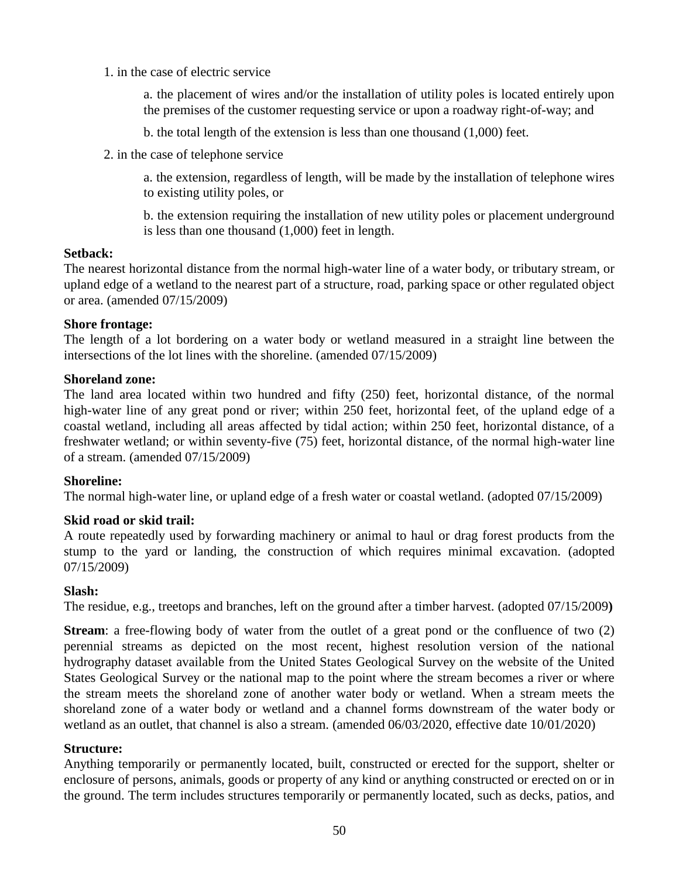1. in the case of electric service

a. the placement of wires and/or the installation of utility poles is located entirely upon the premises of the customer requesting service or upon a roadway right-of-way; and

b. the total length of the extension is less than one thousand (1,000) feet.

2. in the case of telephone service

a. the extension, regardless of length, will be made by the installation of telephone wires to existing utility poles, or

b. the extension requiring the installation of new utility poles or placement underground is less than one thousand (1,000) feet in length.

#### **Setback:**

The nearest horizontal distance from the normal high-water line of a water body, or tributary stream, or upland edge of a wetland to the nearest part of a structure, road, parking space or other regulated object or area. (amended 07/15/2009)

#### **Shore frontage:**

The length of a lot bordering on a water body or wetland measured in a straight line between the intersections of the lot lines with the shoreline. (amended 07/15/2009)

#### **Shoreland zone:**

The land area located within two hundred and fifty (250) feet, horizontal distance, of the normal high-water line of any great pond or river; within 250 feet, horizontal feet, of the upland edge of a coastal wetland, including all areas affected by tidal action; within 250 feet, horizontal distance, of a freshwater wetland; or within seventy-five (75) feet, horizontal distance, of the normal high-water line of a stream. (amended 07/15/2009)

#### **Shoreline:**

The normal high-water line, or upland edge of a fresh water or coastal wetland. (adopted 07/15/2009)

#### **Skid road or skid trail:**

A route repeatedly used by forwarding machinery or animal to haul or drag forest products from the stump to the yard or landing, the construction of which requires minimal excavation. (adopted 07/15/2009)

#### **Slash:**

The residue, e.g., treetops and branches, left on the ground after a timber harvest. (adopted 07/15/2009**)**

**Stream**: a free-flowing body of water from the outlet of a great pond or the confluence of two (2) perennial streams as depicted on the most recent, highest resolution version of the national hydrography dataset available from the United States Geological Survey on the website of the United States Geological Survey or the national map to the point where the stream becomes a river or where the stream meets the shoreland zone of another water body or wetland. When a stream meets the shoreland zone of a water body or wetland and a channel forms downstream of the water body or wetland as an outlet, that channel is also a stream. (amended 06/03/2020, effective date 10/01/2020)

#### **Structure:**

Anything temporarily or permanently located, built, constructed or erected for the support, shelter or enclosure of persons, animals, goods or property of any kind or anything constructed or erected on or in the ground. The term includes structures temporarily or permanently located, such as decks, patios, and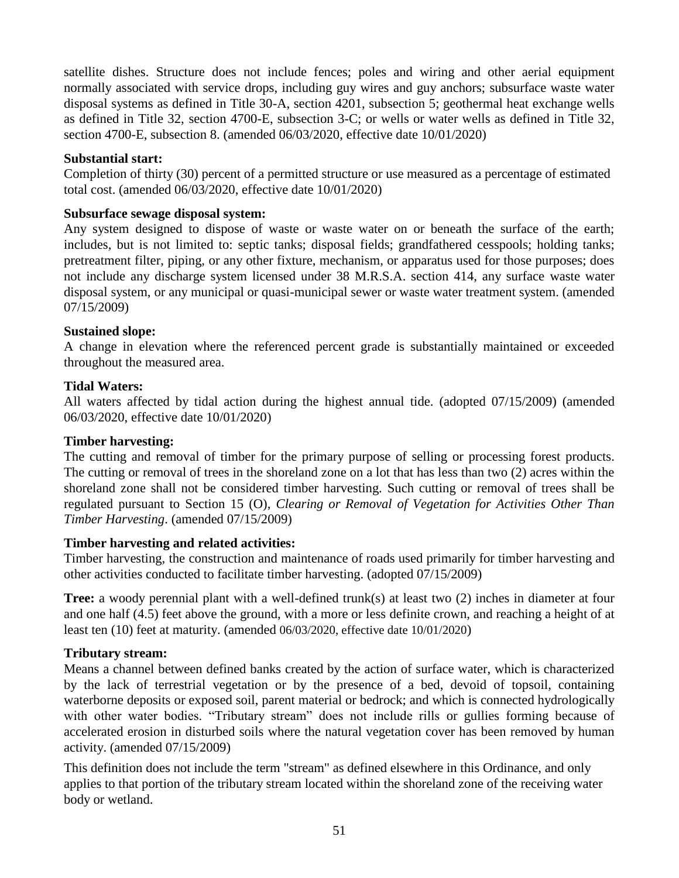satellite dishes. Structure does not include fences; poles and wiring and other aerial equipment normally associated with service drops, including guy wires and guy anchors; subsurface waste water disposal systems as defined in Title 30-A, section 4201, subsection 5; geothermal heat exchange wells as defined in Title 32, section 4700-E, subsection 3-C; or wells or water wells as defined in Title 32, section 4700-E, subsection 8. (amended 06/03/2020, effective date 10/01/2020)

#### **Substantial start:**

Completion of thirty (30) percent of a permitted structure or use measured as a percentage of estimated total cost. (amended 06/03/2020, effective date 10/01/2020)

#### **Subsurface sewage disposal system:**

Any system designed to dispose of waste or waste water on or beneath the surface of the earth; includes, but is not limited to: septic tanks; disposal fields; grandfathered cesspools; holding tanks; pretreatment filter, piping, or any other fixture, mechanism, or apparatus used for those purposes; does not include any discharge system licensed under 38 M.R.S.A. section 414, any surface waste water disposal system, or any municipal or quasi-municipal sewer or waste water treatment system. (amended 07/15/2009)

#### **Sustained slope:**

A change in elevation where the referenced percent grade is substantially maintained or exceeded throughout the measured area.

#### **Tidal Waters:**

All waters affected by tidal action during the highest annual tide. (adopted 07/15/2009) (amended 06/03/2020, effective date 10/01/2020)

#### **Timber harvesting:**

The cutting and removal of timber for the primary purpose of selling or processing forest products. The cutting or removal of trees in the shoreland zone on a lot that has less than two (2) acres within the shoreland zone shall not be considered timber harvesting. Such cutting or removal of trees shall be regulated pursuant to Section 15 (O), *Clearing or Removal of Vegetation for Activities Other Than Timber Harvesting*. (amended 07/15/2009)

#### **Timber harvesting and related activities:**

Timber harvesting, the construction and maintenance of roads used primarily for timber harvesting and other activities conducted to facilitate timber harvesting. (adopted 07/15/2009)

**Tree:** a woody perennial plant with a well-defined trunk(s) at least two (2) inches in diameter at four and one half (4.5) feet above the ground, with a more or less definite crown, and reaching a height of at least ten (10) feet at maturity. (amended 06/03/2020, effective date 10/01/2020)

#### **Tributary stream:**

Means a channel between defined banks created by the action of surface water, which is characterized by the lack of terrestrial vegetation or by the presence of a bed, devoid of topsoil, containing waterborne deposits or exposed soil, parent material or bedrock; and which is connected hydrologically with other water bodies. "Tributary stream" does not include rills or gullies forming because of accelerated erosion in disturbed soils where the natural vegetation cover has been removed by human activity. (amended 07/15/2009)

This definition does not include the term "stream" as defined elsewhere in this Ordinance, and only applies to that portion of the tributary stream located within the shoreland zone of the receiving water body or wetland.